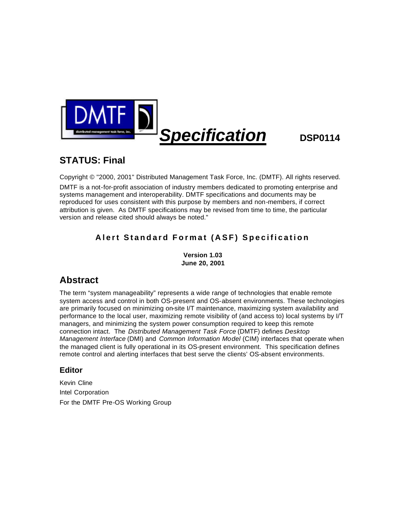

# **STATUS: Final**

Copyright © "2000, 2001" Distributed Management Task Force, Inc. (DMTF). All rights reserved. DMTF is a not-for-profit association of industry members dedicated to promoting enterprise and systems management and interoperability. DMTF specifications and documents may be reproduced for uses consistent with this purpose by members and non-members, if correct attribution is given. As DMTF specifications may be revised from time to time, the particular version and release cited should always be noted."

# **Alert Standard Format (ASF) Specification**

**Version 1.03 June 20, 2001**

# **Abstract**

The term "system manageability" represents a wide range of technologies that enable remote system access and control in both OS-present and OS-absent environments. These technologies are primarily focused on minimizing on-site I/T maintenance, maximizing system availability and performance to the local user, maximizing remote visibility of (and access to) local systems by I/T managers, and minimizing the system power consumption required to keep this remote connection intact. The *Distributed Management Task Force* (DMTF) defines *Desktop Management Interface* (DMI) and *Common Information Model* (CIM) interfaces that operate when the managed client is fully operational in its OS-present environment. This specification defines remote control and alerting interfaces that best serve the clients' OS-absent environments.

## **Editor**

Kevin Cline Intel Corporation For the DMTF Pre-OS Working Group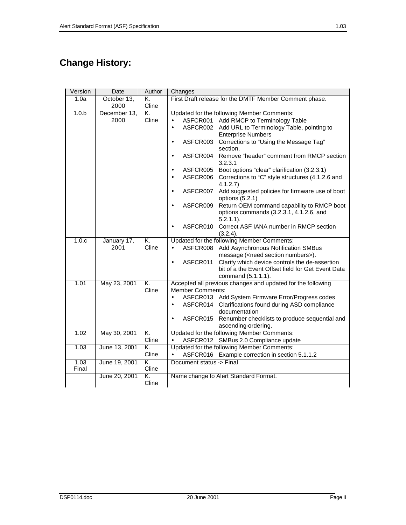# **Change History:**

| Version          | Date          | Author      | Changes                                                                                                           |  |  |  |
|------------------|---------------|-------------|-------------------------------------------------------------------------------------------------------------------|--|--|--|
| 1.0a             | October 13,   | K.          | First Draft release for the DMTF Member Comment phase.                                                            |  |  |  |
|                  | 2000          | Cline       |                                                                                                                   |  |  |  |
| 1.0 <sub>b</sub> | December 13,  | K.          | Updated for the following Member Comments:                                                                        |  |  |  |
|                  | 2000          | Cline       | Add RMCP to Terminology Table<br>ASFCR001<br>$\bullet$                                                            |  |  |  |
|                  |               |             | ASFCR002 Add URL to Terminology Table, pointing to<br>$\bullet$                                                   |  |  |  |
|                  |               |             | <b>Enterprise Numbers</b>                                                                                         |  |  |  |
|                  |               |             | Corrections to "Using the Message Tag"<br>ASFCR003<br>$\bullet$<br>section.                                       |  |  |  |
|                  |               |             | ASFCR004 Remove "header" comment from RMCP section<br>$\bullet$<br>3.2.3.1                                        |  |  |  |
|                  |               |             | ASFCR005<br>Boot options "clear" clarification (3.2.3.1)<br>$\bullet$                                             |  |  |  |
|                  |               |             | ASFCR006<br>Corrections to "C" style structures (4.1.2.6 and<br>$\bullet$<br>4.1.2.7                              |  |  |  |
|                  |               |             | Add suggested policies for firmware use of boot<br>ASFCR007<br>options (5.2.1)                                    |  |  |  |
|                  |               |             | Return OEM command capability to RMCP boot<br>ASFCR009<br>options commands (3.2.3.1, 4.1.2.6, and<br>$5.2.1.1$ ). |  |  |  |
|                  |               |             | Correct ASF IANA number in RMCP section<br>ASFCR010<br>٠<br>(3.2.4).                                              |  |  |  |
| 1.0.c            | January 17,   | K.          | Updated for the following Member Comments:                                                                        |  |  |  |
|                  | 2001          | Cline       | ASFCR008 Add Asynchronous Notification SMBus<br>$\bullet$                                                         |  |  |  |
|                  |               |             | message ( <need numbers="" section="">).</need>                                                                   |  |  |  |
|                  |               |             | Clarify which device controls the de-assertion<br>ASFCR011<br>bit of a the Event Offset field for Get Event Data  |  |  |  |
|                  |               |             | command (5.1.1.1).                                                                                                |  |  |  |
| 1.01             | May 23, 2001  | K.          | Accepted all previous changes and updated for the following                                                       |  |  |  |
|                  |               | Cline       | <b>Member Comments:</b>                                                                                           |  |  |  |
|                  |               |             | ASFCR013 Add System Firmware Error/Progress codes<br>$\bullet$                                                    |  |  |  |
|                  |               |             | ASFCR014 Clarifications found during ASD compliance                                                               |  |  |  |
|                  |               |             | documentation<br>Renumber checklists to produce sequential and<br>ASFCR015                                        |  |  |  |
|                  |               |             | ascending-ordering.                                                                                               |  |  |  |
| 1.02             | May 30, 2001  | K.          | Updated for the following Member Comments:                                                                        |  |  |  |
|                  |               | Cline       | ASFCR012 SMBus 2.0 Compliance update                                                                              |  |  |  |
| 1.03             | June 13, 2001 | K.          | Updated for the following Member Comments:                                                                        |  |  |  |
|                  |               | Cline       | ASFCR016 Example correction in section 5.1.1.2<br>$\bullet$                                                       |  |  |  |
| 1.03             | June 19, 2001 | K.          | Document status -> Final                                                                                          |  |  |  |
| Final            |               | Cline       |                                                                                                                   |  |  |  |
|                  | June 20, 2001 | K.<br>Cline | Name change to Alert Standard Format.                                                                             |  |  |  |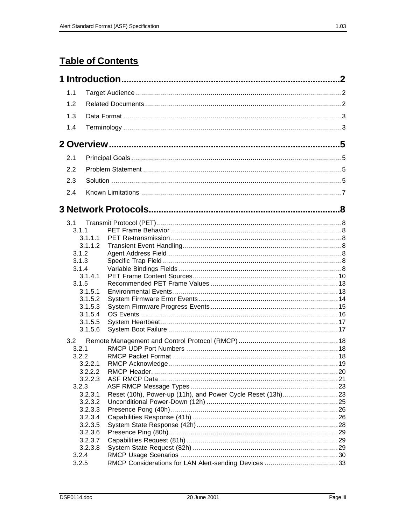# **Table of Contents**

| 1.1   |                    |  |
|-------|--------------------|--|
| 1.2   |                    |  |
| 1.3   |                    |  |
|       |                    |  |
| 1.4   |                    |  |
|       |                    |  |
| 2.1   |                    |  |
| 2.2   |                    |  |
| 2.3   |                    |  |
|       |                    |  |
| 2.4   |                    |  |
|       |                    |  |
| 3.1   |                    |  |
| 3.1.1 |                    |  |
|       | 3.1.1.1            |  |
|       | 3.1.1.2            |  |
| 3.1.2 |                    |  |
| 3.1.3 |                    |  |
| 3.1.4 |                    |  |
|       | 3.1.4.1            |  |
| 3.1.5 |                    |  |
|       | 3.1.5.1            |  |
|       | 3.1.5.2            |  |
|       | 3.1.5.3            |  |
|       | 3.1.5.4            |  |
|       | 3.1.5.5            |  |
|       | 3.1.5.6            |  |
| 3.2   |                    |  |
| 3.2.1 |                    |  |
| 3.2.2 |                    |  |
|       | 3.2.2.1            |  |
|       | 3.2.2.2            |  |
|       | 3.2.2.3            |  |
| 3.2.3 |                    |  |
|       | 3.2.3.1            |  |
|       | 3.2.3.2            |  |
|       | 3.2.3.3            |  |
|       | 3.2.3.4            |  |
|       | 3.2.3.5            |  |
|       | 3.2.3.6            |  |
|       | 3.2.3.7<br>3.2.3.8 |  |
| 3.2.4 |                    |  |
| 3.2.5 |                    |  |
|       |                    |  |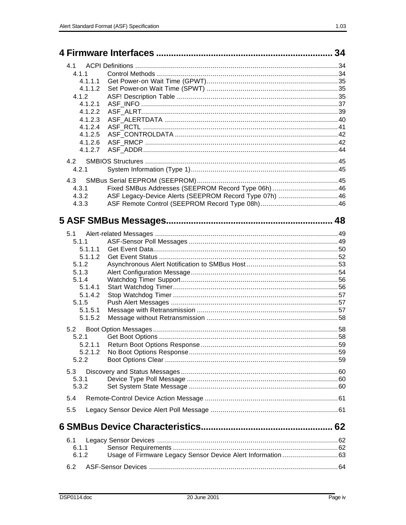|         |                                                            | 34 |
|---------|------------------------------------------------------------|----|
| 4.1     |                                                            |    |
| 4.1.1   |                                                            |    |
|         |                                                            |    |
| 4.1.1.1 |                                                            |    |
| 4.1.1.2 |                                                            |    |
| 4.1.2   |                                                            |    |
| 4.1.2.1 |                                                            |    |
| 4.1.2.2 |                                                            |    |
| 4.1.2.3 |                                                            |    |
| 4.1.2.4 |                                                            |    |
| 4.1.2.5 |                                                            |    |
| 4.1.2.6 |                                                            |    |
| 4.1.2.7 |                                                            |    |
| 4.2     |                                                            |    |
| 4.2.1   |                                                            |    |
|         |                                                            |    |
| 4.3     |                                                            |    |
| 4.3.1   | Fixed SMBus Addresses (SEEPROM Record Type 06h)46          |    |
| 4.3.2   | ASF Legacy-Device Alerts (SEEPROM Record Type 07h)  46     |    |
| 4.3.3   |                                                            |    |
|         |                                                            |    |
|         |                                                            |    |
| 5.1     |                                                            |    |
| 5.1.1   |                                                            |    |
|         |                                                            |    |
| 5.1.1.1 |                                                            |    |
| 5.1.1.2 |                                                            |    |
| 5.1.2   |                                                            |    |
| 5.1.3   |                                                            |    |
| 5.1.4   |                                                            |    |
| 5.1.4.1 |                                                            |    |
| 5.1.4.2 |                                                            |    |
| 5.1.5   |                                                            |    |
| 5.1.5.1 |                                                            |    |
| 5.1.5.2 |                                                            |    |
| 5.2     |                                                            |    |
| 5.2.1   |                                                            |    |
| 5.2.1.1 |                                                            |    |
|         |                                                            |    |
| 5.2.1.2 |                                                            |    |
| 5.2.2   |                                                            |    |
| 5.3     |                                                            |    |
| 5.3.1   |                                                            |    |
| 5.3.2   |                                                            |    |
| 5.4     |                                                            |    |
| 5.5     |                                                            |    |
|         |                                                            |    |
|         |                                                            |    |
| 6.1     |                                                            |    |
| 6.1.1   |                                                            |    |
| 6.1.2   | Usage of Firmware Legacy Sensor Device Alert Information63 |    |
|         |                                                            |    |
| 6.2     |                                                            |    |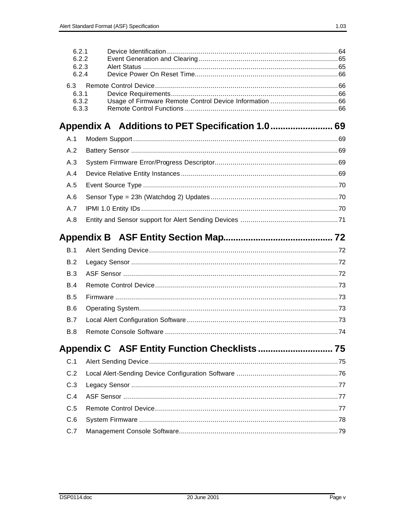| 6.2.1<br>6.2.2<br>6.2.3<br>6.2.4 |  |
|----------------------------------|--|
| 6.3<br>6.3.1<br>6.3.2<br>6.3.3   |  |
|                                  |  |
| A.1                              |  |
| A.2                              |  |
| A.3                              |  |
| A.4                              |  |
| A.5                              |  |
| A.6                              |  |
| A.7                              |  |
| A.8                              |  |
|                                  |  |
|                                  |  |
| B.1                              |  |
| B.2                              |  |
| B.3                              |  |
| B.4                              |  |
| <b>B.5</b>                       |  |
| B.6                              |  |
| <b>B.7</b>                       |  |
| <b>B.8</b>                       |  |
|                                  |  |
| C.1                              |  |
| C.2                              |  |
| C.3                              |  |
| C.4                              |  |

 $C.6$  $C.7$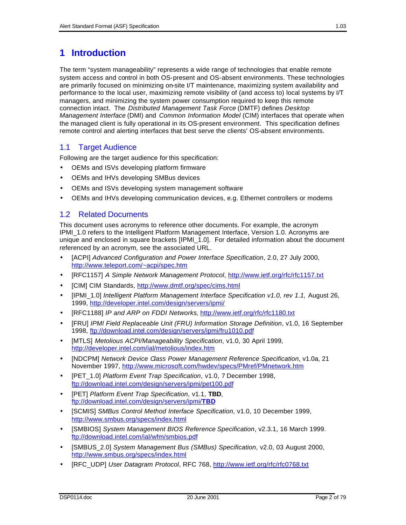## **1 Introduction**

The term "system manageability" represents a wide range of technologies that enable remote system access and control in both OS-present and OS-absent environments. These technologies are primarily focused on minimizing on-site I/T maintenance, maximizing system availability and performance to the local user, maximizing remote visibility of (and access to) local systems by I/T managers, and minimizing the system power consumption required to keep this remote connection intact. The *Distributed Management Task Force* (DMTF) defines *Desktop Management Interface* (DMI) and *Common Information Model* (CIM) interfaces that operate when the managed client is fully operational in its OS-present environment. This specification defines remote control and alerting interfaces that best serve the clients' OS-absent environments.

## 1.1 Target Audience

Following are the target audience for this specification:

- OEMs and ISVs developing platform firmware
- OEMs and IHVs developing SMBus devices
- OEMs and ISVs developing system management software
- OEMs and IHVs developing communication devices, e.g. Ethernet controllers or modems

## 1.2 Related Documents

This document uses acronyms to reference other documents. For example, the acronym IPMI\_1.0 refers to the Intelligent Platform Management Interface, Version 1.0. Acronyms are unique and enclosed in square brackets [IPMI\_1.0]. For detailed information about the document referenced by an acronym, see the associated URL.

- [ACPI] *Advanced Configuration and Power Interface Specification*, 2.0, 27 July 2000, http://www.teleport.com/~acpi/spec.htm
- [RFC1157] *A Simple Network Management Protocol*, http://www.ietf.org/rfc/rfc1157.txt
- [CIM] CIM Standards, http://www.dmtf.org/spec/cims.html
- [IPMI\_1.0] *Intelligent Platform Management Interface Specification v1.0, rev 1.1,* August 26, 1999, http://developer.intel.com/design/servers/ipmi/
- [RFC1188] *IP and ARP on FDDI Networks*, http://www.ietf.org/rfc/rfc1180.txt
- [FRU] *IPMI Field Replaceable Unit (FRU) Information Storage Definition*, v1.0, 16 September 1998, ftp://download.intel.com/design/servers/ipmi/fru1010.pdf
- [MTLS] *Metolious ACPI/Manageability Specification*, v1.0, 30 April 1999, http://developer.intel.com/ial/metolious/index.htm
- [NDCPM] *Network Device Class Power Management Reference Specification*, v1.0a, 21 November 1997, http://www.microsoft.com/hwdev/specs/PMref/PMnetwork.htm
- [PET\_1.0] *Platform Event Trap Specification*, v1.0, 7 December 1998, ftp://download.intel.com/design/servers/ipmi/pet100.pdf
- [PET] *Platform Event Trap Specification*, v1.1, **TBD**, ftp://download.intel.com/design/servers/ipmi/**TBD**
- [SCMIS] *SMBus Control Method Interface Specification*, v1.0, 10 December 1999, http://www.smbus.org/specs/index.html
- [SMBIOS] *System Management BIOS Reference Specification*, v2.3.1, 16 March 1999. ftp://download.intel.com/ial/wfm/smbios.pdf
- [SMBUS\_2.0] *System Management Bus (SMBus) Specification*, v2.0, 03 August 2000, http://www.smbus.org/specs/index.html
- [RFC\_UDP] *User Datagram Protocol*, RFC 768, http://www.ietf.org/rfc/rfc0768.txt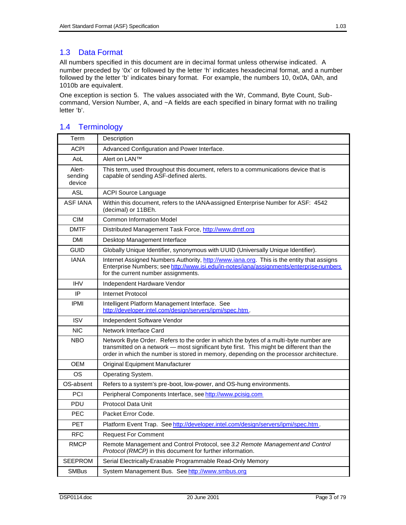## 1.3 Data Format

All numbers specified in this document are in decimal format unless otherwise indicated. A number preceded by '0x' or followed by the letter 'h' indicates hexadecimal format, and a number followed by the letter 'b' indicates binary format. For example, the numbers 10, 0x0A, 0Ah, and 1010b are equivalent.

One exception is section 5. The values associated with the Wr, Command, Byte Count, Subcommand, Version Number, A, and ~A fields are each specified in binary format with no trailing letter 'b'.

| Term                        | Description                                                                                                                                                                                                                                                                  |
|-----------------------------|------------------------------------------------------------------------------------------------------------------------------------------------------------------------------------------------------------------------------------------------------------------------------|
| <b>ACPI</b>                 | Advanced Configuration and Power Interface.                                                                                                                                                                                                                                  |
| AoL                         | Alert on LAN™                                                                                                                                                                                                                                                                |
| Alert-<br>sending<br>device | This term, used throughout this document, refers to a communications device that is<br>capable of sending ASF-defined alerts.                                                                                                                                                |
| <b>ASL</b>                  | <b>ACPI Source Language</b>                                                                                                                                                                                                                                                  |
| <b>ASF IANA</b>             | Within this document, refers to the IANA assigned Enterprise Number for ASF: 4542<br>(decimal) or 11BEh.                                                                                                                                                                     |
| <b>CIM</b>                  | <b>Common Information Model</b>                                                                                                                                                                                                                                              |
| <b>DMTF</b>                 | Distributed Management Task Force, http://www.dmtf.org                                                                                                                                                                                                                       |
| <b>DMI</b>                  | Desktop Management Interface                                                                                                                                                                                                                                                 |
| <b>GUID</b>                 | Globally Unique Identifier, synonymous with UUID (Universally Unique Identifier).                                                                                                                                                                                            |
| <b>IANA</b>                 | Internet Assigned Numbers Authority, http://www.iana.org. This is the entity that assigns<br>Enterprise Numbers; see http://www.isi.edu/in-notes/iana/assignments/enterprise-numbers<br>for the current number assignments.                                                  |
| <b>IHV</b>                  | Independent Hardware Vendor                                                                                                                                                                                                                                                  |
| IP                          | Internet Protocol                                                                                                                                                                                                                                                            |
| <b>IPMI</b>                 | Intelligent Platform Management Interface. See<br>http://developer.intel.com/design/servers/ipmi/spec.htm.                                                                                                                                                                   |
| <b>ISV</b>                  | Independent Software Vendor                                                                                                                                                                                                                                                  |
| <b>NIC</b>                  | Network Interface Card                                                                                                                                                                                                                                                       |
| <b>NBO</b>                  | Network Byte Order. Refers to the order in which the bytes of a multi-byte number are<br>transmitted on a network — most significant byte first. This might be different than the<br>order in which the number is stored in memory, depending on the processor architecture. |
| <b>OEM</b>                  | Original Equipment Manufacturer                                                                                                                                                                                                                                              |
| OS                          | Operating System.                                                                                                                                                                                                                                                            |
| OS-absent                   | Refers to a system's pre-boot, low-power, and OS-hung environments.                                                                                                                                                                                                          |
| PCI                         | Peripheral Components Interface, see http://www.pcisig.com                                                                                                                                                                                                                   |
| PDU                         | <b>Protocol Data Unit</b>                                                                                                                                                                                                                                                    |
| <b>PEC</b>                  | Packet Error Code.                                                                                                                                                                                                                                                           |
| <b>PET</b>                  | Platform Event Trap. See http://developer.intel.com/design/servers/ipmi/spec.htm.                                                                                                                                                                                            |
| <b>RFC</b>                  | <b>Request For Comment</b>                                                                                                                                                                                                                                                   |
| <b>RMCP</b>                 | Remote Management and Control Protocol, see 3.2 Remote Management and Control<br>Protocol (RMCP) in this document for further information.                                                                                                                                   |
| <b>SEEPROM</b>              | Serial Electrically-Erasable Programmable Read-Only Memory                                                                                                                                                                                                                   |
| <b>SMBus</b>                | System Management Bus. See http://www.smbus.org                                                                                                                                                                                                                              |

## 1.4 Terminology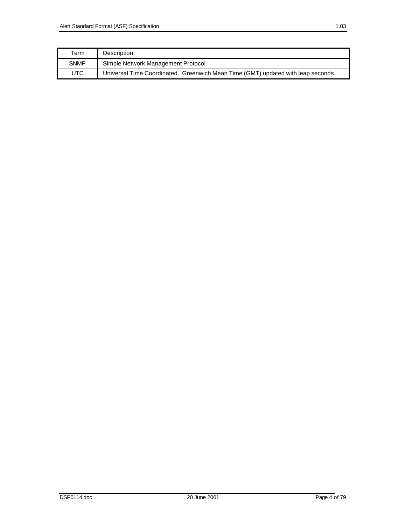| Term        | Description                                                                      |
|-------------|----------------------------------------------------------------------------------|
| <b>SNMP</b> | Simple Network Management Protocol.                                              |
| UTC         | Universal Time Coordinated. Greenwich Mean Time (GMT) updated with leap seconds. |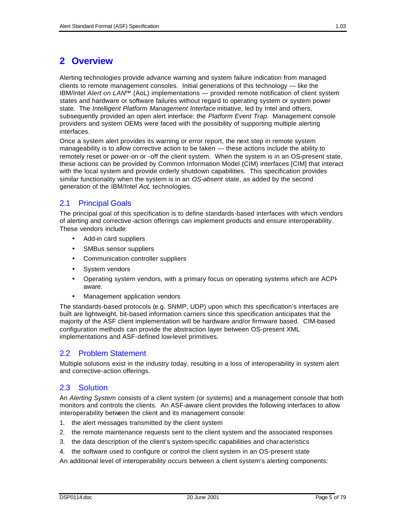# **2 Overview**

Alerting technologies provide advance warning and system failure indication from managed clients to remote management consoles. Initial generations of this technology — like the IBM/Intel *Alert on LAN*™ (AoL) implementations — provided remote notification of client system states and hardware or software failures without regard to operating system or system power state. The *Intelligent Platform Management Interface* initiative, led by Intel and others, subsequently provided an open alert interface: the *Platform Event Trap*. Management console providers and system OEMs were faced with the possibility of supporting multiple alerting interfaces.

Once a system alert provides its warning or error report, the next step in remote system manageability is to allow corrective action to be taken — these actions include the ability to remotely reset or power-on or -off the client system. When the system is in an OS-present state, these actions can be provided by Common Information Model (CIM) interfaces [CIM] that interact with the local system and provide orderly shutdown capabilities. This specification provides similar functionality when the system is in an *OS-absent* state, as added by the second generation of the IBM/Intel *AoL* technologies.

## 2.1 Principal Goals

The principal goal of this specification is to define standards-based interfaces with which vendors of alerting and corrective -action offerings can implement products and ensure interoperability. These vendors include:

- Add-in card suppliers
- SMBus sensor suppliers
- Communication controller suppliers
- System vendors
- Operating system vendors, with a primary focus on operating systems which are ACPIaware.
- Management application vendors

The standards-based protocols (e.g. SNMP, UDP) upon which this specification's interfaces are built are lightweight, bit-based information carriers since this specification anticipates that the majority of the ASF client implementation will be hardware and/or firmware based. CIM-based configuration methods can provide the abstraction layer between OS-present XML implementations and ASF-defined low-level primitives.

## 2.2 Problem Statement

Multiple solutions exist in the industry today, resulting in a loss of interoperability in system alert and corrective-action offerings.

## 2.3 Solution

An *Alerting System* consists of a client system (or systems) and a management console that both monitors and controls the clients. An ASF-aware client provides the following interfaces to allow interoperability between the client and its management console:

- 1. the alert messages transmitted by the client system
- 2. the remote maintenance requests sent to the client system and the associated responses
- 3. the data description of the client's system-specific capabilities and characteristics
- 4. the software used to configure or control the client system in an OS-present state

An additional level of interoperability occurs between a client system's alerting components: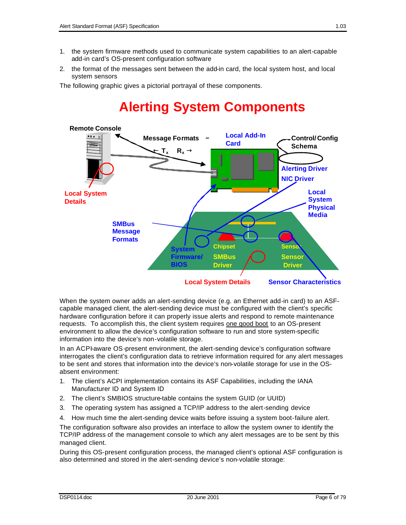- 1. the system firmware methods used to communicate system capabilities to an alert-capable add-in card's OS-present configuration software
- 2. the format of the messages sent between the add-in card, the local system host, and local system sensors

The following graphic gives a pictorial portrayal of these components.

# **Alerting System Components**



When the system owner adds an alert-sending device (e.g. an Ethernet add-in card) to an ASFcapable managed client, the alert-sending device must be configured with the client's specific hardware configuration before it can properly issue alerts and respond to remote maintenance requests. To accomplish this, the client system requires one good boot to an OS-present environment to allow the device's configuration software to run and store system-specific information into the device's non-volatile storage.

In an ACPI-aware OS-present environment, the alert-sending device's configuration software interrogates the client's configuration data to retrieve information required for any alert messages to be sent and stores that information into the device's non-volatile storage for use in the OSabsent environment:

- 1. The client's ACPI implementation contains its ASF Capabilities, including the IANA Manufacturer ID and System ID
- 2. The client's SMBIOS structure-table contains the system GUID (or UUID)
- 3. The operating system has assigned a TCP/IP address to the alert-sending device
- 4. How much time the alert-sending device waits before issuing a system boot-failure alert.

The configuration software also provides an interface to allow the system owner to identify the TCP/IP address of the management console to which any alert messages are to be sent by this managed client.

During this OS-present configuration process, the managed client's optional ASF configuration is also determined and stored in the alert-sending device's non-volatile storage: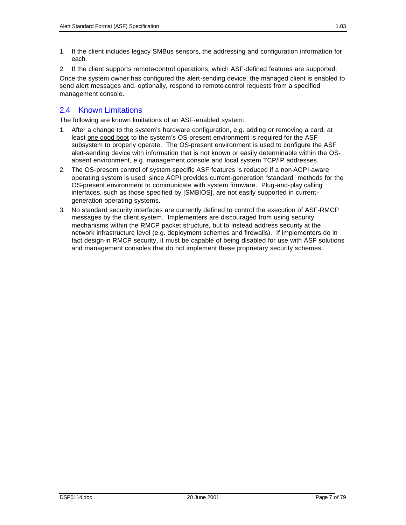- 1. If the client includes legacy SMBus sensors, the addressing and configuration information for each.
- 2. If the client supports remote-control operations, which ASF-defined features are supported.

Once the system owner has configured the alert-sending device, the managed client is enabled to send alert messages and, optionally, respond to remote-control requests from a specified management console.

## 2.4 Known Limitations

The following are known limitations of an ASF-enabled system:

- 1. After a change to the system's hardware configuration, e.g. adding or removing a card, at least one good boot to the system's OS-present environment is required for the ASF subsystem to properly operate. The OS-present environment is used to configure the ASF alert-sending device with information that is not known or easily determinable within the OSabsent environment, e.g. management console and local system TCP/IP addresses.
- 2. The OS-present control of system-specific ASF features is reduced if a non-ACPI-aware operating system is used, since ACPI provides current-generation "standard" methods for the OS-present environment to communicate with system firmware. Plug-and-play calling interfaces, such as those specified by [SMBIOS], are not easily supported in currentgeneration operating systems.
- 3. No standard security interfaces are currently defined to control the execution of ASF-RMCP messages by the client system. Implementers are discouraged from using security mechanisms within the RMCP packet structure, but to instead address security at the network infrastructure level (e.g. deployment schemes and firewalls). If implementers do in fact design-in RMCP security, it must be capable of being disabled for use with ASF solutions and management consoles that do not implement these proprietary security schemes.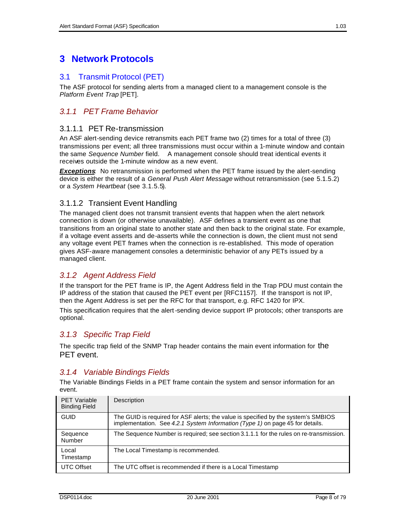# **3 Network Protocols**

## 3.1 Transmit Protocol (PET)

The ASF protocol for sending alerts from a managed client to a management console is the *Platform Event Trap* [PET].

## *3.1.1 PET Frame Behavior*

#### 3.1.1.1 PET Re-transmission

An ASF alert-sending device retransmits each PET frame two (2) times for a total of three (3) transmissions per event; all three transmissions must occur within a 1-minute window and contain the same *Sequence Number* field. A management console should treat identical events it receives outside the 1-minute window as a new event.

**Exceptions**: No retransmission is performed when the PET frame issued by the alert-sending device is either the result of a *General Push Alert Message* without retransmission (see 5.1.5.2) or a *System Heartbeat* (see 3.1.5.5).

#### 3.1.1.2 Transient Event Handling

The managed client does not transmit transient events that happen when the alert network connection is down (or otherwise unavailable). ASF defines a transient event as one that transitions from an original state to another state and then back to the original state. For example, if a voltage event asserts and de-asserts while the connection is down, the client must not send any voltage event PET frames when the connection is re-established. This mode of operation gives ASF-aware management consoles a deterministic behavior of any PETs issued by a managed client.

#### *3.1.2 Agent Address Field*

If the transport for the PET frame is IP, the Agent Address field in the Trap PDU must contain the IP address of the station that caused the PET event per [RFC1157]. If the transport is not IP, then the Agent Address is set per the RFC for that transport, e.g. RFC 1420 for IPX.

This specification requires that the alert-sending device support IP protocols; other transports are optional.

#### *3.1.3 Specific Trap Field*

The specific trap field of the SNMP Trap header contains the main event information for the PET event.

#### *3.1.4 Variable Bindings Fields*

The Variable Bindings Fields in a PET frame contain the system and sensor information for an event.

| <b>PET Variable</b><br><b>Binding Field</b> | Description                                                                                                                                                         |
|---------------------------------------------|---------------------------------------------------------------------------------------------------------------------------------------------------------------------|
| <b>GUID</b>                                 | The GUID is required for ASF alerts; the value is specified by the system's SMBIOS<br>implementation. See 4.2.1 System Information (Type 1) on page 45 for details. |
| Sequence<br>Number                          | The Sequence Number is required; see section 3.1.1.1 for the rules on re-transmission.                                                                              |
| Local<br>Timestamp                          | The Local Timestamp is recommended.                                                                                                                                 |
| <b>UTC Offset</b>                           | The UTC offset is recommended if there is a Local Timestamp                                                                                                         |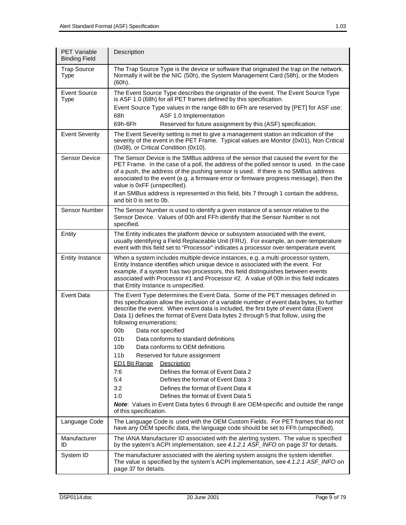| <b>PET Variable</b><br><b>Binding Field</b> | Description                                                                                                                                                                                                                                                                                                                                                                                                                                                                                                                                                                                                                                                                                                                                                                                                                                                                                                                                       |
|---------------------------------------------|---------------------------------------------------------------------------------------------------------------------------------------------------------------------------------------------------------------------------------------------------------------------------------------------------------------------------------------------------------------------------------------------------------------------------------------------------------------------------------------------------------------------------------------------------------------------------------------------------------------------------------------------------------------------------------------------------------------------------------------------------------------------------------------------------------------------------------------------------------------------------------------------------------------------------------------------------|
| <b>Trap Source</b><br><b>Type</b>           | The Trap Source Type is the device or software that originated the trap on the network.<br>Normally it will be the NIC (50h), the System Management Card (58h), or the Modem<br>(60h).                                                                                                                                                                                                                                                                                                                                                                                                                                                                                                                                                                                                                                                                                                                                                            |
| Event Source<br><b>Type</b>                 | The Event Source Type describes the originator of the event. The Event Source Type<br>is ASF 1.0 (68h) for all PET frames defined by this specification.                                                                                                                                                                                                                                                                                                                                                                                                                                                                                                                                                                                                                                                                                                                                                                                          |
|                                             | Event Source Type values in the range 68h to 6Fh are reserved by [PET] for ASF use:<br>68h<br>ASF 1.0 Implementation                                                                                                                                                                                                                                                                                                                                                                                                                                                                                                                                                                                                                                                                                                                                                                                                                              |
|                                             | 69h-6Fh<br>Reserved for future assignment by this (ASF) specification.                                                                                                                                                                                                                                                                                                                                                                                                                                                                                                                                                                                                                                                                                                                                                                                                                                                                            |
| <b>Event Severity</b>                       | The Event Severity setting is met to give a management station an indication of the<br>severity of the event in the PET Frame. Typical values are Monitor (0x01), Non Critical<br>(0x08), or Critical Condition (0x10).                                                                                                                                                                                                                                                                                                                                                                                                                                                                                                                                                                                                                                                                                                                           |
| <b>Sensor Device</b>                        | The Sensor Device is the SMBus address of the sensor that caused the event for the<br>PET Frame. In the case of a poll, the address of the polled sensor is used. In the case<br>of a push, the address of the pushing sensor is used. If there is no SMBus address<br>associated to the event (e.g. a firmware error or firmware progress message), then the<br>value is 0xFF (unspecified).<br>If an SMBus address is represented in this field, bits 7 through 1 contain the address,<br>and bit 0 is set to 0b.                                                                                                                                                                                                                                                                                                                                                                                                                               |
| Sensor Number                               | The Sensor Number is used to identify a given instance of a sensor relative to the<br>Sensor Device. Values of 00h and FFh identify that the Sensor Number is not<br>specified.                                                                                                                                                                                                                                                                                                                                                                                                                                                                                                                                                                                                                                                                                                                                                                   |
| Entity                                      | The Entity indicates the platform device or subsystem associated with the event,<br>usually identifying a Field Replaceable Unit (FRU). For example, an over-temperature<br>event with this field set to "Processor" indicates a processor over-temperature event.                                                                                                                                                                                                                                                                                                                                                                                                                                                                                                                                                                                                                                                                                |
| <b>Entity Instance</b>                      | When a system includes multiple device instances, e.g. a multi-processor system,<br>Entity Instance identifies which unique device is associated with the event. For<br>example, if a system has two processors, this field distinguishes between events<br>associated with Processor #1 and Processor #2. A value of 00h in this field indicates<br>that Entity Instance is unspecified.                                                                                                                                                                                                                                                                                                                                                                                                                                                                                                                                                         |
| <b>Event Data</b>                           | The Event Type determines the Event Data. Some of the PET messages defined in<br>this specification allow the inclusion of a variable number of event data bytes, to further<br>describe the event. When event data is included, the first byte of event data (Event<br>Data 1) defines the format of Event Data bytes 2 through 5 that follow, using the<br>following enumerations:<br>00 <sub>b</sub><br>Data not specified<br>01 <sub>b</sub><br>Data conforms to standard definitions<br>Data conforms to OEM definitions<br>10 <sub>b</sub><br>11 <sub>b</sub><br>Reserved for future assignment<br><b>ED1 Bit Range</b><br>Description<br>Defines the format of Event Data 2<br>7:6<br>Defines the format of Event Data 3<br>5:4<br>Defines the format of Event Data 4<br>3:2<br>Defines the format of Event Data 5<br>1:0<br>Note: Values in Event Data bytes 6 through 8 are OEM-specific and outside the range<br>of this specification. |
| Language Code                               | The Language Code is used with the OEM Custom Fields. For PET frames that do not<br>have any OEM specific data, the language code should be set to FFh (unspecified).                                                                                                                                                                                                                                                                                                                                                                                                                                                                                                                                                                                                                                                                                                                                                                             |
| Manufacturer<br>ID                          | The IANA Manufacturer ID associated with the alerting system. The value is specified<br>by the system's ACPI implementation, see 4.1.2.1 ASF_INFO on page 37 for details.                                                                                                                                                                                                                                                                                                                                                                                                                                                                                                                                                                                                                                                                                                                                                                         |
| System ID                                   | The manufacturer associated with the alerting system assigns the system identifier.<br>The value is specified by the system's ACPI implementation, see 4.1.2.1 ASF_INFO on<br>page 37 for details.                                                                                                                                                                                                                                                                                                                                                                                                                                                                                                                                                                                                                                                                                                                                                |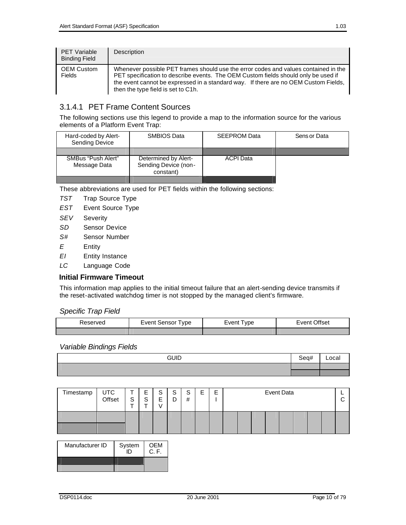| <b>PET Variable</b><br><b>Binding Field</b> | Description                                                                                                                                                                                                                                                                                            |
|---------------------------------------------|--------------------------------------------------------------------------------------------------------------------------------------------------------------------------------------------------------------------------------------------------------------------------------------------------------|
| <b>OEM Custom</b><br><b>Fields</b>          | Whenever possible PET frames should use the error codes and values contained in the<br>PET specification to describe events. The OEM Custom fields should only be used if<br>the event cannot be expressed in a standard way. If there are no OEM Custom Fields,<br>then the type field is set to C1h. |

## 3.1.4.1 PET Frame Content Sources

The following sections use this legend to provide a map to the information source for the various elements of a Platform Event Trap:

| Hard-coded by Alert-<br><b>Sending Device</b> | SMBIOS Data                                               | <b>SEEPROM Data</b> | Sens or Data |
|-----------------------------------------------|-----------------------------------------------------------|---------------------|--------------|
| SMBus "Push Alert"<br>Message Data            | Determined by Alert-<br>Sending Device (non-<br>constant) | <b>ACPI Data</b>    |              |
|                                               |                                                           |                     |              |

These abbreviations are used for PET fields within the following sections:

- *TST* Trap Source Type
- *EST* Event Source Type
- *SEV* Severity
- *SD* Sensor Device
- *S#* Sensor Number
- *E* Entity
- *EI* Entity Instance
- *LC* Language Code

#### **Initial Firmware Timeout**

This information map applies to the initial timeout failure that an alert-sending device transmits if the reset-activated watchdog timer is not stopped by the managed client's firmware.

#### *Specific Trap Field*

| Event Sensor Type<br>Reserved |  | Event Type | Event Offset |  |
|-------------------------------|--|------------|--------------|--|
|                               |  |            |              |  |

#### *Variable Bindings Fields*

| <b>GUID</b> | Seq# | Local |
|-------------|------|-------|
|             |      |       |
|             |      |       |

| Timestamp | UTC<br>Offset | S | -<br>ᄇ<br>c<br>◡ | S<br>E | $\mathbf{C}$<br>ت<br>D | S<br># | ⊏<br>┕ | −<br>−<br>┕ | Event Data |  |  |  |  |  |  |  |  |
|-----------|---------------|---|------------------|--------|------------------------|--------|--------|-------------|------------|--|--|--|--|--|--|--|--|
|           |               |   |                  |        |                        |        |        |             |            |  |  |  |  |  |  |  |  |

| Manufacturer ID | System | <b>OFM</b><br>C.F. |
|-----------------|--------|--------------------|
|                 |        |                    |
|                 |        |                    |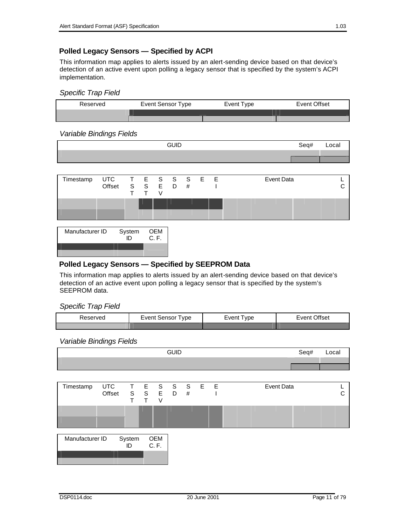## **Polled Legacy Sensors — Specified by ACPI**

This information map applies to alerts issued by an alert-sending device based on that device's detection of an active event upon polling a legacy sensor that is specified by the system's ACPI implementation.

#### *Specific Trap Field*



#### *Variable Bindings Fields*

| <b>GUID</b> | Seq# | Local |
|-------------|------|-------|
|             |      |       |
|             |      |       |



| Manufacturer ID | System | <b>OEM</b><br>C. F. |
|-----------------|--------|---------------------|
|                 |        |                     |

## **Polled Legacy Sensors — Specified by SEEPROM Data**

This information map applies to alerts issued by an alert-sending device based on that device's detection of an active event upon polling a legacy sensor that is specified by the system's SEEPROM data.

*Specific Trap Field*

| Reserved | Event Sensor Type | Event Type | Event Offset |
|----------|-------------------|------------|--------------|
|          |                   |            |              |

#### *Variable Bindings Fields*

|                 |                      |                        |   |             | <b>GUID</b> |    |   | Seq#              | Local |
|-----------------|----------------------|------------------------|---|-------------|-------------|----|---|-------------------|-------|
|                 |                      |                        |   |             |             |    |   |                   |       |
|                 |                      |                        |   |             |             |    |   |                   |       |
| Timestamp       | <b>UTC</b><br>Offset | T E S S S<br>S S E D # | T | V           |             | E. | E | <b>Event Data</b> | C     |
|                 |                      |                        |   |             |             |    |   |                   |       |
| Manufacturer ID |                      | System<br>ID           |   | OEM<br>C.F. |             |    |   |                   |       |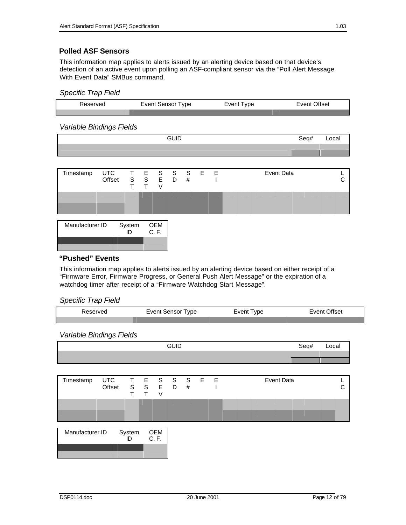### **Polled ASF Sensors**

This information map applies to alerts issued by an alerting device based on that device's detection of an active event upon polling an ASF-compliant sensor via the "Poll Alert Message With Event Data" SMBus command.

#### *Specific Trap Field*

| Reserved | Event Sensor Type | Event Type | Event Offset |
|----------|-------------------|------------|--------------|
|          |                   |            |              |

#### *Variable Bindings Fields*

| <b>GUID</b> | Seq# | Local |
|-------------|------|-------|
|             |      |       |
|             |      |       |
|             |      |       |
|             |      |       |

| Timestamp       | UTC T E S S S E E<br>Offset | S S E D      |              | # |  | Event Data |  |
|-----------------|-----------------------------|--------------|--------------|---|--|------------|--|
|                 |                             |              |              |   |  |            |  |
| Manufacturer ID |                             | System<br>ID | OEM<br>C. F. |   |  |            |  |

#### **"Pushed" Events**

This information map applies to alerts issued by an alerting device based on either receipt of a "Firmware Error, Firmware Progress, or General Push Alert Message" or the expiration of a watchdog timer after receipt of a "Firmware Watchdog Start Message".

#### *Specific Trap Field*

| рe<br>$-1$ . $-1$ . $-1$ . $-1$ . $-1$<br>$\sim$ . | $- \cdot - \cdot -$<br>. | 56.<br>$- \cdot - \cdot$<br>____ |
|----------------------------------------------------|--------------------------|----------------------------------|
|                                                    |                          |                                  |

#### *Variable Bindings Fields*

|                 |                      |              |        |                                                                              | <b>GUID</b> |   |       | Seq#<br>Local |   |
|-----------------|----------------------|--------------|--------|------------------------------------------------------------------------------|-------------|---|-------|---------------|---|
|                 |                      |              |        |                                                                              |             |   |       |               |   |
|                 |                      |              |        |                                                                              |             |   |       |               |   |
| Timestamp       | <b>UTC</b><br>Offset |              | $\top$ | $\begin{array}{cccccc} T & E & S & S \\ S & S & E & D \end{array}$<br>$\vee$ |             | # | S E E | Event Data    | С |
|                 |                      |              |        |                                                                              |             |   |       |               |   |
| Manufacturer ID |                      | System<br>ID |        | OEM<br>C.F.                                                                  |             |   |       |               |   |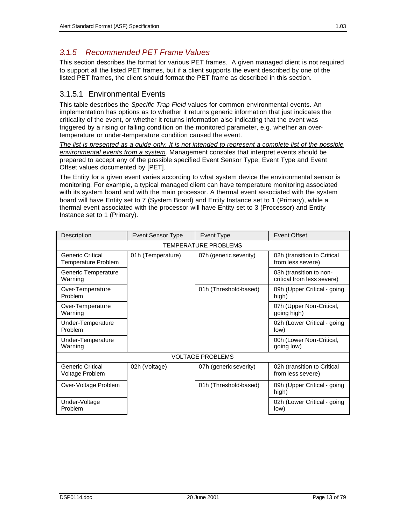## *3.1.5 Recommended PET Frame Values*

This section describes the format for various PET frames. A given managed client is not required to support all the listed PET frames, but if a client supports the event described by one of the listed PET frames, the client should format the PET frame as described in this section.

## 3.1.5.1 Environmental Events

This table describes the *Specific Trap Field* values for common environmental events. An implementation has options as to whether it returns generic information that just indicates the criticality of the event, or whether it returns information also indicating that the event was triggered by a rising or falling condition on the monitored parameter, e.g. whether an overtemperature or under-temperature condition caused the event.

*The list is presented as a guide only. It is not intended to represent a complete list of the possible environmental events from a system*. Management consoles that interpret events should be prepared to accept any of the possible specified Event Sensor Type, Event Type and Event Offset values documented by [PET].

The Entity for a given event varies according to what system device the environmental sensor is monitoring. For example, a typical managed client can have temperature monitoring associated with its system board and with the main processor. A thermal event associated with the system board will have Entity set to 7 (System Board) and Entity Instance set to 1 (Primary), while a thermal event associated with the processor will have Entity set to 3 (Processor) and Entity Instance set to 1 (Primary).

| Description                                    | <b>Event Sensor Type</b> | Event Type                  | Event Offset                                          |
|------------------------------------------------|--------------------------|-----------------------------|-------------------------------------------------------|
|                                                |                          | <b>TEMPERATURE PROBLEMS</b> |                                                       |
| <b>Generic Critical</b><br>Temperature Problem | 01h (Temperature)        | 07h (generic severity)      | 02h (transition to Critical<br>from less severe)      |
| Generic Temperature<br>Warning                 |                          |                             | 03h (transition to non-<br>critical from less severe) |
| Over-Temperature<br>Problem                    |                          | 01h (Threshold-based)       | 09h (Upper Critical - going<br>high)                  |
| Over-Temperature<br>Warning                    |                          |                             | 07h (Upper Non-Critical,<br>going high)               |
| Under-Temperature<br>Problem                   |                          |                             | 02h (Lower Critical - going<br>low)                   |
| Under-Temperature<br>Warning                   |                          |                             | 00h (Lower Non-Critical,<br>going low)                |
|                                                |                          | <b>VOLTAGE PROBLEMS</b>     |                                                       |
| Generic Critical<br>Voltage Problem            | 02h (Voltage)            | 07h (generic severity)      | 02h (transition to Critical<br>from less severe)      |
| Over-Voltage Problem                           |                          | 01h (Threshold-based)       | 09h (Upper Critical - going<br>high)                  |
| Under-Voltage<br>Problem                       |                          |                             | 02h (Lower Critical - going<br>low)                   |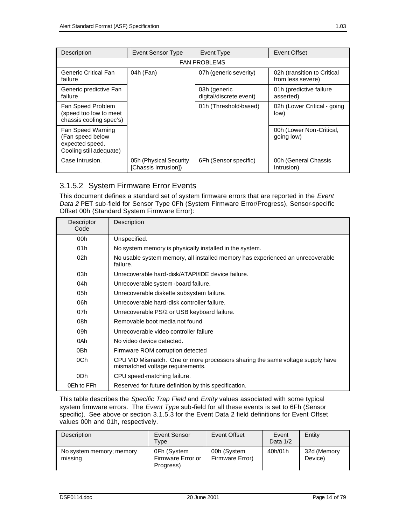| Description                                                                         | <b>Event Sensor Type</b>                       | Event Type                              | Event Offset                                     |
|-------------------------------------------------------------------------------------|------------------------------------------------|-----------------------------------------|--------------------------------------------------|
| <b>FAN PROBLEMS</b>                                                                 |                                                |                                         |                                                  |
| <b>Generic Critical Fan</b><br>failure                                              | 04h (Fan)                                      | 07h (generic severity)                  | 02h (transition to Critical<br>from less severe) |
| Generic predictive Fan<br>failure                                                   |                                                | 03h (generic<br>digital/discrete event) | 01h (predictive failure<br>asserted)             |
| Fan Speed Problem<br>(speed too low to meet<br>chassis cooling spec's)              |                                                | 01h (Threshold-based)                   | 02h (Lower Critical - going<br>low)              |
| Fan Speed Warning<br>(Fan speed below<br>expected speed.<br>Cooling still adequate) |                                                |                                         | 00h (Lower Non-Critical,<br>going low)           |
| Case Intrusion.                                                                     | 05h (Physical Security<br>[Chassis Intrusion]) | 6Fh (Sensor specific)                   | 00h (General Chassis<br>Intrusion)               |

## 3.1.5.2 System Firmware Error Events

This document defines a standard set of system firmware errors that are reported in the *Event Data 2* PET sub-field for Sensor Type 0Fh (System Firmware Error/Progress), Sensor-specific Offset 00h (Standard System Firmware Error):

| Descriptor<br>Code | Description                                                                                                       |
|--------------------|-------------------------------------------------------------------------------------------------------------------|
| 00h                | Unspecified.                                                                                                      |
| 01h                | No system memory is physically installed in the system.                                                           |
| 02 <sub>h</sub>    | No usable system memory, all installed memory has experienced an unrecoverable<br>failure.                        |
| 03h                | Unrecoverable hard-disk/ATAPI/IDE device failure.                                                                 |
| 04h                | Unrecoverable system - board failure.                                                                             |
| 05h                | Unrecoverable diskette subsystem failure.                                                                         |
| 06h                | Unrecoverable hard-disk controller failure.                                                                       |
| 07h                | Unrecoverable PS/2 or USB keyboard failure.                                                                       |
| 08h                | Removable boot media not found                                                                                    |
| 09h                | Unrecoverable video controller failure                                                                            |
| 0Ah                | No video device detected.                                                                                         |
| 0 <sub>Bh</sub>    | Firmware ROM corruption detected                                                                                  |
| 0Ch                | CPU VID Mismatch. One or more processors sharing the same voltage supply have<br>mismatched voltage requirements. |
| 0Dh                | CPU speed-matching failure.                                                                                       |
| 0Eh to FFh         | Reserved for future definition by this specification.                                                             |

This table describes the *Specific Trap Field* and *Entity* values associated with some typical system firmware errors. The *Event Type* sub-field for all these events is set to 6Fh (Sensor specific). See above or section 3.1.5.3 for the Event Data 2 field definitions for Event Offset values 00h and 01h, respectively.

| Description                         | Event Sensor<br>Type                          | Event Offset                   | Event<br>Data 1/2 | Entity                 |
|-------------------------------------|-----------------------------------------------|--------------------------------|-------------------|------------------------|
| No system memory; memory<br>missing | 0Fh (System<br>Firmware Error or<br>Progress) | 00h (System<br>Firmware Error) | 40h/01h           | 32d (Memory<br>Device) |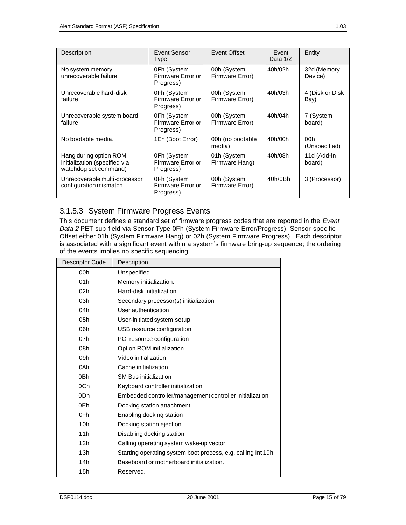| Description                                                                      | Event Sensor<br>Type                          | Event Offset                   | Event<br>Data $1/2$ | Entity                  |
|----------------------------------------------------------------------------------|-----------------------------------------------|--------------------------------|---------------------|-------------------------|
| No system memory;<br>unrecoverable failure                                       | 0Fh (System<br>Firmware Error or<br>Progress) | 00h (System<br>Firmware Error) | 40h/02h             | 32d (Memory<br>Device)  |
| Unrecoverable hard-disk<br>failure.                                              | 0Fh (System<br>Firmware Error or<br>Progress) | 00h (System<br>Firmware Error) | 40h/03h             | 4 (Disk or Disk<br>Bay) |
| Unrecoverable system board<br>failure.                                           | 0Fh (System<br>Firmware Error or<br>Progress) | 00h (System<br>Firmware Error) | 40h/04h             | 7 (System<br>board)     |
| No bootable media.                                                               | 1Eh (Boot Error)                              | 00h (no bootable<br>media)     | 40h/00h             | 00h<br>(Unspecified)    |
| Hang during option ROM<br>initialization (specified via<br>watchdog set command) | 0Fh (System<br>Firmware Error or<br>Progress) | 01h (System<br>Firmware Hang)  | 40h/08h             | 11d (Add-in<br>board)   |
| Unrecoverable multi-processor<br>configuration mismatch                          | 0Fh (System<br>Firmware Error or<br>Progress) | 00h (System<br>Firmware Error) | 40h/0Bh             | 3 (Processor)           |

## 3.1.5.3 System Firmware Progress Events

This document defines a standard set of firmware progress codes that are reported in the *Event Data 2* PET sub-field via Sensor Type 0Fh (System Firmware Error/Progress), Sensor-specific Offset either 01h (System Firmware Hang) or 02h (System Firmware Progress). Each descriptor is associated with a significant event within a system's firmware bring-up sequence; the ordering of the events implies no specific sequencing.

| <b>Descriptor Code</b> | Description                                                  |
|------------------------|--------------------------------------------------------------|
| 00h                    | Unspecified.                                                 |
| 01h                    | Memory initialization.                                       |
| 02h                    | Hard-disk initialization                                     |
| 03h                    | Secondary processor(s) initialization                        |
| 04h                    | User authentication                                          |
| 05h                    | User-initiated system setup                                  |
| 06h                    | USB resource configuration                                   |
| 07h                    | PCI resource configuration                                   |
| 08h                    | Option ROM initialization                                    |
| 09h                    | Video initialization                                         |
| 0Ah                    | Cache initialization                                         |
| 0 <sub>Bh</sub>        | <b>SM Bus initialization</b>                                 |
| 0Ch                    | Keyboard controller initialization                           |
| 0 <sub>Dh</sub>        | Embedded controller/management controller initialization     |
| 0Eh                    | Docking station attachment                                   |
| 0Fh                    | Enabling docking station                                     |
| 10h                    | Docking station ejection                                     |
| 11h                    | Disabling docking station                                    |
| 12h                    | Calling operating system wake-up vector                      |
| 13h                    | Starting operating system boot process, e.g. calling Int 19h |
| 14h                    | Baseboard or motherboard initialization.                     |
| 15h                    | Reserved.                                                    |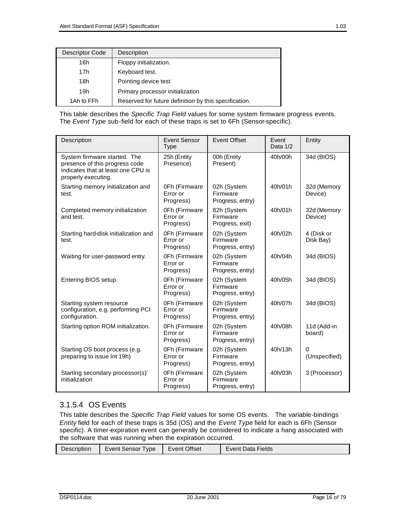| Descriptor Code | Description                                           |
|-----------------|-------------------------------------------------------|
| 16h             | Floppy initialization.                                |
| 17h             | Keyboard test.                                        |
| 18h             | Pointing device test                                  |
| 19h             | Primary processor initialization                      |
| 1Ah to FFh      | Reserved for future definition by this specification. |

This table describes the *Specific Trap Field* values for some system firmware progress events. The *Event Type* sub-field for each of these traps is set to 6Fh (Sensor-specific).

| Description                                                                                                                 | <b>Event Sensor</b><br><b>Type</b>     | <b>Event Offset</b>                         | Event<br>Data 1/2 | Entity                    |
|-----------------------------------------------------------------------------------------------------------------------------|----------------------------------------|---------------------------------------------|-------------------|---------------------------|
| System firmware started. The<br>presence of this progress code<br>indicates that at least one CPU is<br>properly executing. | 25h (Entity<br>Presence)               | 00h (Entity<br>Present)                     | 40h/00h           | 34d (BIOS)                |
| Starting memory initialization and<br>test.                                                                                 | 0Fh (Firmware<br>Error or<br>Progress) | 02h (System<br>Firmware<br>Progress, entry) | 40h/01h           | 32d (Memory<br>Device)    |
| Completed memory initialization<br>and test.                                                                                | 0Fh (Firmware<br>Error or<br>Progress) | 82h (System<br>Firmware<br>Progress, exit)  | 40h/01h           | 32d (Memory<br>Device)    |
| Starting hard-disk initialization and<br>test.                                                                              | 0Fh (Firmware<br>Error or<br>Progress) | 02h (System<br>Firmware<br>Progress, entry) | 40h/02h           | 4 (Disk or<br>Disk Bay)   |
| Waiting for user-password entry.                                                                                            | 0Fh (Firmware<br>Error or<br>Progress) | 02h (System<br>Firmware<br>Progress, entry) | 40h/04h           | 34d (BIOS)                |
| Entering BIOS setup.                                                                                                        | 0Fh (Firmware<br>Error or<br>Progress) | 02h (System<br>Firmware<br>Progress, entry) | 40h/05h           | 34d (BIOS)                |
| Starting system resource<br>configuration, e.g. performing PCI<br>configuration.                                            | 0Fh (Firmware<br>Error or<br>Progress) | 02h (System<br>Firmware<br>Progress, entry) | 40h/07h           | 34d (BIOS)                |
| Starting option ROM initialization.                                                                                         | 0Fh (Firmware<br>Error or<br>Progress) | 02h (System<br>Firmware<br>Progress, entry) | 40h/08h           | 11d (Add-in<br>board)     |
| Starting OS boot process (e.g.<br>preparing to issue Int 19h)                                                               | 0Fh (Firmware<br>Error or<br>Progress) | 02h (System<br>Firmware<br>Progress, entry) | 40h/13h           | $\Omega$<br>(Unspecified) |
| Starting secondary processor(s)'<br>initialization                                                                          | 0Fh (Firmware<br>Error or<br>Progress) | 02h (System<br>Firmware<br>Progress, entry) | 40h/03h           | 3 (Processor)             |

## 3.1.5.4 OS Events

This table describes the *Specific Trap Field* values for some OS events. The variable-bindings *Entity* field for each of these traps is 35d (OS) and the *Event Type* field for each is 6Fh (Sensor specific). A timer-expiration event can generally be considered to indicate a hang associated with the software that was running when the expiration occurred.

| Description | Event Sensor<br>Type | <b>Event Offset</b> | Event Data Fields |
|-------------|----------------------|---------------------|-------------------|
|             |                      |                     |                   |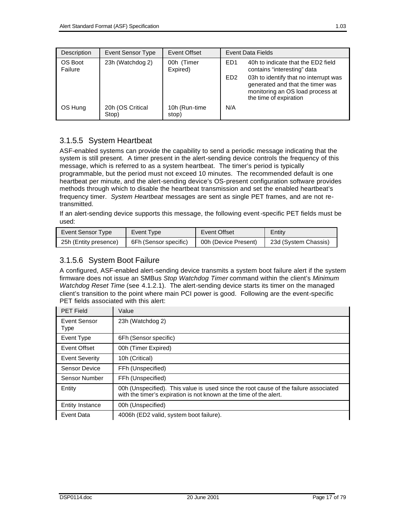| Description        | Event Sensor Type         | Event Offset            |                  | Event Data Fields                                                                                                                       |
|--------------------|---------------------------|-------------------------|------------------|-----------------------------------------------------------------------------------------------------------------------------------------|
| OS Boot<br>Failure | 23h (Watchdog 2)          | 00h (Timer<br>Expired)  | F <sub>D</sub> 1 | 40h to indicate that the ED2 field<br>contains "interesting" data                                                                       |
|                    |                           |                         | ED <sub>2</sub>  | 03h to identify that no interrupt was<br>generated and that the timer was<br>monitoring an OS load process at<br>the time of expiration |
| OS Hung            | 20h (OS Critical<br>Stop) | 10h (Run-time)<br>stop) | N/A              |                                                                                                                                         |

## 3.1.5.5 System Heartbeat

ASF-enabled systems can provide the capability to send a periodic message indicating that the system is still present. A timer present in the alert-sending device controls the frequency of this message, which is referred to as a system heartbeat. The timer's period is typically programmable, but the period must not exceed 10 minutes. The recommended default is one heartbeat per minute, and the alert-sending device's OS-present configuration software provides methods through which to disable the heartbeat transmission and set the enabled heartbeat's frequency timer. *System Heartbeat* messages are sent as single PET frames, and are not retransmitted.

If an alert-sending device supports this message, the following event-specific PET fields must be used:

| Event Sensor Type     | Event Type            | Event Offset         | Entity               |
|-----------------------|-----------------------|----------------------|----------------------|
| 25h (Entity presence) | 6Fh (Sensor specific) | 00h (Device Present) | 23d (System Chassis) |

## 3.1.5.6 System Boot Failure

A configured, ASF-enabled alert-sending device transmits a system boot failure alert if the system firmware does not issue an SMBus *Stop Watchdog Timer* command within the client's *Minimum Watchdog Reset Time* (see 4.1.2.1). The alert-sending device starts its timer on the managed client's transition to the point where main PCI power is good. Following are the event-specific PET fields associated with this alert:

| <b>PET Field</b>       | Value                                                                                                                                                      |
|------------------------|------------------------------------------------------------------------------------------------------------------------------------------------------------|
| Event Sensor<br>Type   | 23h (Watchdog 2)                                                                                                                                           |
| Event Type             | 6Fh (Sensor specific)                                                                                                                                      |
| Event Offset           | 00h (Timer Expired)                                                                                                                                        |
| <b>Event Severity</b>  | 10h (Critical)                                                                                                                                             |
| <b>Sensor Device</b>   | FFh (Unspecified)                                                                                                                                          |
| Sensor Number          | FFh (Unspecified)                                                                                                                                          |
| Entity                 | 00h (Unspecified). This value is used since the root cause of the failure associated<br>with the timer's expiration is not known at the time of the alert. |
| <b>Entity Instance</b> | 00h (Unspecified)                                                                                                                                          |
| Event Data             | 4006h (ED2 valid, system boot failure).                                                                                                                    |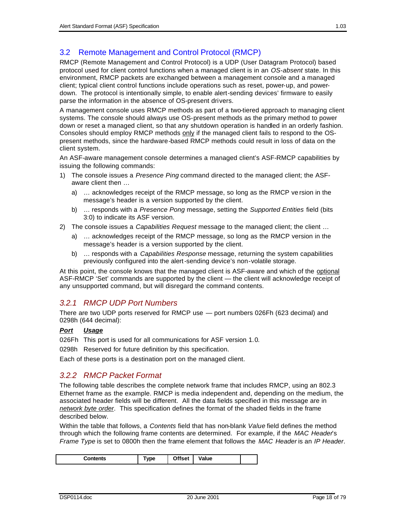## 3.2 Remote Management and Control Protocol (RMCP)

RMCP (Remote Management and Control Protocol) is a UDP (User Datagram Protocol) based protocol used for client control functions when a managed client is in an *OS-absent* state. In this environment, RMCP packets are exchanged between a management console and a managed client; typical client control functions include operations such as reset, power-up, and powerdown. The protocol is intentionally simple, to enable alert-sending devices' firmware to easily parse the information in the absence of OS-present drivers.

A management console uses RMCP methods as part of a two-tiered approach to managing client systems. The console should always use OS-present methods as the primary method to power down or reset a managed client, so that any shutdown operation is handled in an orderly fashion. Consoles should employ RMCP methods only if the managed client fails to respond to the OSpresent methods, since the hardware-based RMCP methods could result in loss of data on the client system.

An ASF-aware management console determines a managed client's ASF-RMCP capabilities by issuing the following commands:

- 1) The console issues a *Presence Ping* command directed to the managed client; the ASFaware client then …
	- a) … acknowledges receipt of the RMCP message, so long as the RMCP ve rsion in the message's header is a version supported by the client.
	- b) … responds with a *Presence Pong* message, setting the *Supported Entities* field (bits 3:0) to indicate its ASF version.
- 2) The console issues a *Capabilities Request* message to the managed client; the client …
	- a) … acknowledges receipt of the RMCP message, so long as the RMCP version in the message's header is a version supported by the client.
	- b) … responds with a *Capabilities Response* message, returning the system capabilities previously configured into the alert-sending device's non-volatile storage.

At this point, the console knows that the managed client is ASF-aware and which of the optional ASF-RMCP 'Set' commands are supported by the client — the client will acknowledge receipt of any unsupported command, but will disregard the command contents.

## *3.2.1 RMCP UDP Port Numbers*

There are two UDP ports reserved for RMCP use — port numbers 026Fh (623 decimal) and 0298h (644 decimal):

#### *Port Usage*

026Fh This port is used for all communications for ASF version 1.0.

0298h Reserved for future definition by this specification.

Each of these ports is a destination port on the managed client.

#### *3.2.2 RMCP Packet Format*

The following table describes the complete network frame that includes RMCP, using an 802.3 Ethernet frame as the example. RMCP is media independent and, depending on the medium, the associated header fields will be different. All the data fields specified in this message are in *network byte order*. This specification defines the format of the shaded fields in the frame described below.

Within the table that follows, a *Contents* field that has non-blank *Value* field defines the method through which the following frame contents are determined. For example, if the *MAC Header*'s *Frame Type* is set to 0800h then the frame element that follows the *MAC Header* is an *IP Header*.

| ገffset<br>Value<br>Contents<br>vpe<br>۰. |
|------------------------------------------|
|------------------------------------------|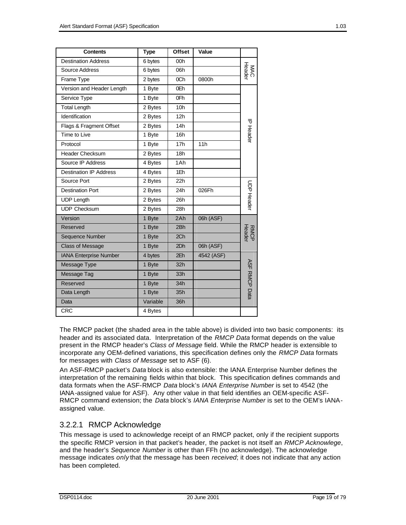| <b>Contents</b>               | <b>Type</b>                | <b>Offset</b>   | Value      |                      |
|-------------------------------|----------------------------|-----------------|------------|----------------------|
| <b>Destination Address</b>    | 6 bytes                    | 00h             |            |                      |
| Source Address                | 6 bytes                    | 06h             |            | MAC<br>Header        |
| Frame Type                    | 2 bytes                    | 0Ch             | 0800h      |                      |
| Version and Header Length     | 1 Byte                     | 0Eh             |            |                      |
| Service Type                  | 1 Byte                     | 0Fh             |            |                      |
| <b>Total Length</b>           | 2 Bytes                    | 10 <sub>h</sub> |            |                      |
| Identification                | 2 Bytes                    | 12h             |            |                      |
| Flags & Fragment Offset       | 2 Bytes                    | 14h             |            | <b>P Header</b>      |
| Time to Live                  | 1 Byte                     | 16h             |            |                      |
| Protocol                      | 1 Byte                     | 17 <sub>h</sub> | 11h        |                      |
| Header Checksum               | 2 Bytes                    | 18h             |            |                      |
| Source IP Address             | 4 Bytes                    | 1Ah             |            |                      |
| <b>Destination IP Address</b> | 4 Bytes                    | 1Eh             |            |                      |
| Source Port                   | 2 Bytes                    | 22h             |            |                      |
| <b>Destination Port</b>       | 2 Bytes                    | 24h             | 026Fh      | <b>CDP Heade</b>     |
| <b>UDP Length</b>             | 2 Bytes                    | 26h             |            |                      |
| <b>UDP Checksum</b>           | 2 Bytes                    | 28h             |            |                      |
| Version                       | 1 Byte                     | 2Ah             | 06h (ASF)  |                      |
| Reserved                      | 1 Byte                     | 2Bh             |            |                      |
| Sequence Number               | 1 Byte                     | 2 <sub>Ch</sub> |            | RMCP<br>Header       |
| <b>Class of Message</b>       | 06h (ASF)<br>1 Byte<br>2Dh |                 |            |                      |
| <b>IANA Enterprise Number</b> | 4 bytes                    | 2Eh             | 4542 (ASF) |                      |
| Message Type                  | 1 Byte                     | 32h             |            |                      |
| Message Tag                   | 1 Byte                     | 33h             |            |                      |
| Reserved                      | 1 Byte                     | 34h             |            |                      |
| Data Length                   | 1 Byte                     | 35h             |            | <b>ASF RMCP Data</b> |
| Data                          | Variable                   | 36h             |            |                      |
| <b>CRC</b>                    | 4 Bytes                    |                 |            |                      |

The RMCP packet (the shaded area in the table above) is divided into two basic components: its header and its associated data. Interpretation of the *RMCP Data* format depends on the value present in the RMCP header's *Class of Message* field. While the RMCP header is extensible to incorporate any OEM-defined variations, this specification defines only the *RMCP Data* formats for messages with *Class of Message* set to ASF (6).

An ASF-RMCP packet's *Data* block is also extensible: the IANA Enterprise Number defines the interpretation of the remaining fields within that block. This specification defines commands and data formats when the ASF-RMCP *Data* block's *IANA Enterprise Number* is set to 4542 (the IANA-assigned value for ASF). Any other value in that field identifies an OEM-specific ASF-RMCP command extension; the *Data* block's *IANA Enterprise Number* is set to the OEM's IANAassigned value.

## 3.2.2.1 RMCP Acknowledge

This message is used to acknowledge receipt of an RMCP packet, only if the recipient supports the specific RMCP version in that packet's header, the packet is not itself an *RMCP Acknowlege*, and the header's *Sequence Number* is other than FFh (no acknowledge). The acknowledge message indicates *only* that the message has been *received*; it does not indicate that any action has been completed.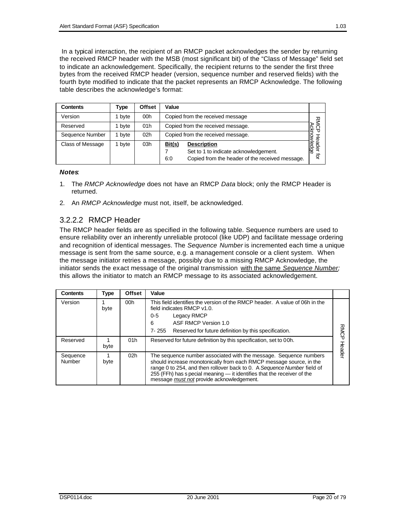In a typical interaction, the recipient of an RMCP packet acknowledges the sender by returning the received RMCP header with the MSB (most significant bit) of the "Class of Message" field set to indicate an acknowledgement. Specifically, the recipient returns to the sender the first three bytes from the received RMCP header (version, sequence number and reserved fields) with the fourth byte modified to indicate that the packet represents an RMCP Acknowledge. The following table describes the acknowledge's format:

| <b>Contents</b>         | Type   | <b>Offset</b>   | Value                                                                                                                           |                          |
|-------------------------|--------|-----------------|---------------------------------------------------------------------------------------------------------------------------------|--------------------------|
| Version                 | 1 byte | 00h             | Copied from the received message                                                                                                | 观                        |
| Reserved                | 1 byte | 01h             | Copied from the received message.                                                                                               | ⊳                        |
| Sequence Number         | 1 byte | 02 <sub>h</sub> | Copied from the received message.                                                                                               |                          |
| <b>Class of Message</b> | 1 byte | 03h             | Bit(s)<br><b>Description</b><br>Set to 1 to indicate acknowledgement.<br>Copied from the header of the received message.<br>6:0 | ledge<br><u>ge</u><br>ਰ੍ |

#### *Notes*:

- 1. The *RMCP Acknowledge* does not have an RMCP *Data* block; only the RMCP Header is returned.
- 2. An *RMCP Acknowledge* must not, itself, be acknowledged.

#### 3.2.2.2 RMCP Header

The RMCP header fields are as specified in the following table. Sequence numbers are used to ensure reliability over an inherently unreliable protocol (like UDP) and facilitate message ordering and recognition of identical messages. The *Sequence Number* is incremented each time a unique message is sent from the same source, e.g. a management console or a client system. When the message initiator retries a message, possibly due to a missing RMCP Acknowledge, the initiator sends the exact message of the original transmission with the same *Sequence Number;* this allows the initiator to match an RMCP message to its associated acknowledgement.

| <b>Contents</b>    | <b>Type</b> | <b>Offset</b>   | Value                                                                                                                                                                                                                                                                                                                                       |               |
|--------------------|-------------|-----------------|---------------------------------------------------------------------------------------------------------------------------------------------------------------------------------------------------------------------------------------------------------------------------------------------------------------------------------------------|---------------|
| Version            | byte        | 00 <sub>h</sub> | This field identifies the version of the RMCP header. A value of 06h in the<br>field indicates RMCP v1.0.<br>Legacy RMCP<br>$0 - 5$<br>ASF RMCP Version 1.0<br>6<br>7-255 Reserved for future definition by this specification.                                                                                                             |               |
| Reserved           | byte        | 01 <sub>h</sub> | Reserved for future definition by this specification, set to 00h.                                                                                                                                                                                                                                                                           | <b>leader</b> |
| Sequence<br>Number | byte        | 02 <sub>h</sub> | The sequence number associated with the message. Sequence numbers<br>should increase monotonically from each RMCP message source, in the<br>range 0 to 254, and then rollover back to 0. A Sequence Number field of<br>255 (FFh) has s pecial meaning — it identifies that the receiver of the<br>message must not provide acknowledgement. |               |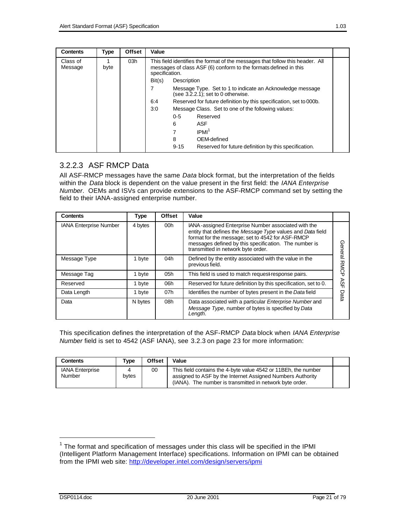| <b>Contents</b>     | <b>Type</b> | <b>Offset</b> | Value  |                                                                                                                                                                     |  |  |
|---------------------|-------------|---------------|--------|---------------------------------------------------------------------------------------------------------------------------------------------------------------------|--|--|
| Class of<br>Message | byte        | 03h           |        | This field identifies the format of the messages that follow this header. All<br>messages of class ASF (6) conform to the formats defined in this<br>specification. |  |  |
|                     |             |               | Bit(s) | Description                                                                                                                                                         |  |  |
|                     |             |               |        | Message Type. Set to 1 to indicate an Acknowledge message<br>(see $3.\overline{2}.\overline{2}.\overline{1}$ ); set to 0 otherwise.                                 |  |  |
|                     |             |               | 6:4    | Reserved for future definition by this specification, set to 000b.                                                                                                  |  |  |
|                     |             |               | 3:0    | Message Class. Set to one of the following values:                                                                                                                  |  |  |
|                     |             |               |        | $0 - 5$<br>Reserved                                                                                                                                                 |  |  |
|                     |             |               |        | 6<br>ASF                                                                                                                                                            |  |  |
|                     |             |               |        | IPMI <sup>1</sup>                                                                                                                                                   |  |  |
|                     |             |               |        | 8<br>OEM-defined                                                                                                                                                    |  |  |
|                     |             |               |        | $9 - 15$<br>Reserved for future definition by this specification.                                                                                                   |  |  |

## 3.2.2.3 ASF RMCP Data

All ASF-RMCP messages have the same *Data* block format, but the interpretation of the fields within the *Data* block is dependent on the value present in the first field: the *IANA Enterprise Number*. OEMs and ISVs can provide extensions to the ASF-RMCP command set by setting the field to their IANA-assigned enterprise number.

| <b>Contents</b>        | <b>Type</b> | <b>Offset</b>   | Value                                                                                                                                                                                                                                                                |             |
|------------------------|-------------|-----------------|----------------------------------------------------------------------------------------------------------------------------------------------------------------------------------------------------------------------------------------------------------------------|-------------|
| IANA Enterprise Number | 4 bytes     | 00 <sub>h</sub> | IANA-assigned Enterprise Number associated with the<br>entity that defines the Message Type values and Data field<br>format for the message; set to 4542 for ASF-RMCP<br>messages defined by this specification. The number is<br>transmitted in network byte order. | General     |
| Message Type           | 1 byte      | 04h             | Defined by the entity associated with the value in the<br>previous field.                                                                                                                                                                                            | <b>RMCP</b> |
| Message Tag            | 1 byte      | 05h             | This field is used to match request response pairs.                                                                                                                                                                                                                  |             |
| Reserved               | 1 byte      | 06h             | Reserved for future definition by this specification, set to 0.                                                                                                                                                                                                      | ASF         |
| Data Length            | 1 byte      | 07h             | Identifies the number of bytes present in the Data field                                                                                                                                                                                                             | Data        |
| Data                   | N bytes     | 08h             | Data associated with a particular Enterprise Number and<br>Message Type, number of bytes is specified by Data<br>Length.                                                                                                                                             |             |

This specification defines the interpretation of the ASF-RMCP *Data* block when *IANA Enterprise Number* field is set to 4542 (ASF IANA), see 3.2.3 on page 23 for more information:

| Contents                         | Tvpe  | <b>Offset</b> | Value                                                                                                                                                                                    |  |
|----------------------------------|-------|---------------|------------------------------------------------------------------------------------------------------------------------------------------------------------------------------------------|--|
| <b>IANA Enterprise</b><br>Number | bytes | 00            | This field contains the 4-byte value 4542 or 11BEh, the number<br>assigned to ASF by the Internet Assigned Numbers Authority<br>(IANA). The number is transmitted in network byte order. |  |

 $1$  The format and specification of messages under this class will be specified in the IPMI (Intelligent Platform Management Interface) specifications. Information on IPMI can be obtained from the IPMI web site: http://developer.intel.com/design/servers/ipmi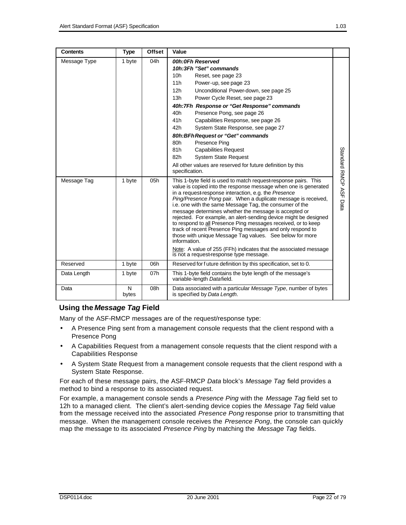| <b>Contents</b> | <b>Type</b> | <b>Offset</b> | Value                                                                                                                                                                                                                                                                                                                                                                                                                                                                                                                                                                                                                                                                                                                                                                          |                        |
|-----------------|-------------|---------------|--------------------------------------------------------------------------------------------------------------------------------------------------------------------------------------------------------------------------------------------------------------------------------------------------------------------------------------------------------------------------------------------------------------------------------------------------------------------------------------------------------------------------------------------------------------------------------------------------------------------------------------------------------------------------------------------------------------------------------------------------------------------------------|------------------------|
| Message Type    | 1 byte      | 04h           | 00h:0Fh Reserved<br>10h:3Fh "Set" commands<br>10 <sub>h</sub><br>Reset, see page 23<br>11h<br>Power-up, see page 23<br>12h<br>Unconditional Power-down, see page 25<br>13h<br>Power Cycle Reset, see page 23<br>40h:7Fh Response or "Get Response" commands<br>40h<br>Presence Pong, see page 26<br>41 <sub>h</sub><br>Capabilities Response, see page 26<br>42h<br>System State Response, see page 27<br>80h: BFh Request or "Get" commands<br>80h<br>Presence Ping<br>81h<br><b>Capabilities Request</b><br>82h<br><b>System State Request</b><br>All other values are reserved for future definition by this<br>specification.                                                                                                                                              |                        |
| Message Tag     | 1 byte      | 05h           | This 1-byte field is used to match request response pairs. This<br>value is copied into the response message when one is generated<br>in a request response interaction, e.g. the Presence<br>Ping/Presence Pong pair. When a duplicate message is received,<br>i.e. one with the same Message Tag, the consumer of the<br>message determines whether the message is accepted or<br>rejected. For example, an alert-sending device might be designed<br>to respond to all Presence Ping messages received, or to keep<br>track of recent Presence Ping messages and only respond to<br>those with unique Message Tag values. See below for more<br>information.<br>Note: A value of 255 (FFh) indicates that the associated message<br>is not a request-response type message. | Standard RMCP ASF Data |
| Reserved        | 1 byte      | 06h           | Reserved for future definition by this specification, set to 0.                                                                                                                                                                                                                                                                                                                                                                                                                                                                                                                                                                                                                                                                                                                |                        |
| Data Length     | 1 byte      | 07h           | This 1-byte field contains the byte length of the message's<br>variable-length Datafield.                                                                                                                                                                                                                                                                                                                                                                                                                                                                                                                                                                                                                                                                                      |                        |
| Data            | N<br>bytes  | 08h           | Data associated with a particular Message Type, number of bytes<br>is specified by Data Length.                                                                                                                                                                                                                                                                                                                                                                                                                                                                                                                                                                                                                                                                                |                        |

#### **Using the** *Message Tag* **Field**

Many of the ASF-RMCP messages are of the request/response type:

- A Presence Ping sent from a management console requests that the client respond with a Presence Pong
- A Capabilities Request from a management console requests that the client respond with a Capabilities Response
- A System State Request from a management console requests that the client respond with a System State Response.

For each of these message pairs, the ASF-RMCP *Data* block's *Message Tag* field provides a method to bind a response to its associated request.

For example, a management console sends a *Presence Ping* with the *Message Tag* field set to 12h to a managed client. The client's alert-sending device copies the *Message Tag* field value from the message received into the associated *Presence Pong* response prior to transmitting that message. When the management console receives the *Presence Pong*, the console can quickly map the message to its associated *Presence Ping* by matching the *Message Tag* fields.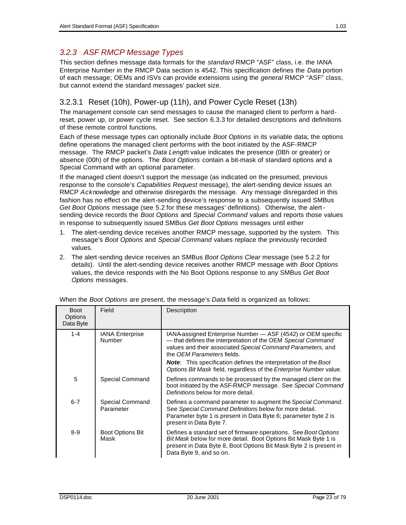## *3.2.3 ASF RMCP Message Types*

This section defines message data formats for the *standard* RMCP "ASF" class, i.e. the IANA Enterprise Number in the RMCP Data section is 4542. This specification defines the *Data* portion of each message; OEMs and ISVs can provide extensions using the *general* RMCP "ASF" class, but cannot extend the standard messages' packet size.

## 3.2.3.1 Reset (10h), Power-up (11h), and Power Cycle Reset (13h)

The management console can send messages to cause the managed client to perform a hardreset, power up, or power cycle reset. See section 6.3.3 for detailed descriptions and definitions of these remote control functions.

Each of these message types can optionally include *Boot Options* in its variable data; the options define operations the managed client performs with the boot initiated by the ASF-RMCP message. The RMCP packet's *Data Length* value indicates the presence (0Bh or greater) or absence (00h) of the options. The *Boot Options* contain a bit-mask of standard options and a Special Command with an optional parameter.

If the managed client doesn't support the message (as indicated on the presumed, previous response to the console's *Capabilities Request* message), the alert-sending device issues an RMCP *Acknowledge* and otherwise disregards the message. Any message disregarded in this fashion has no effect on the alert-sending device's response to a subsequently issued SMBus *Get Boot Options* message (see 5.2 for these messages' definitions). Otherwise, the alertsending device records the *Boot Options* and *Special Command* values and reports those values in response to subsequently issued SMBus *Get Boot Options* messages until either

- 1. The alert-sending device receives another RMCP message, supported by the system. This message's *Boot Options* and *Special Command* values replace the previously recorded values.
- 2. The alert-sending device receives an SMBus *Boot Options Clear* message (see 5.2.2 for details). Until the alert-sending device receives another RMCP message with *Boot Options* values, the device responds with the No Boot Options response to any SMBus *Get Boot Options* messages.

| <b>Boot</b><br><b>Options</b><br>Data Byte | Field                           | Description                                                                                                                                                                                                                                                                                                                                                               |
|--------------------------------------------|---------------------------------|---------------------------------------------------------------------------------------------------------------------------------------------------------------------------------------------------------------------------------------------------------------------------------------------------------------------------------------------------------------------------|
| $1 - 4$                                    | IANA Enterprise<br>Number       | IANA-assigned Enterprise Number - ASF (4542) or OEM specific<br>— that defines the interpretation of the OEM Special Command<br>values and their associated Special Command Parameters, and<br>the OFM Parameters fields.<br><b>Note:</b> This specification defines the interpretation of the Boot<br>Options Bit Mask field, regardless of the Enterprise Number value. |
| 5                                          | Special Command                 | Defines commands to be processed by the managed client on the<br>boot initiated by the ASF-RMCP message. See Special Command<br>Definitions below for more detail.                                                                                                                                                                                                        |
| $6 - 7$                                    | Special Command<br>Parameter    | Defines a command parameter to augment the Special Command.<br>See Special Command Definitions below for more detail.<br>Parameter byte 1 is present in Data Byte 6; parameter byte 2 is<br>present in Data Byte 7.                                                                                                                                                       |
| $8-9$                                      | <b>Boot Options Bit</b><br>Mask | Defines a standard set of firmware operations. See Boot Options<br>Bit Mask below for more detail. Boot Options Bit Mask Byte 1 is<br>present in Data Byte 8, Boot Options Bit Mask Byte 2 is present in<br>Data Byte 9, and so on.                                                                                                                                       |

When the *Boot Options* are present, the message's *Data* field is organized as follows: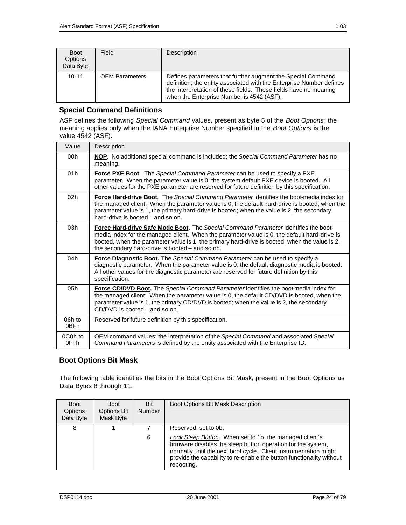| <b>Boot</b><br>Options<br>Data Byte | Field                 | Description                                                                                                                                                                                                                                          |
|-------------------------------------|-----------------------|------------------------------------------------------------------------------------------------------------------------------------------------------------------------------------------------------------------------------------------------------|
| $10 - 11$                           | <b>OEM Parameters</b> | Defines parameters that further augment the Special Command<br>definition; the entity associated with the Enterprise Number defines<br>the interpretation of these fields. These fields have no meaning<br>when the Enterprise Number is 4542 (ASF). |

#### **Special Command Definitions**

ASF defines the following *Special Command* values, present as byte 5 of the *Boot Options*; the meaning applies only when the IANA Enterprise Number specified in the *Boot Options* is the value 4542 (ASF).

| Value           | Description                                                                                                                                                                                                                                                                                                                             |
|-----------------|-----------------------------------------------------------------------------------------------------------------------------------------------------------------------------------------------------------------------------------------------------------------------------------------------------------------------------------------|
| 00h             | NOP. No additional special command is included; the Special Command Parameter has no<br>meaning.                                                                                                                                                                                                                                        |
| 01h             | <b>Force PXE Boot.</b> The Special Command Parameter can be used to specify a PXE<br>parameter. When the parameter value is 0, the system default PXE device is booted. All<br>other values for the PXE parameter are reserved for future definition by this specification.                                                             |
| 02h             | Force Hard-drive Boot. The Special Command Parameter identifies the boot-media index for<br>the managed client. When the parameter value is 0, the default hard-drive is booted, when the<br>parameter value is 1, the primary hard-drive is booted; when the value is 2, the secondary<br>hard-drive is booted – and so on.            |
| 03h             | Force Hard-drive Safe Mode Boot. The Special Command Parameter identifies the boot-<br>media index for the managed client. When the parameter value is 0, the default hard-drive is<br>booted, when the parameter value is 1, the primary hard-drive is booted; when the value is 2,<br>the secondary hard-drive is booted - and so on. |
| 04h             | Force Diagnostic Boot. The Special Command Parameter can be used to specify a<br>diagnostic parameter. When the parameter value is 0, the default diagnostic media is booted.<br>All other values for the diagnostic parameter are reserved for future definition by this<br>specification.                                             |
| 05h             | Force CD/DVD Boot. The Special Command Parameter identifies the boot-media index for<br>the managed client. When the parameter value is 0, the default CD/DVD is booted, when the<br>parameter value is 1, the primary CD/DVD is booted; when the value is 2, the secondary<br>$CD/DVD$ is booted – and so on.                          |
| 06h to<br>0BFh  | Reserved for future definition by this specification.                                                                                                                                                                                                                                                                                   |
| 0C0h to<br>0FFh | OEM command values; the interpretation of the Special Command and associated Special<br>Command Parameters is defined by the entity associated with the Enterprise ID.                                                                                                                                                                  |

#### **Boot Options Bit Mask**

The following table identifies the bits in the Boot Options Bit Mask, present in the Boot Options as Data Bytes 8 through 11.

| <b>Boot</b><br>Options<br>Data Byte | <b>Boot</b><br><b>Options Bit</b><br>Mask Byte | Bit<br><b>Number</b> | Boot Options Bit Mask Description                                                                                                                                                                                                                                                                         |
|-------------------------------------|------------------------------------------------|----------------------|-----------------------------------------------------------------------------------------------------------------------------------------------------------------------------------------------------------------------------------------------------------------------------------------------------------|
| 8                                   |                                                | 6                    | Reserved, set to 0b.<br>Lock Sleep Button. When set to 1b, the managed client's<br>firmware disables the sleep button operation for the system,<br>normally until the next boot cycle. Client instrumentation might<br>provide the capability to re-enable the button functionality without<br>rebooting. |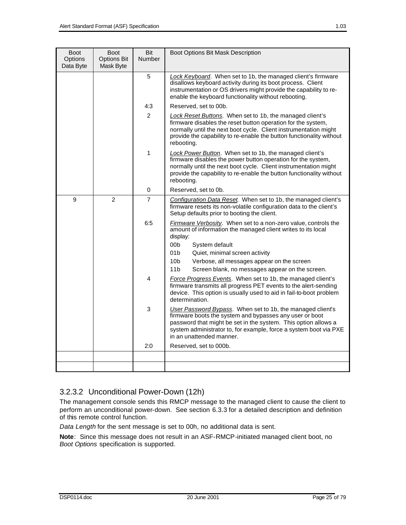| <b>Boot</b><br>Options<br>Data Byte | <b>Boot</b><br><b>Options Bit</b><br>Mask Byte | Bit<br>Number  | Boot Options Bit Mask Description                                                                                                                                                                                                                                                        |                                                                                                                                                                                      |
|-------------------------------------|------------------------------------------------|----------------|------------------------------------------------------------------------------------------------------------------------------------------------------------------------------------------------------------------------------------------------------------------------------------------|--------------------------------------------------------------------------------------------------------------------------------------------------------------------------------------|
|                                     |                                                | 5              | Lock Keyboard. When set to 1b, the managed client's firmware<br>disallows keyboard activity during its boot process. Client<br>instrumentation or OS drivers might provide the capability to re-<br>enable the keyboard functionality without rebooting.                                 |                                                                                                                                                                                      |
|                                     |                                                | 4:3            | Reserved, set to 00b.                                                                                                                                                                                                                                                                    |                                                                                                                                                                                      |
|                                     |                                                | $\overline{2}$ | Lock Reset Buttons. When set to 1b, the managed client's<br>firmware disables the reset button operation for the system,<br>normally until the next boot cycle. Client instrumentation might<br>provide the capability to re-enable the button functionality without<br>rebooting.       |                                                                                                                                                                                      |
|                                     |                                                | 1              | Lock Power Button. When set to 1b, the managed client's<br>firmware disables the power button operation for the system,<br>normally until the next boot cycle. Client instrumentation might<br>provide the capability to re-enable the button functionality without<br>rebooting.        |                                                                                                                                                                                      |
|                                     |                                                | 0              | Reserved, set to 0b.                                                                                                                                                                                                                                                                     |                                                                                                                                                                                      |
| 9<br>2                              |                                                |                | $\overline{7}$                                                                                                                                                                                                                                                                           | Configuration Data Reset. When set to 1b, the managed client's<br>firmware resets its non-volatile configuration data to the client's<br>Setup defaults prior to booting the client. |
|                                     |                                                | 6:5            | <b>Firmware Verbosity.</b> When set to a non-zero value, controls the<br>amount of information the managed client writes to its local<br>display:<br>00b<br>System default                                                                                                               |                                                                                                                                                                                      |
|                                     |                                                |                | 01 <sub>b</sub><br>Quiet, minimal screen activity                                                                                                                                                                                                                                        |                                                                                                                                                                                      |
|                                     |                                                |                | 10 <sub>b</sub><br>Verbose, all messages appear on the screen<br>11 <sub>b</sub><br>Screen blank, no messages appear on the screen.                                                                                                                                                      |                                                                                                                                                                                      |
|                                     |                                                | 4              | Force Progress Events. When set to 1b, the managed client's<br>firmware transmits all progress PET events to the alert-sending<br>device. This option is usually used to aid in fail-to-boot problem<br>determination.                                                                   |                                                                                                                                                                                      |
|                                     |                                                | 3              | User Password Bypass. When set to 1b, the managed client's<br>firmware boots the system and bypasses any user or boot<br>password that might be set in the system. This option allows a<br>system administrator to, for example, force a system boot via PXE<br>in an unattended manner. |                                                                                                                                                                                      |
|                                     |                                                | 2:0            | Reserved, set to 000b.                                                                                                                                                                                                                                                                   |                                                                                                                                                                                      |
|                                     |                                                |                |                                                                                                                                                                                                                                                                                          |                                                                                                                                                                                      |
|                                     |                                                |                |                                                                                                                                                                                                                                                                                          |                                                                                                                                                                                      |

## 3.2.3.2 Unconditional Power-Down (12h)

The management console sends this RMCP message to the managed client to cause the client to perform an unconditional power-down. See section 6.3.3 for a detailed description and definition of this remote control function.

*Data Length* for the sent message is set to 00h, no additional data is sent.

**Note**: Since this message does not result in an ASF-RMCP-initiated managed client boot, no *Boot Options* specification is supported.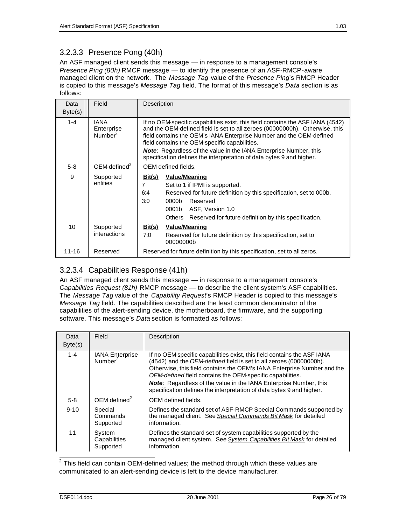An ASF managed client sends this message — in response to a management console's *Presence Ping (80h)* RMCP message — to identify the presence of an ASF-RMCP-aware managed client on the network. The *Message Tag* value of the *Presence Ping*'s RMCP Header is copied to this message's *Message Tag* field. The format of this message's *Data* section is as follows:

| Data            | Field                                            | Description                                                                                                                                                                                                                                                                           |                                                                                                                                                                                                                                                   |  |  |  |  |  |
|-----------------|--------------------------------------------------|---------------------------------------------------------------------------------------------------------------------------------------------------------------------------------------------------------------------------------------------------------------------------------------|---------------------------------------------------------------------------------------------------------------------------------------------------------------------------------------------------------------------------------------------------|--|--|--|--|--|
| Byte(s)         |                                                  |                                                                                                                                                                                                                                                                                       |                                                                                                                                                                                                                                                   |  |  |  |  |  |
| $1 - 4$         | <b>IANA</b><br>Enterprise<br>Number <sup>2</sup> | If no OEM-specific capabilities exist, this field contains the ASF IANA (4542)<br>and the OEM-defined field is set to all zeroes (00000000h). Otherwise, this<br>field contains the OEM's IANA Enterprise Number and the OEM-defined<br>field contains the OEM-specific capabilities. |                                                                                                                                                                                                                                                   |  |  |  |  |  |
|                 |                                                  | <b>Note:</b> Regardless of the value in the IANA Enterprise Number, this<br>specification defines the interpretation of data bytes 9 and higher.                                                                                                                                      |                                                                                                                                                                                                                                                   |  |  |  |  |  |
| $5 - 8$         | $OEM$ -defined <sup>2</sup>                      |                                                                                                                                                                                                                                                                                       | OEM defined fields.                                                                                                                                                                                                                               |  |  |  |  |  |
| 9               | Supported<br>entities                            | Bit(s)<br>7<br>6:4<br>3:0                                                                                                                                                                                                                                                             | <b>Value/Meaning</b><br>Set to 1 if IPMI is supported.<br>Reserved for future definition by this specification, set to 000b.<br>Reserved<br>0000b<br>0001b<br>ASF, Version 1.0<br>Reserved for future definition by this specification.<br>Others |  |  |  |  |  |
| 10 <sup>1</sup> | Supported<br>interactions                        | <u>Bit(s)</u><br>7:0                                                                                                                                                                                                                                                                  | <b>Value/Meaning</b><br>Reserved for future definition by this specification, set to<br>00000000b                                                                                                                                                 |  |  |  |  |  |
| $11 - 16$       | Reserved                                         |                                                                                                                                                                                                                                                                                       | Reserved for future definition by this specification, set to all zeros.                                                                                                                                                                           |  |  |  |  |  |

## 3.2.3.4 Capabilities Response (41h)

An ASF managed client sends this message — in response to a management console's *Capabilities Request (81h)* RMCP message — to describe the client system's ASF capabilities. The *Message Tag* value of the *Capability Request*'s RMCP Header is copied to this message's *Message Tag* field. The capabilities described are the least common denominator of the capabilities of the alert-sending device, the motherboard, the firmware, and the supporting software. This message's *Data* section is formatted as follows:

| Data<br>Byte(s) | Field                                         | Description                                                                                                                                                                                                                                                                                                                                                                                                                               |
|-----------------|-----------------------------------------------|-------------------------------------------------------------------------------------------------------------------------------------------------------------------------------------------------------------------------------------------------------------------------------------------------------------------------------------------------------------------------------------------------------------------------------------------|
| $1 - 4$         | <b>IANA Enterprise</b><br>Number <sup>2</sup> | If no OEM-specific capabilities exist, this field contains the ASF IANA<br>(4542) and the OEM-defined field is set to all zeroes (00000000h).<br>Otherwise, this field contains the OEM's IANA Enterprise Number and the<br>OEM-defined field contains the OEM-specific capabilities.<br><b>Note:</b> Regardless of the value in the IANA Enterprise Number, this<br>specification defines the interpretation of data bytes 9 and higher. |
| $5 - 8$         | $OEM$ defined <sup>2</sup>                    | OEM defined fields.                                                                                                                                                                                                                                                                                                                                                                                                                       |
| $9 - 10$        | Special<br>Commands<br>Supported              | Defines the standard set of ASF-RMCP Special Commands supported by<br>the managed client. See Special Commands Bit Mask for detailed<br>information.                                                                                                                                                                                                                                                                                      |
| 11              | System<br>Capabilities<br>Supported           | Defines the standard set of system capabilities supported by the<br>managed client system. See System Capabilities Bit Mask for detailed<br>information.                                                                                                                                                                                                                                                                                  |

 $\frac{1}{2}$ This field can contain OEM-defined values; the method through which these values are communicated to an alert-sending device is left to the device manufacturer.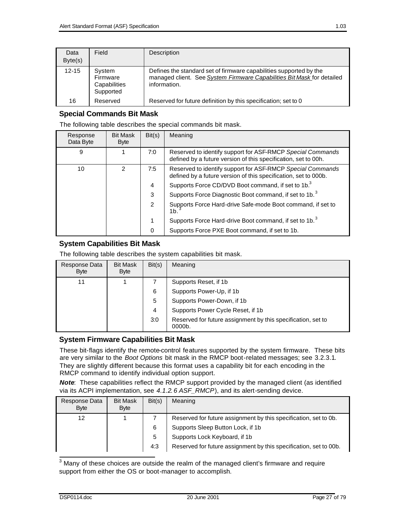| Data<br>Byte(s) | Field                                           | Description                                                                                                                                                  |
|-----------------|-------------------------------------------------|--------------------------------------------------------------------------------------------------------------------------------------------------------------|
| $12 - 15$       | System<br>Firmware<br>Capabilities<br>Supported | Defines the standard set of firmware capabilities supported by the<br>managed client. See System Firmware Capabilities Bit Mask for detailed<br>information. |
| 16              | Reserved                                        | Reserved for future definition by this specification; set to 0                                                                                               |

#### **Special Commands Bit Mask**

The following table describes the special commands bit mask.

| Response<br>Data Byte | <b>Bit Mask</b><br><b>Byte</b> | Bit(s) | Meaning                                                                                                                       |
|-----------------------|--------------------------------|--------|-------------------------------------------------------------------------------------------------------------------------------|
| 9                     |                                | 7:0    | Reserved to identify support for ASF-RMCP Special Commands<br>defined by a future version of this specification, set to 00h.  |
| 10                    | $\mathcal{P}$                  | 7:5    | Reserved to identify support for ASF-RMCP Special Commands<br>defined by a future version of this specification, set to 000b. |
|                       |                                | 4      | Supports Force CD/DVD Boot command, if set to 1b. <sup>3</sup>                                                                |
|                       |                                | 3      | Supports Force Diagnostic Boot command, if set to 1b. <sup>3</sup>                                                            |
|                       |                                | 2      | Supports Force Hard-drive Safe-mode Boot command, if set to<br>1 <sub>b</sub>                                                 |
|                       |                                | 1      | Supports Force Hard-drive Boot command, if set to 1b. <sup>3</sup>                                                            |
|                       |                                | 0      | Supports Force PXE Boot command, if set to 1b.                                                                                |

#### **System Capabilities Bit Mask**

The following table describes the system capabilities bit mask.

| Response Data<br><b>Byte</b> | <b>Bit Mask</b><br><b>Byte</b> | Bit(s) | Meaning                                                                |
|------------------------------|--------------------------------|--------|------------------------------------------------------------------------|
| 11                           |                                |        | Supports Reset, if 1b.                                                 |
|                              |                                | 6      | Supports Power-Up, if 1b.                                              |
|                              |                                | 5      | Supports Power-Down, if 1b                                             |
|                              |                                | 4      | Supports Power Cycle Reset, if 1b.                                     |
|                              |                                | 3:0    | Reserved for future assignment by this specification, set to<br>0000b. |

#### **System Firmware Capabilities Bit Mask**

These bit-flags identify the remote-control features supported by the system firmware. These bits are very similar to the *Boot Options* bit mask in the RMCP boot-related messages; see 3.2.3.1. They are slightly different because this format uses a capability bit for each encoding in the RMCP command to identify individual option support.

*Note*: These capabilities reflect the RMCP support provided by the managed client (as identified via its ACPI implementation, see *4.1.2.6 ASF\_RMCP*), and its alert-sending device.

| Response Data<br><b>Byte</b> | <b>Bit Mask</b><br>Byte | Bit(s) | Meaning                                                           |
|------------------------------|-------------------------|--------|-------------------------------------------------------------------|
| 12                           |                         |        | Reserved for future assignment by this specification, set to 0b.  |
|                              |                         | 6      | Supports Sleep Button Lock, if 1b                                 |
|                              |                         | 5      | Supports Lock Keyboard, if 1b                                     |
|                              |                         | 4:3    | Reserved for future assignment by this specification, set to 00b. |

**The sum of these choices are outside the realm of the managed client's firmware and require** support from either the OS or boot-manager to accomplish.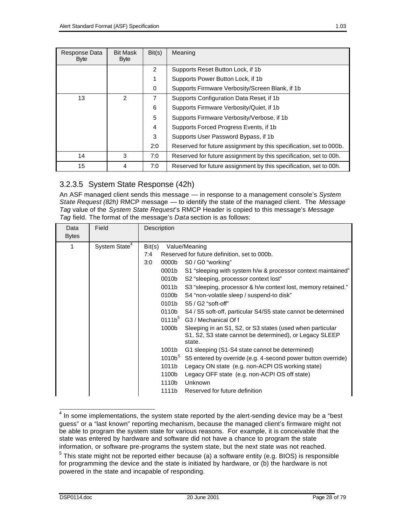| Response Data<br><b>Byte</b> | <b>Bit Mask</b><br><b>Byte</b> | Bit(s)         | Meaning                                                            |
|------------------------------|--------------------------------|----------------|--------------------------------------------------------------------|
|                              |                                | $\overline{2}$ | Supports Reset Button Lock, if 1b                                  |
|                              |                                | 1              | Supports Power Button Lock, if 1b                                  |
|                              |                                | 0              | Supports Firmware Verbosity/Screen Blank, if 1b                    |
| 13                           | $\mathcal{P}$                  | 7              | Supports Configuration Data Reset, if 1b                           |
|                              |                                | 6              | Supports Firmware Verbosity/Quiet, if 1b                           |
|                              |                                | 5              | Supports Firmware Verbosity/Verbose, if 1b.                        |
|                              |                                | 4              | Supports Forced Progress Events, if 1b                             |
|                              |                                | 3              | Supports User Password Bypass, if 1b.                              |
|                              |                                | 2:0            | Reserved for future assignment by this specification, set to 000b. |
| 14                           | 3                              | 7:0            | Reserved for future assignment by this specification, set to 00h.  |
| 15                           | 4                              | 7:0            | Reserved for future assignment by this specification, set to 00h.  |

## 3.2.3.5 System State Response (42h)

An ASF managed client sends this message — in response to a management console's *System State Request (82h)* RMCP message — to identify the state of the managed client. The *Message Tag* value of the *System State Request*'s RMCP Header is copied to this message's *Message Tag* field. The format of the message's *Data* section is as follows:

| Data<br><b>Bytes</b> | Field                     | Description                                                                                                                                                                                                                                                                                                                                                                                                                   |
|----------------------|---------------------------|-------------------------------------------------------------------------------------------------------------------------------------------------------------------------------------------------------------------------------------------------------------------------------------------------------------------------------------------------------------------------------------------------------------------------------|
| 1                    | System State <sup>4</sup> | Bit(s)<br>Value/Meaning<br>7:4<br>Reserved for future definition, set to 000b.<br>3:0<br>0000b<br>S0 / G0 "working"<br>0001b<br>S1 "sleeping with system h/w & processor context maintained"<br>0010b<br>S2 "sleeping, processor context lost"                                                                                                                                                                                |
|                      |                           | 0011b<br>S3 "sleeping, processor & h/w context lost, memory retained."<br>0100b<br>S4 "non-volatile sleep / suspend-to disk"<br>0101b<br>$S5 / G2$ "soft-off"<br>0110b<br>S4 / S5 soft-off, particular S4/S5 state cannot be determined<br>0111b <sup>5</sup> G3 / Mechanical Of f<br>1000b<br>Sleeping in an S1, S2, or S3 states (used when particular<br>S1, S2, S3 state cannot be determined), or Legacy SLEEP<br>state. |
|                      |                           | 1001b<br>G1 sleeping (S1-S4 state cannot be determined)<br>1010b <sup>5</sup><br>S5 entered by override (e.g. 4-second power button override)<br>1011b<br>Legacy ON state (e.g. non-ACPI OS working state)<br>1100b<br>Legacy OFF state (e.g. non-ACPI OS off state)<br>1110b<br>Unknown<br>Reserved for future definition<br>1111b                                                                                           |

The some implementations, the system state reported by the alert-sending device may be a "best" guess" or a "last known" reporting mechanism, because the managed client's firmware might not be able to program the system state for various reasons. For example, it is conceivable that the state was entered by hardware and software did not have a chance to program the state information, or software pre-programs the system state, but the next state was not reached. <sup>5</sup> This state might not be reported either because (a) a software entity (e.g. BIOS) is responsible for programming the device and the state is initiated by hardware, or (b) the hardware is not powered in the state and incapable of responding.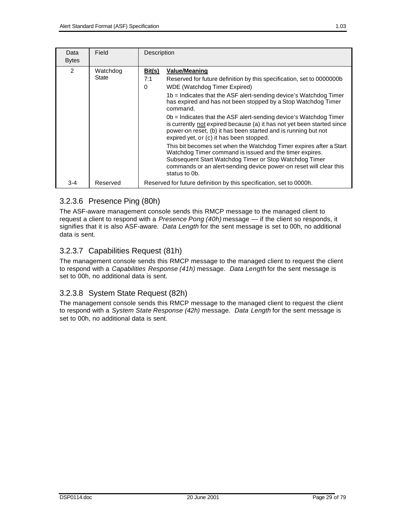| Data<br><b>Bytes</b> | Field             | Description                                                                                                                                                                                                                                                                                                                                                                                                                                                                                                                                                                                                                                                                                                                                                                                                                                                           |
|----------------------|-------------------|-----------------------------------------------------------------------------------------------------------------------------------------------------------------------------------------------------------------------------------------------------------------------------------------------------------------------------------------------------------------------------------------------------------------------------------------------------------------------------------------------------------------------------------------------------------------------------------------------------------------------------------------------------------------------------------------------------------------------------------------------------------------------------------------------------------------------------------------------------------------------|
| $\overline{2}$       | Watchdog<br>State | Bit(s)<br><b>Value/Meaning</b><br>7:1<br>Reserved for future definition by this specification, set to 0000000 Reserved<br>WDE (Watchdog Timer Expired)<br>$\Omega$<br>1b = Indicates that the ASF alert-sending device's Watchdog Timer<br>has expired and has not been stopped by a Stop Watchdog Timer<br>command.<br>$0b$ = Indicates that the ASF alert-sending device's Watchdog Timer<br>is currently not expired because (a) it has not yet been started since<br>power-on reset, (b) it has been started and is running but not<br>expired yet, or (c) it has been stopped.<br>This bit becomes set when the Watchdog Timer expires after a Start<br>Watchdog Timer command is issued and the timer expires.<br>Subsequent Start Watchdog Timer or Stop Watchdog Timer<br>commands or an alert-sending device power-on reset will clear this<br>status to 0b. |
| 3-4                  | Reserved          | Reserved for future definition by this specification, set to 0000h.                                                                                                                                                                                                                                                                                                                                                                                                                                                                                                                                                                                                                                                                                                                                                                                                   |

## 3.2.3.6 Presence Ping (80h)

The ASF-aware management console sends this RMCP message to the managed client to request a client to respond with a *Presence Pong (40h)* message — if the client so responds, it signifies that it is also ASF-aware. *Data Length* for the sent message is set to 00h, no additional data is sent.

## 3.2.3.7 Capabilities Request (81h)

The management console sends this RMCP message to the managed client to request the client to respond with a *Capabilities Response (41h)* message. *Data Length* for the sent message is set to 00h, no additional data is sent.

## 3.2.3.8 System State Request (82h)

The management console sends this RMCP message to the managed client to request the client to respond with a *System State Response (42h)* message. *Data Length* for the sent message is set to 00h, no additional data is sent.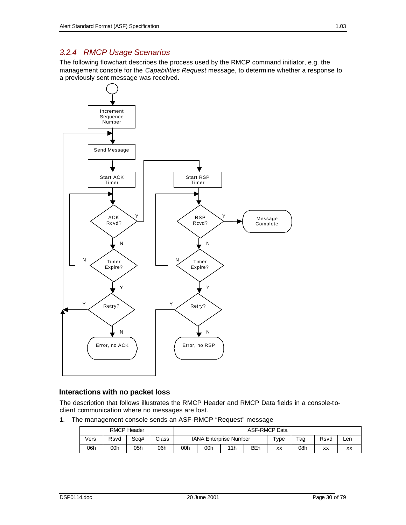## *3.2.4 RMCP Usage Scenarios*

The following flowchart describes the process used by the RMCP command initiator, e.g. the management console for the *Capabilities Request* message, to determine whether a response to a previously sent message was received.



#### **Interactions with no packet loss**

The description that follows illustrates the RMCP Header and RMCP Data fields in a console-toclient communication where no messages are lost.

1. The management console sends an ASF-RMCP "Request" message

| <b>RMCP Header</b> |      |      | <b>ASF-RMCP Data</b> |                               |  |  |                       |                 |      |     |
|--------------------|------|------|----------------------|-------------------------------|--|--|-----------------------|-----------------|------|-----|
| √ers               | Rsvd | Sea# | Class                | <b>IANA Enterprise Number</b> |  |  | $\tau_{\texttt{VDE}}$ | $\tau_{\rm ag}$ | Rsvd | Len |
| 06h                | 00h  | 05h  | 06h                  | BEh<br>00h<br>11h<br>00h      |  |  | XX                    | 08h             | XX   | XX  |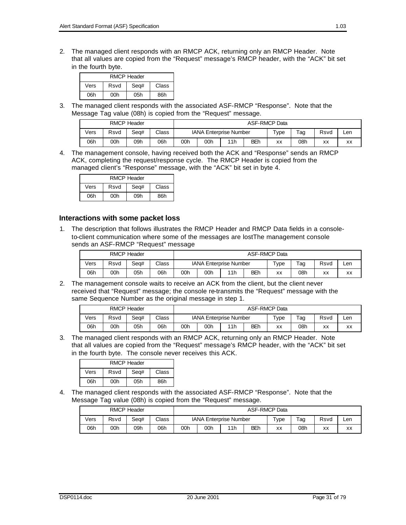2. The managed client responds with an RMCP ACK, returning only an RMCP Header. Note that all values are copied from the "Request" message's RMCP header, with the "ACK" bit set in the fourth byte.

| <b>RMCP Header</b>            |                   |  |  |  |  |  |  |  |
|-------------------------------|-------------------|--|--|--|--|--|--|--|
| Seg#<br>Class<br>Vers<br>Rsvd |                   |  |  |  |  |  |  |  |
| 06h                           | 86h<br>00h<br>05h |  |  |  |  |  |  |  |

3. The managed client responds with the associated ASF-RMCP "Response". Note that the Message Tag value (08h) is copied from the "Request" message.

| <b>RMCP Header</b> |      |      |       |                                 | <b>ASF-RMCP Data</b> |  |                     |     |      |     |
|--------------------|------|------|-------|---------------------------------|----------------------|--|---------------------|-----|------|-----|
| Vers               | Rsvd | Sea# | Class | <b>IANA Enterprise Number</b>   |                      |  | $\tau_\mathsf{VDE}$ | Tag | Rsvd | Len |
| 06h                | 00h  | 09h  | 06h   | <b>BEh</b><br>00h<br>11h<br>00h |                      |  | XX                  | 08h | XX   | XX  |

4. The management console, having received both the ACK and "Response" sends an RMCP ACK, completing the request/response cycle. The RMCP Header is copied from the managed client's "Response" message, with the "ACK" bit set in byte 4.

| <b>RMCP Header</b>            |  |  |  |  |  |  |  |  |
|-------------------------------|--|--|--|--|--|--|--|--|
| Class<br>Vers<br>Rsvd<br>Seg# |  |  |  |  |  |  |  |  |
| 06h<br>86h<br>00h<br>09h      |  |  |  |  |  |  |  |  |

#### **Interactions with some packet loss**

1. The description that follows illustrates the RMCP Header and RMCP Data fields in a consoleto-client communication where some of the messages are lostThe management console sends an ASF-RMCP "Request" message

|      | <b>RMCP Header</b> |      |       |                               | <b>ASF-RMCP Data</b> |  |                     |                    |      |     |  |
|------|--------------------|------|-------|-------------------------------|----------------------|--|---------------------|--------------------|------|-----|--|
| Vers | Rsvd               | Sea# | Class | <b>IANA Enterprise Number</b> |                      |  | $\tau_\mathsf{VDE}$ | $\tau_{\text{ag}}$ | Rsvd | ∟en |  |
| 06h  | 00h                | 05h  | 06h   | BEh<br>11h<br>00h<br>00h      |                      |  | XX                  | 08h                | XX   | XX  |  |

2. The management console waits to receive an ACK from the client, but the client never received that "Request" message; the console re-transmits the "Request" message with the same Sequence Number as the original message in step 1.

|      |      | <b>RMCP Header</b> |       |                                 | <b>ASF-RMCP Data</b> |  |  |                     |                            |      |     |
|------|------|--------------------|-------|---------------------------------|----------------------|--|--|---------------------|----------------------------|------|-----|
| Vers | Rsvd | Sea#               | Class | <b>IANA Enterprise Number</b>   |                      |  |  | $\tau_{V\text{pe}}$ | $\mathsf{g}_{\mathsf{ag}}$ | Rsvd | Len |
| 06h  | 00h  | 05h                | 06h   | <b>BEh</b><br>11h<br>00h<br>00h |                      |  |  | XX                  | 08h                        | XX   | XX  |

3. The managed client responds with an RMCP ACK, returning only an RMCP Header. Note that all values are copied from the "Request" message's RMCP header, with the "ACK" bit set in the fourth byte. The console never receives this ACK.

| <b>RMCP Header</b>            |     |     |     |  |  |  |  |  |
|-------------------------------|-----|-----|-----|--|--|--|--|--|
| Seq#<br>Rsvd<br>Class<br>Vers |     |     |     |  |  |  |  |  |
| 06h                           | 00h | 05h | 86h |  |  |  |  |  |

4. The managed client responds with the associated ASF-RMCP "Response". Note that the Message Tag value (08h) is copied from the "Request" message.

|      | <b>RMCP Header</b> |      |       |                                 | <b>ASF-RMCP Data</b> |  |         |           |      |     |
|------|--------------------|------|-------|---------------------------------|----------------------|--|---------|-----------|------|-----|
| Vers | Rsvd               | Sea# | Class | <b>IANA Enterprise Number</b>   |                      |  | $TV$ pe | $\tau$ ag | Rsvd | ∟en |
| 06h  | 00h                | 09h  | 06h   | <b>BEh</b><br>11h<br>00h<br>00h |                      |  | XX      | 08h       | xх   | XX  |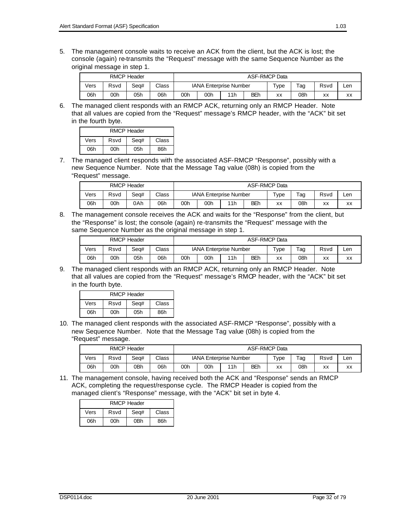5. The management console waits to receive an ACK from the client, but the ACK is lost; the console (again) re-transmits the "Request" message with the same Sequence Number as the original message in step 1.

|      | <b>RMCP Header</b> |      |       |                               | <b>ASF-RMCP Data</b> |     |         |                    |      |     |    |
|------|--------------------|------|-------|-------------------------------|----------------------|-----|---------|--------------------|------|-----|----|
| Vers | Rsvd               | Sea# | Class | <b>IANA Enterprise Number</b> |                      |     | $TV$ pe | $\tau_{\text{ag}}$ | Rsvd | ∟en |    |
| 06h  | 00h                | 05h  | 06h   | 00h                           | 00h                  | 11h | BEh     | XX                 | 08h  | XX  | XX |

6. The managed client responds with an RMCP ACK, returning only an RMCP Header. Note that all values are copied from the "Request" message's RMCP header, with the "ACK" bit set in the fourth byte.

| <b>RMCP Header</b>            |  |  |  |  |  |  |  |  |
|-------------------------------|--|--|--|--|--|--|--|--|
| Seg#<br>Rsvd<br>Vers<br>Class |  |  |  |  |  |  |  |  |
| 05h<br>86h<br>06h<br>00h      |  |  |  |  |  |  |  |  |

7. The managed client responds with the associated ASF-RMCP "Response", possibly with a new Sequence Number. Note that the Message Tag value (08h) is copied from the "Request" message.

|      | <b>RMCP Header</b> |      |       |                               | <b>ASF-RMCP Data</b> |  |                     |     |      |     |
|------|--------------------|------|-------|-------------------------------|----------------------|--|---------------------|-----|------|-----|
| Vers | Rsvd               | Sea# | Class | <b>IANA Enterprise Number</b> |                      |  | $\tau_{V\text{pe}}$ | Tag | Rsvd | ∟en |
| 06h  | 00h                | 0Ah  | 06h   | BEh<br>00h<br>00h<br>11h      |                      |  | XX                  | 08h | XX   | XX  |

8. The management console receives the ACK and waits for the "Response" from the client, but the "Response" is lost; the console (again) re-transmits the "Request" message with the same Sequence Number as the original message in step 1.

|      | <b>RMCP Header</b> |      |       |                               | <b>ASF-RMCP Data</b> |     |            |     |      |     |    |
|------|--------------------|------|-------|-------------------------------|----------------------|-----|------------|-----|------|-----|----|
| Vers | Rsvd               | Sea# | Class | <b>IANA Enterprise Number</b> |                      |     | $TV$ pe    | Tag | Rsvd | Len |    |
| 06h  | 00h                | 05h  | 06h   | 00h                           | 00h                  | 11h | <b>BEh</b> | XX  | 08h  | XX  | XX |

9. The managed client responds with an RMCP ACK, returning only an RMCP Header. Note that all values are copied from the "Request" message's RMCP header, with the "ACK" bit set in the fourth byte.

| <b>RMCP Header</b>            |     |     |     |  |  |  |  |  |
|-------------------------------|-----|-----|-----|--|--|--|--|--|
| Vers<br>Rsvd<br>Seq#<br>Class |     |     |     |  |  |  |  |  |
| 06h                           | 00h | 05h | 86h |  |  |  |  |  |

10. The managed client responds with the associated ASF-RMCP "Response", possibly with a new Sequence Number. Note that the Message Tag value (08h) is copied from the "Request" message.

|      | <b>RMCP Header</b> |      |       |                                 | <b>ASF-RMCP Data</b> |  |  |                     |                    |      |     |
|------|--------------------|------|-------|---------------------------------|----------------------|--|--|---------------------|--------------------|------|-----|
| Vers | Rsvd               | Sea# | Class | <b>IANA Enterprise Number</b>   |                      |  |  | $\tau_{V\text{pe}}$ | $\tau_{\text{ag}}$ | Rsvd | Len |
| 06h  | 00h                | 0Bh  | 06h   | <b>BEh</b><br>11h<br>00h<br>00h |                      |  |  | XX                  | 08h                | XX   | XX  |

11. The management console, having received both the ACK and "Response" sends an RMCP ACK, completing the request/response cycle. The RMCP Header is copied from the managed client's "Response" message, with the "ACK" bit set in byte 4.

| <b>RMCP Header</b>            |                   |  |  |  |  |  |  |  |  |
|-------------------------------|-------------------|--|--|--|--|--|--|--|--|
| Vers<br>Rsvd<br>Seg#<br>Class |                   |  |  |  |  |  |  |  |  |
| 06h                           | 86h<br>0Bh<br>00h |  |  |  |  |  |  |  |  |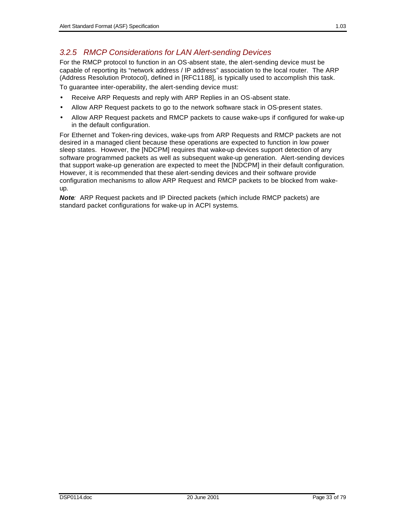### *3.2.5 RMCP Considerations for LAN Alert-sending Devices*

For the RMCP protocol to function in an OS-absent state, the alert-sending device must be capable of reporting its "network address / IP address" association to the local router. The ARP (Address Resolution Protocol), defined in [RFC1188], is typically used to accomplish this task. To guarantee inter-operability, the alert-sending device must:

- Receive ARP Requests and reply with ARP Replies in an OS-absent state.
- Allow ARP Request packets to go to the network software stack in OS-present states.
- Allow ARP Request packets and RMCP packets to cause wake-ups if configured for wake-up in the default configuration.

For Ethernet and Token-ring devices, wake-ups from ARP Requests and RMCP packets are not desired in a managed client because these operations are expected to function in low power sleep states. However, the [NDCPM] requires that wake-up devices support detection of any software programmed packets as well as subsequent wake-up generation. Alert-sending devices that support wake-up generation are expected to meet the [NDCPM] in their default configuration. However, it is recommended that these alert-sending devices and their software provide configuration mechanisms to allow ARP Request and RMCP packets to be blocked from wakeup.

*Note:* ARP Request packets and IP Directed packets (which include RMCP packets) are standard packet configurations for wake-up in ACPI systems*.*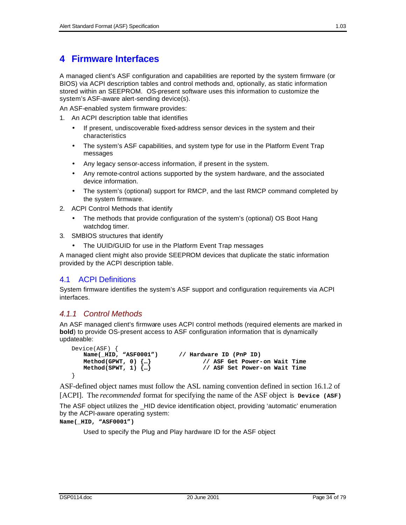# **4 Firmware Interfaces**

A managed client's ASF configuration and capabilities are reported by the system firmware (or BIOS) via ACPI description tables and control methods and, optionally, as static information stored within an SEEPROM. OS-present software uses this information to customize the system's ASF-aware alert-sending device(s).

An ASF-enabled system firmware provides:

- 1. An ACPI description table that identifies
	- If present, undiscoverable fixed-address sensor devices in the system and their characteristics
	- The system's ASF capabilities, and system type for use in the Platform Event Trap messages
	- Any legacy sensor-access information, if present in the system.
	- Any remote-control actions supported by the system hardware, and the associated device information.
	- The system's (optional) support for RMCP, and the last RMCP command completed by the system firmware.
- 2. ACPI Control Methods that identify
	- The methods that provide configuration of the system's (optional) OS Boot Hang watchdog timer.
- 3. SMBIOS structures that identify
	- The UUID/GUID for use in the Platform Event Trap messages

A managed client might also provide SEEPROM devices that duplicate the static information provided by the ACPI description table.

#### 4.1 ACPI Definitions

System firmware identifies the system's ASF support and configuration requirements via ACPI interfaces.

#### *4.1.1 Control Methods*

An ASF managed client's firmware uses ACPI control methods (required elements are marked in **bold**) to provide OS-present access to ASF configuration information that is dynamically updateable:

```
Device(ASF) {<br>Name(_HID, "ASF0001")
                                              Name(_HID, "ASF0001") // Hardware ID (PnP ID)
    Method(GPWT, 0) \{...\}<br>Method(SPWT, 1) \{...\}<br>// ASF Set Power-on Wait Time
                                                         Method(SPWT, 1) {…} // ASF Set Power-on Wait Time
}
```
ASF-defined object names must follow the ASL naming convention defined in section 16.1.2 of [ACPI]. The *recommended* format for specifying the name of the ASF object is **Device (ASF)**

The ASF object utilizes the \_HID device identification object, providing 'automatic' enumeration by the ACPI-aware operating system:

```
Name(_HID, "ASF0001")
```
Used to specify the Plug and Play hardware ID for the ASF object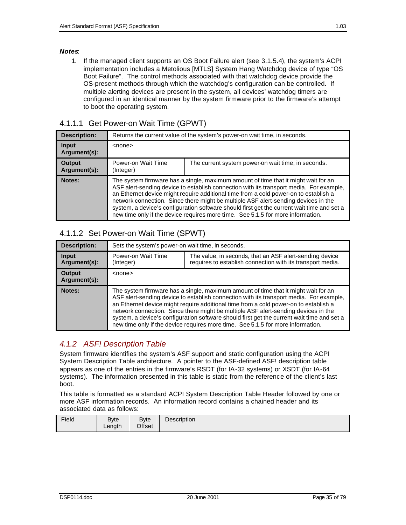#### *Notes*:

1. If the managed client supports an OS Boot Failure alert (see 3.1.5.4), the system's ACPI implementation includes a Metolious [MTLS] System Hang Watchdog device of type "OS Boot Failure". The control methods associated with that watchdog device provide the OS-present methods through which the watchdog's configuration can be controlled. If multiple alerting devices are present in the system, all devices' watchdog timers are configured in an identical manner by the system firmware prior to the firmware's attempt to boot the operating system.

### 4.1.1.1 Get Power-on Wait Time (GPWT)

| <b>Description:</b>           | Returns the current value of the system's power-on wait time, in seconds.                                                                                                                                                                                                                                                                                                                                                                                                                                                                    |                                                    |  |  |  |
|-------------------------------|----------------------------------------------------------------------------------------------------------------------------------------------------------------------------------------------------------------------------------------------------------------------------------------------------------------------------------------------------------------------------------------------------------------------------------------------------------------------------------------------------------------------------------------------|----------------------------------------------------|--|--|--|
| <b>Input</b><br>Argument(s):  | $<$ none $>$                                                                                                                                                                                                                                                                                                                                                                                                                                                                                                                                 |                                                    |  |  |  |
| <b>Output</b><br>Argument(s): | Power-on Wait Time<br>(Integer)                                                                                                                                                                                                                                                                                                                                                                                                                                                                                                              | The current system power-on wait time, in seconds. |  |  |  |
| Notes:                        | The system firmware has a single, maximum amount of time that it might wait for an<br>ASF alert-sending device to establish connection with its transport media. For example,<br>an Ethernet device might require additional time from a cold power-on to establish a<br>network connection. Since there might be multiple ASF alert-sending devices in the<br>system, a device's configuration software should first get the current wait time and set a<br>new time only if the device requires more time. See 5.1.5 for more information. |                                                    |  |  |  |

## 4.1.1.2 Set Power-on Wait Time (SPWT)

| <b>Description:</b>           | Sets the system's power-on wait time, in seconds.                                                                                                                                                                                                                                                                                                                                                                                                                                                                                            |  |  |  |  |
|-------------------------------|----------------------------------------------------------------------------------------------------------------------------------------------------------------------------------------------------------------------------------------------------------------------------------------------------------------------------------------------------------------------------------------------------------------------------------------------------------------------------------------------------------------------------------------------|--|--|--|--|
| <b>Input</b><br>Argument(s):  | Power-on Wait Time<br>The value, in seconds, that an ASF alert-sending device<br>requires to establish connection with its transport media.<br>(Integer)                                                                                                                                                                                                                                                                                                                                                                                     |  |  |  |  |
| <b>Output</b><br>Argument(s): | <none></none>                                                                                                                                                                                                                                                                                                                                                                                                                                                                                                                                |  |  |  |  |
| Notes:                        | The system firmware has a single, maximum amount of time that it might wait for an<br>ASF alert-sending device to establish connection with its transport media. For example,<br>an Ethernet device might require additional time from a cold power-on to establish a<br>network connection. Since there might be multiple ASF alert-sending devices in the<br>system, a device's configuration software should first get the current wait time and set a<br>new time only if the device requires more time. See 5.1.5 for more information. |  |  |  |  |

## *4.1.2 ASF! Description Table*

System firmware identifies the system's ASF support and static configuration using the ACPI System Description Table architecture. A pointer to the ASF-defined ASF! description table appears as one of the entries in the firmware's RSDT (for IA-32 systems) or XSDT (for IA-64 systems). The information presented in this table is static from the reference of the client's last boot.

This table is formatted as a standard ACPI System Description Table Header followed by one or more ASF information records. An information record contains a chained header and its associated data as follows:

| Field | <b>B</b> vte<br>Length | <b>Byte</b><br>Offset | Description |
|-------|------------------------|-----------------------|-------------|
|-------|------------------------|-----------------------|-------------|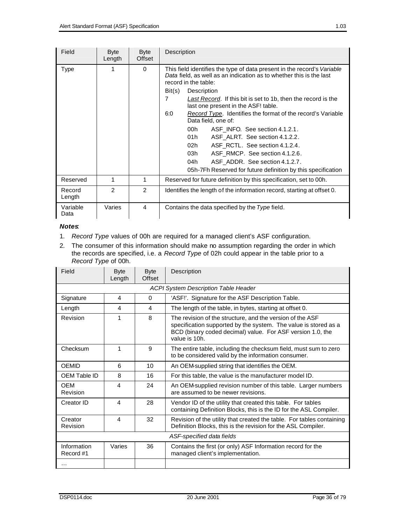| Field            | <b>Byte</b><br>Length | <b>Byte</b><br>Offset | Description                                                                                                                                                            |  |  |
|------------------|-----------------------|-----------------------|------------------------------------------------------------------------------------------------------------------------------------------------------------------------|--|--|
| <b>Type</b>      | 1                     | $\Omega$              | This field identifies the type of data present in the record's Variable<br>Data field, as well as an indication as to whether this is the last<br>record in the table: |  |  |
|                  |                       |                       | Description<br>Bit(s)<br>7                                                                                                                                             |  |  |
|                  |                       |                       | Last Record. If this bit is set to 1b, then the record is the<br>last one present in the ASF! table.                                                                   |  |  |
|                  |                       |                       | 6:0<br><i>Record Type.</i> Identifies the format of the record's Variable<br>Data field, one of:                                                                       |  |  |
|                  |                       |                       | 00h<br>ASF INFO. See section 4.1.2.1.                                                                                                                                  |  |  |
|                  |                       |                       | 01h<br>ASF ALRT. See section 4.1.2.2.                                                                                                                                  |  |  |
|                  |                       |                       | 02h<br>ASF RCTL. See section 4.1.2.4.                                                                                                                                  |  |  |
|                  |                       |                       | 03h<br>ASF RMCP. See section 4.1.2.6.                                                                                                                                  |  |  |
|                  |                       |                       | 04h<br>ASF ADDR. See section 4.1.2.7.                                                                                                                                  |  |  |
|                  |                       |                       | 05h-7Fh Reserved for future definition by this specification                                                                                                           |  |  |
| Reserved         | 1                     | 1                     | Reserved for future definition by this specification, set to 00h.                                                                                                      |  |  |
| Record<br>Length | $\overline{2}$        | 2                     | Identifies the length of the information record, starting at offset 0.                                                                                                 |  |  |
| Variable<br>Data | Varies                | 4                     | Contains the data specified by the Type field.                                                                                                                         |  |  |

#### *Notes*:

- 1. *Record Type* values of 00h are required for a managed client's ASF configuration.
- 2. The consumer of this information should make no assumption regarding the order in which the records are specified, i.e. a *Record Type* of 02h could appear in the table prior to a *Record Type* of 00h.

| Field                    | <b>Byte</b><br>Length | <b>Byte</b><br>Offset | Description                                                                                                                                                                                                 |  |
|--------------------------|-----------------------|-----------------------|-------------------------------------------------------------------------------------------------------------------------------------------------------------------------------------------------------------|--|
|                          |                       |                       | <b>ACPI System Description Table Header</b>                                                                                                                                                                 |  |
| Signature                | 4                     | $\Omega$              | 'ASF!'. Signature for the ASF Description Table.                                                                                                                                                            |  |
| Length                   | 4                     | 4                     | The length of the table, in bytes, starting at offset 0.                                                                                                                                                    |  |
| Revision                 | 1                     | 8                     | The revision of the structure, and the version of the ASF<br>specification supported by the system. The value is stored as a<br>BCD (binary coded decimal) value. For ASF version 1.0, the<br>value is 10h. |  |
| Checksum                 | 1                     | 9                     | The entire table, including the checksum field, must sum to zero<br>to be considered valid by the information consumer.                                                                                     |  |
| <b>OEMID</b>             | 6                     | 10                    | An OEM-supplied string that identifies the OEM.                                                                                                                                                             |  |
| OEM Table ID             | 8                     | 16                    | For this table, the value is the manufacturer model ID.                                                                                                                                                     |  |
| <b>OEM</b><br>Revision   | 4                     | 24                    | An OEM-supplied revision number of this table. Larger numbers<br>are assumed to be newer revisions.                                                                                                         |  |
| Creator ID               | 4                     | 28                    | Vendor ID of the utility that created this table. For tables<br>containing Definition Blocks, this is the ID for the ASL Compiler.                                                                          |  |
| Creator<br>Revision      | 4                     | 32                    | Revision of the utility that created the table. For tables containing<br>Definition Blocks, this is the revision for the ASL Compiler.                                                                      |  |
|                          |                       |                       | ASF-specified data fields                                                                                                                                                                                   |  |
| Information<br>Record #1 | Varies                | 36                    | Contains the first (or only) ASF Information record for the<br>managed client's implementation.                                                                                                             |  |
| .                        |                       |                       |                                                                                                                                                                                                             |  |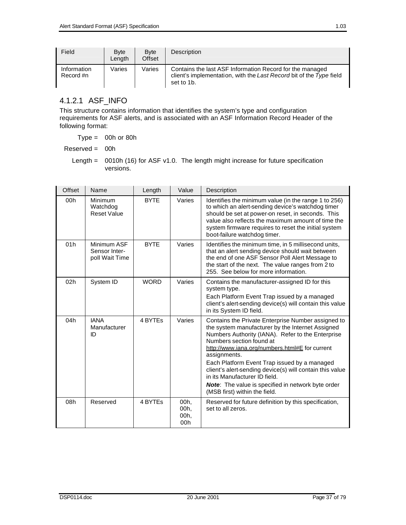| Field                    | <b>B</b> vte<br>Length | <b>B</b> vte<br>Offset | Description                                                                                                                                   |
|--------------------------|------------------------|------------------------|-----------------------------------------------------------------------------------------------------------------------------------------------|
| Information<br>Record #n | Varies                 | Varies                 | Contains the last ASF Information Record for the managed<br>client's implementation, with the Last Record bit of the Type field<br>set to 1b. |

## 4.1.2.1 ASF\_INFO

This structure contains information that identifies the system's type and configuration requirements for ASF alerts, and is associated with an ASF Information Record Header of the following format:

 $Type = 00h$  or 80h

Reserved = 00h

Length =  $0010h$  (16) for ASF v1.0. The length might increase for future specification versions.

| Offset | Name                                           | Length      | Value                       | Description                                                                                                                                                                                                                                                                                                                                                                                                                                                                                          |
|--------|------------------------------------------------|-------------|-----------------------------|------------------------------------------------------------------------------------------------------------------------------------------------------------------------------------------------------------------------------------------------------------------------------------------------------------------------------------------------------------------------------------------------------------------------------------------------------------------------------------------------------|
| 00h    | Minimum<br>Watchdog<br><b>Reset Value</b>      | <b>BYTE</b> | Varies                      | Identifies the minimum value (in the range 1 to 256)<br>to which an alert-sending device's watchdog timer<br>should be set at power-on reset, in seconds. This<br>value also reflects the maximum amount of time the<br>system firmware requires to reset the initial system<br>boot-failure watchdog timer.                                                                                                                                                                                         |
| 01h    | Minimum ASF<br>Sensor Inter-<br>poll Wait Time | <b>BYTE</b> | Varies                      | Identifies the minimum time, in 5 millisecond units,<br>that an alert sending device should wait between<br>the end of one ASF Sensor Poll Alert Message to<br>the start of the next. The value ranges from 2 to<br>255. See below for more information.                                                                                                                                                                                                                                             |
| 02h    | System ID                                      | <b>WORD</b> | Varies                      | Contains the manufacturer-assigned ID for this<br>system type.<br>Each Platform Event Trap issued by a managed<br>client's alert-sending device(s) will contain this value<br>in its System ID field.                                                                                                                                                                                                                                                                                                |
| 04h    | <b>IANA</b><br>Manufacturer<br>ID              | 4 BYTES     | Varies                      | Contains the Private Enterprise Number assigned to<br>the system manufacturer by the Internet Assigned<br>Numbers Authority (IANA). Refer to the Enterprise<br>Numbers section found at<br>http://www.iana.org/numbers.html#E for current<br>assignments.<br>Each Platform Event Trap issued by a managed<br>client's alert-sending device(s) will contain this value<br>in its Manufacturer ID field.<br><b>Note:</b> The value is specified in network byte order<br>(MSB first) within the field. |
| 08h    | Reserved                                       | 4 BYTES     | 00h,<br>00h,<br>00h,<br>00h | Reserved for future definition by this specification,<br>set to all zeros.                                                                                                                                                                                                                                                                                                                                                                                                                           |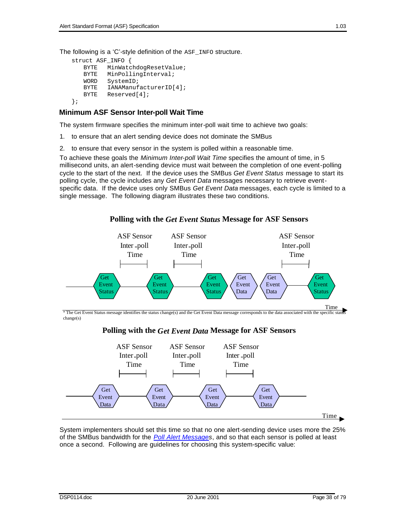```
struct ASF_INFO {
    BYTE MinWatchdogResetValue;<br>BYTE MinPollingInterval;
    BYTE MinPollingInterval;<br>WORD SystemID;
    WORD SystemID;<br>BYTE IANAManuf
              IANAManufacturerID[4];
    BYTE Reserved[4];
};
```
#### **Minimum ASF Sensor Inter-poll Wait Time**

The system firmware specifies the minimum inter-poll wait time to achieve two goals:

- 1. to ensure that an alert sending device does not dominate the SMBus
- 2. to ensure that every sensor in the system is polled within a reasonable time.

To achieve these goals the *Minimum Inter-poll Wait Time* specifies the amount of time, in 5 millisecond units, an alert-sending device must wait between the completion of one event-polling cycle to the start of the next. If the device uses the SMBus *Get Event Status* message to start its polling cycle, the cycle includes any *Get Event Data* messages necessary to retrieve eventspecific data. If the device uses only SMBus *Get Event Data* messages, each cycle is limited to a single message. The following diagram illustrates these two conditions.

**Polling with the** *Get Event Status* **Message for ASF Sensors**



\* The Get Event Status message identifies the status change(s) and the Get Event Data message corresponds to the data associated with the specific status change(s)

#### **Polling with the** *Get Event Data* **Message for ASF Sensors**



System implementers should set this time so that no one alert-sending device uses more the 25% of the SMBus bandwidth for the *Poll Alert Messages*, and so that each sensor is polled at least once a second. Following are guidelines for choosing this system-specific value: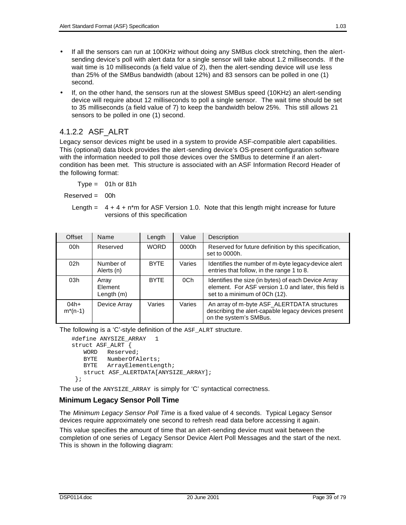- If all the sensors can run at 100KHz without doing any SMBus clock stretching, then the alertsending device's poll with alert data for a single sensor will take about 1.2 milliseconds. If the wait time is 10 milliseconds (a field value of 2), then the alert-sending device will use less than 25% of the SMBus bandwidth (about 12%) and 83 sensors can be polled in one (1) second.
- If, on the other hand, the sensors run at the slowest SMBus speed (10KHz) an alert-sending device will require about 12 milliseconds to poll a single sensor. The wait time should be set to 35 milliseconds (a field value of 7) to keep the bandwidth below 25%. This still allows 21 sensors to be polled in one (1) second.

### 4.1.2.2 ASF\_ALRT

Legacy sensor devices might be used in a system to provide ASF-compatible alert capabilities. This (optional) data block provides the alert-sending device's OS-present configuration software with the information needed to poll those devices over the SMBus to determine if an alertcondition has been met. This structure is associated with an ASF Information Record Header of the following format:

 $Type = 01h$  or 81h

Reserved = 00h

Length  $= 4 + 4 + n<sup>*</sup>m$  for ASF Version 1.0. Note that this length might increase for future versions of this specification

| Offset                 | Name                             | Length      | Value  | Description                                                                                                                                   |
|------------------------|----------------------------------|-------------|--------|-----------------------------------------------------------------------------------------------------------------------------------------------|
| 00h                    | Reserved                         | <b>WORD</b> | 0000h  | Reserved for future definition by this specification.<br>set to 0000h.                                                                        |
| 02 <sub>h</sub>        | Number of<br>Alerts (n)          | <b>BYTE</b> | Varies | Identifies the number of m-byte legacy-device alert<br>entries that follow, in the range 1 to 8.                                              |
| 03h                    | Array<br>Element<br>Length $(m)$ | <b>BYTE</b> | 0Ch    | Identifies the size (in bytes) of each Device Array<br>element. For ASF version 1.0 and later, this field is<br>set to a minimum of 0Ch (12). |
| $04h+$<br>$m^{*}(n-1)$ | Device Array                     | Varies      | Varies | An array of m-byte ASF_ALERTDATA structures<br>describing the alert-capable legacy devices present<br>on the system's SMBus.                  |

The following is a 'C'-style definition of the ASF\_ALRT structure.

```
#define ANYSIZE_ARRAY 1
struct ASF_ALRT {
   WORD Reserved;
   BYTE NumberOfAlerts;
   BYTE ArrayElementLength;
   struct ASF_ALERTDATA[ANYSIZE_ARRAY];
 };
```
The use of the ANYSIZE\_ARRAY is simply for 'C' syntactical correctness.

#### **Minimum Legacy Sensor Poll Time**

The *Minimum Legacy Sensor Poll Time* is a fixed value of 4 seconds. Typical Legacy Sensor devices require approximately one second to refresh read data before accessing it again.

This value specifies the amount of time that an alert-sending device must wait between the completion of one series of Legacy Sensor Device Alert Poll Messages and the start of the next. This is shown in the following diagram: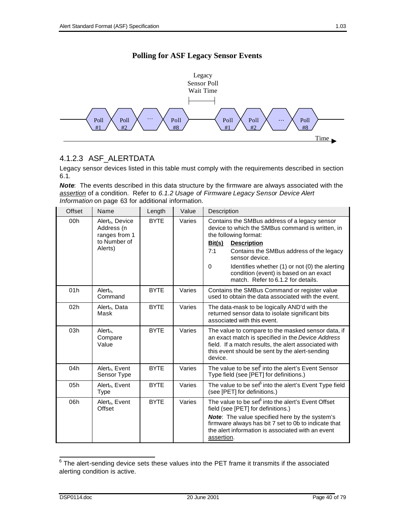



### 4.1.2.3 ASF\_ALERTDATA

Legacy sensor devices listed in this table must comply with the requirements described in section 6.1.

*Note*: The events described in this data structure by the firmware are always associated with the *assertion* of a condition. Refer to *6.1.2 Usage of Firmware Legacy Sensor Device Alert Information* on page 63 for additional information.

| Offset | Name                                                                                  | Length      | Value  | Description                                                                                                                                                                                                                                                                                                                                                                   |
|--------|---------------------------------------------------------------------------------------|-------------|--------|-------------------------------------------------------------------------------------------------------------------------------------------------------------------------------------------------------------------------------------------------------------------------------------------------------------------------------------------------------------------------------|
| 00h    | Alert <sub>n</sub> , Device<br>Address (n<br>ranges from 1<br>to Number of<br>Alerts) | <b>BYTE</b> | Varies | Contains the SMBus address of a legacy sensor<br>device to which the SMBus command is written, in<br>the following format:<br><u>Bit(s)</u><br><b>Description</b><br>7:1<br>Contains the SMBus address of the legacy<br>sensor device.<br>0<br>Identifies whether (1) or not (0) the alerting<br>condition (event) is based on an exact<br>match. Refer to 6.1.2 for details. |
| 01h    | Alert <sub>n</sub><br>Command                                                         | <b>BYTE</b> | Varies | Contains the SMBus Command or register value<br>used to obtain the data associated with the event.                                                                                                                                                                                                                                                                            |
| 02h    | Alert <sub>n</sub> , Data<br>Mask                                                     | <b>BYTE</b> | Varies | The data-mask to be logically AND'd with the<br>returned sensor data to isolate significant bits<br>associated with this event.                                                                                                                                                                                                                                               |
| 03h    | Alert <sub>n</sub><br>Compare<br>Value                                                | <b>BYTE</b> | Varies | The value to compare to the masked sensor data, if<br>an exact match is specified in the Device Address<br>field. If a match results, the alert associated with<br>this event should be sent by the alert-sending<br>device.                                                                                                                                                  |
| 04h    | Alert <sub>n</sub> , Event<br>Sensor Type                                             | <b>BYTE</b> | Varies | The value to be set into the alert's Event Sensor<br>Type field (see [PET] for definitions.)                                                                                                                                                                                                                                                                                  |
| 05h    | Alert <sub>n</sub> , Event<br>Type                                                    | <b>BYTE</b> | Varies | The value to be set <sup>6</sup> into the alert's Event Type field<br>(see [PET] for definitions.)                                                                                                                                                                                                                                                                            |
| 06h    | Alert <sub>n</sub> , Event<br>Offset                                                  | <b>BYTE</b> | Varies | The value to be set <sup>6</sup> into the alert's Event Offset<br>field (see [PET] for definitions.)<br><b>Note:</b> The value specified here by the system's<br>firmware always has bit 7 set to 0b to indicate that<br>the alert information is associated with an event<br>assertion.                                                                                      |

The alert-sending device sets these values into the PET frame it transmits if the associated alerting condition is active.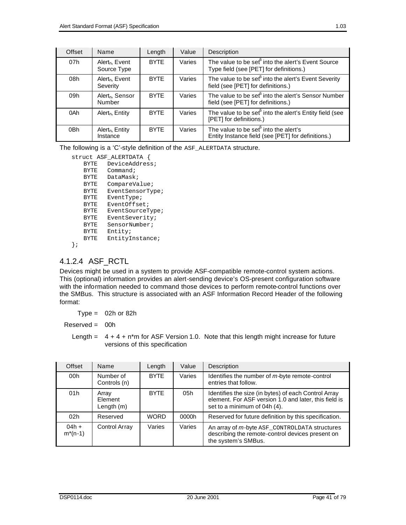| Offset | Name                                      | Length      | Value  | Description                                                                                               |
|--------|-------------------------------------------|-------------|--------|-----------------------------------------------------------------------------------------------------------|
| 07h    | Alert <sub>n</sub> , Event<br>Source Type | <b>BYTE</b> | Varies | The value to be set <sup>6</sup> into the alert's Event Source<br>Type field (see [PET] for definitions.) |
| 08h    | Alert <sub>n</sub> , Event<br>Severity    | <b>BYTE</b> | Varies | The value to be set <sup>6</sup> into the alert's Event Severity<br>field (see [PET] for definitions.)    |
| 09h    | Alert <sub>n</sub> , Sensor<br>Number     | <b>BYTE</b> | Varies | The value to be set <sup>6</sup> into the alert's Sensor Number<br>field (see [PET] for definitions.)     |
| 0Ah    | Alert <sub>n</sub> , Entity               | <b>BYTE</b> | Varies | The value to be set <sup>6</sup> into the alert's Entity field (see<br>[PET] for definitions.)            |
| 0Bh    | $Alert_n$ , Entity<br>Instance            | <b>BYTE</b> | Varies | The value to be set <sup>6</sup> into the alert's<br>Entity Instance field (see [PET] for definitions.)   |

The following is a 'C'-style definition of the ASF\_ALERTDATA structure.

|             | struct ASF ALERTDATA |  |  |
|-------------|----------------------|--|--|
| BYTE        | DeviceAddress;       |  |  |
| <b>BYTE</b> | Command;             |  |  |
| BYTE        | DataMask;            |  |  |
| <b>BYTE</b> | CompareValue;        |  |  |
| <b>BYTE</b> | EventSensorType;     |  |  |
| <b>BYTE</b> | EventType;           |  |  |
| <b>BYTE</b> | EventOffset:         |  |  |
| BYTE        | EventSourceType;     |  |  |
| BYTE        | EventSeverity;       |  |  |
| BYTE        | SensorNumber;        |  |  |
| <b>BYTE</b> | Entity;              |  |  |
| BYTE        | EntityInstance;      |  |  |
|             |                      |  |  |

### 4.1.2.4 ASF\_RCTL

Devices might be used in a system to provide ASF-compatible remote-control system actions. This (optional) information provides an alert-sending device's OS-present configuration software with the information needed to command those devices to perform remote-control functions over the SMBus. This structure is associated with an ASF Information Record Header of the following format:

 $Type = 02h$  or 82h

Reserved = 00h

Length  $= 4 + 4 + n<sup>*</sup>m$  for ASF Version 1.0. Note that this length might increase for future versions of this specification

| Offset                  | Name                           | Length      | Value  | Description                                                                                                                                   |
|-------------------------|--------------------------------|-------------|--------|-----------------------------------------------------------------------------------------------------------------------------------------------|
| 00h                     | Number of<br>Controls (n)      | <b>BYTE</b> | Varies | Identifies the number of m-byte remote-control<br>entries that follow.                                                                        |
| 01h                     | Array<br>Element<br>Length (m) | <b>BYTE</b> | 05h    | Identifies the size (in bytes) of each Control Array<br>element. For ASF version 1.0 and later, this field is<br>set to a minimum of 04h (4). |
| 02h                     | Reserved                       | <b>WORD</b> | 0000h  | Reserved for future definition by this specification.                                                                                         |
| $04h +$<br>$m^{*}(n-1)$ | Control Array                  | Varies      | Varies | An array of m-byte ASF_CONTROLDATA structures<br>describing the remote-control devices present on<br>the system's SMBus.                      |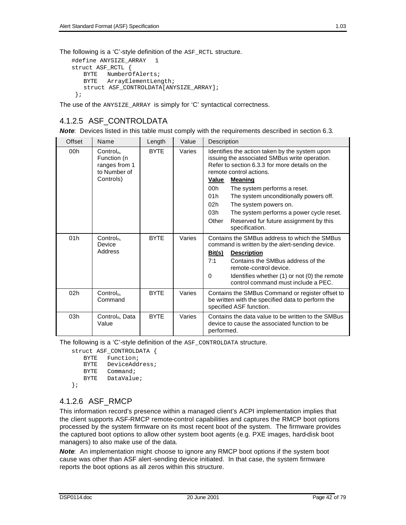```
#define ANYSIZE_ARRAY 1
struct ASF_RCTL {
  BYTE NumberOfAlerts;
   BYTE ArrayElementLength;
   struct ASF_CONTROLDATA[ANYSIZE_ARRAY];
 };
```
The use of the ANYSIZE\_ARRAY is simply for 'C' syntactical correctness.

#### 4.1.2.5 ASF\_CONTROLDATA

**Note:** Devices listed in this table must comply with the requirements described in section 6.3.

| Offset | Name                                                                              | Length      | Value  | Description                                                                                                                                                                                                                                                                                                                                                                                                                                                         |
|--------|-----------------------------------------------------------------------------------|-------------|--------|---------------------------------------------------------------------------------------------------------------------------------------------------------------------------------------------------------------------------------------------------------------------------------------------------------------------------------------------------------------------------------------------------------------------------------------------------------------------|
| 00h    | Control <sub>n</sub><br>Function (n<br>ranges from 1<br>to Number of<br>Controls) | <b>BYTE</b> | Varies | Identifies the action taken by the system upon<br>issuing the associated SMBus write operation.<br>Refer to section 6.3.3 for more details on the<br>remote control actions.<br>Value<br><b>Meaning</b><br>00h<br>The system performs a reset.<br>01h<br>The system unconditionally powers off.<br>02 <sub>h</sub><br>The system powers on.<br>03h<br>The system performs a power cycle reset.<br>Other<br>Reserved fur future assignment by this<br>specification. |
| 01h    | Control <sub>n</sub> ,<br>Device<br>Address                                       | <b>BYTE</b> | Varies | Contains the SMBus address to which the SMBus<br>command is written by the alert-sending device.<br>Bit(s)<br><b>Description</b><br>Contains the SMBus address of the<br>7:1<br>remote-control device.<br>$\Omega$<br>Identifies whether (1) or not (0) the remote<br>control command must include a PEC.                                                                                                                                                           |
| 02h    | Control <sub>n</sub> ,<br>Command                                                 | <b>BYTE</b> | Varies | Contains the SMBus Command or register offset to<br>be written with the specified data to perform the<br>specified ASF function.                                                                                                                                                                                                                                                                                                                                    |
| 03h    | Control <sub>n</sub> , Data<br>Value                                              | <b>BYTE</b> | Varies | Contains the data value to be written to the SMBus<br>device to cause the associated function to be<br>performed.                                                                                                                                                                                                                                                                                                                                                   |

The following is a 'C'-style definition of the ASF\_CONTROLDATA structure.

```
struct ASF_CONTROLDATA {
   BYTE Function;
   BYTE DeviceAddress;
   BYTE Command;
```

```
BYTE DataValue;
```

```
};
```
# 4.1.2.6 ASF\_RMCP

This information record's presence within a managed client's ACPI implementation implies that the client supports ASF-RMCP remote-control capabilities and captures the RMCP boot options processed by the system firmware on its most recent boot of the system. The firmware provides the captured boot options to allow other system boot agents (e.g. PXE images, hard-disk boot managers) to also make use of the data.

*Note*: An implementation might choose to ignore any RMCP boot options if the system boot cause was other than ASF alert-sending device initiated. In that case, the system firmware reports the boot options as all zeros within this structure.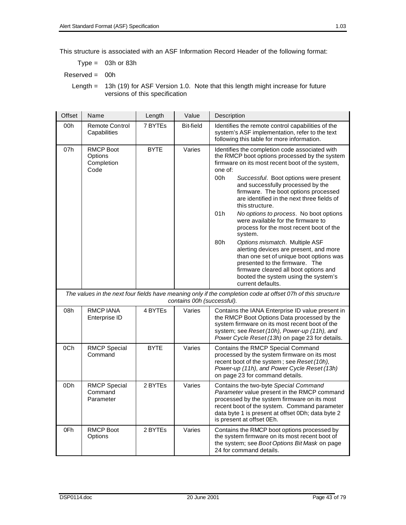This structure is associated with an ASF Information Record Header of the following format:

 $Type = 03h$  or 83h

Reserved = 00h

Length = 13h (19) for ASF Version 1.0. Note that this length might increase for future versions of this specification

| Offset | Name<br>Length<br>Value                           |             |                            | Description                                                                                                                                                                                                                                                                                                                                                                                                                                                                                                                                                                                                                                                                                                                                                                    |  |
|--------|---------------------------------------------------|-------------|----------------------------|--------------------------------------------------------------------------------------------------------------------------------------------------------------------------------------------------------------------------------------------------------------------------------------------------------------------------------------------------------------------------------------------------------------------------------------------------------------------------------------------------------------------------------------------------------------------------------------------------------------------------------------------------------------------------------------------------------------------------------------------------------------------------------|--|
| 00h    | <b>Remote Control</b><br>Capabilities             | 7 BYTEs     | <b>Bit-field</b>           | Identifies the remote control capabilities of the<br>system's ASF implementation, refer to the text<br>following this table for more information.                                                                                                                                                                                                                                                                                                                                                                                                                                                                                                                                                                                                                              |  |
| 07h    | <b>RMCP Boot</b><br>Options<br>Completion<br>Code | <b>BYTE</b> | Varies                     | Identifies the completion code associated with<br>the RMCP boot options processed by the system<br>firmware on its most recent boot of the system,<br>one of:<br>00h<br>Successful. Boot options were present<br>and successfully processed by the<br>firmware. The boot options processed<br>are identified in the next three fields of<br>this structure.<br>No options to process. No boot options<br>01h<br>were available for the firmware to<br>process for the most recent boot of the<br>system.<br>80h<br>Options mismatch. Multiple ASF<br>alerting devices are present, and more<br>than one set of unique boot options was<br>presented to the firmware. The<br>firmware cleared all boot options and<br>booted the system using the system's<br>current defaults. |  |
|        |                                                   |             | contains 00h (successful). | The values in the next four fields have meaning only if the completion code at offset 07h of this structure                                                                                                                                                                                                                                                                                                                                                                                                                                                                                                                                                                                                                                                                    |  |
| 08h    | <b>RMCPIANA</b><br>Enterprise ID                  | 4 BYTEs     | Varies                     | Contains the IANA Enterprise ID value present in<br>the RMCP Boot Options Data processed by the<br>system firmware on its most recent boot of the<br>system; see Reset (10h), Power-up (11h), and<br>Power Cycle Reset (13h) on page 23 for details.                                                                                                                                                                                                                                                                                                                                                                                                                                                                                                                           |  |
| 0Ch    | <b>RMCP Special</b><br>Command                    | <b>BYTE</b> | Varies                     | Contains the RMCP Special Command<br>processed by the system firmware on its most<br>recent boot of the system; see Reset (10h),<br>Power-up (11h), and Power Cycle Reset (13h)<br>on page 23 for command details.                                                                                                                                                                                                                                                                                                                                                                                                                                                                                                                                                             |  |
| 0Dh    | <b>RMCP Special</b><br>Command<br>Parameter       | 2 BYTEs     | Varies                     | Contains the two-byte Special Command<br>Parameter value present in the RMCP command<br>processed by the system firmware on its most<br>recent boot of the system. Command parameter<br>data byte 1 is present at offset 0Dh; data byte 2<br>is present at offset 0Eh.                                                                                                                                                                                                                                                                                                                                                                                                                                                                                                         |  |
| 0Fh    | <b>RMCP Boot</b><br>Options                       | 2 BYTES     | Varies                     | Contains the RMCP boot options processed by<br>the system firmware on its most recent boot of<br>the system; see Boot Options Bit Mask on page<br>24 for command details.                                                                                                                                                                                                                                                                                                                                                                                                                                                                                                                                                                                                      |  |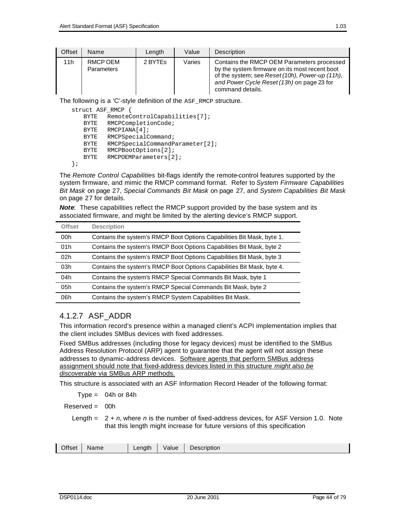| Offset | Name                          | Length  | Value  | <b>Description</b>                                                                                                                                                                                                |
|--------|-------------------------------|---------|--------|-------------------------------------------------------------------------------------------------------------------------------------------------------------------------------------------------------------------|
| 11h    | RMCP OEM<br><b>Parameters</b> | 2 BYTES | Varies | Contains the RMCP OEM Parameters processed<br>by the system firmware on its most recent boot<br>of the system; see Reset (10h), Power-up (11h),<br>and Power Cycle Reset (13h) on page 23 for<br>command details. |

The following is a 'C'-style definition of the ASF\_RMCP structure.

struct ASF\_RMCP {

```
BYTE RemoteControlCapabilities[7];
   BYTE RMCPCompletionCode;
   BYTE RMCPIANA[4];
   BYTE RMCPSpecialCommand;
   BYTE RMCPSpecialCommandParameter[2];<br>BYTE RMCPBootOptions[2];
          RMCPBootOptions[2];
   BYTE RMCPOEMParameters[2];
};
```
The *Remote Control Capabilities* bit-flags identify the remote-control features supported by the system firmware, and mimic the RMCP command format. Refer to *System Firmware Capabilities Bit Mask* on page 27, *Special Commands Bit Mask* on page 27, and *System Capabilities Bit Mask* on page 27 for details.

*Note*: These capabilities reflect the RMCP support provided by the base system and its associated firmware, and might be limited by the alerting device's RMCP support.

| <b>Offset</b> | <b>Description</b>                                                     |
|---------------|------------------------------------------------------------------------|
| 00h           | Contains the system's RMCP Boot Options Capabilities Bit Mask, byte 1. |
| 01h           | Contains the system's RMCP Boot Options Capabilities Bit Mask, byte 2  |
| 02h           | Contains the system's RMCP Boot Options Capabilities Bit Mask, byte 3  |
| 03h           | Contains the system's RMCP Boot Options Capabilities Bit Mask, byte 4. |
| 04h           | Contains the system's RMCP Special Commands Bit Mask, byte 1           |
| 05h           | Contains the system's RMCP Special Commands Bit Mask, byte 2           |
| 06h           | Contains the system's RMCP System Capabilities Bit Mask.               |

### 4.1.2.7 ASF\_ADDR

This information record's presence within a managed client's ACPI implementation implies that the client includes SMBus devices with fixed addresses.

Fixed SMBus addresses (including those for legacy devices) must be identified to the SMBus Address Resolution Protocol (ARP) agent to guarantee that the agent will not assign these addresses to dynamic-address devices. Software agents that perform SMBus address assignment should note that fixed-address devices listed in this structure *might also be discoverable* via SMBus ARP methods.

This structure is associated with an ASF Information Record Header of the following format:

 $Type = 04h$  or 84h

 $Reserved = 00h$ 

Length =  $2 + n$ , where *n* is the number of fixed-address devices, for ASF Version 1.0. Note that this length might increase for future versions of this specification

| วffse.<br>.<br>an at h<br>ים ו<br>Otion.<br>alue<br><br>----- |
|---------------------------------------------------------------|
|---------------------------------------------------------------|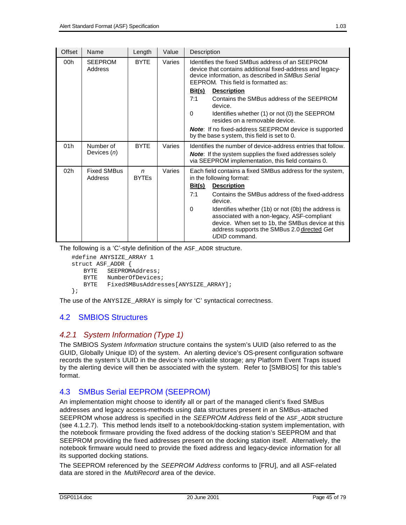| Offset | Name                          | Length            | Value  | Description                                                                                                                                                                                                                |
|--------|-------------------------------|-------------------|--------|----------------------------------------------------------------------------------------------------------------------------------------------------------------------------------------------------------------------------|
| 00h    | <b>SEEPROM</b><br>Address     | <b>BYTE</b>       | Varies | Identifies the fixed SMBus address of an SEEPROM<br>device that contains additional fixed-address and legacy-<br>device information, as described in SMBus Serial<br>EEPROM. This field is formatted as:                   |
|        |                               |                   |        | <u>Bit(s)</u><br><b>Description</b>                                                                                                                                                                                        |
|        |                               |                   |        | 7:1<br>Contains the SMBus address of the SEEPROM<br>device.                                                                                                                                                                |
|        |                               |                   |        | $\Omega$<br>Identifies whether (1) or not (0) the SEEPROM<br>resides on a removable device.                                                                                                                                |
|        |                               |                   |        | Note: If no fixed-address SEEPROM device is supported<br>by the base s ystem, this field is set to 0.                                                                                                                      |
| 01h    | Number of<br>Devices $(n)$    | <b>BYTE</b>       | Varies | Identifies the number of device-address entries that follow.<br><b>Note:</b> If the system supplies the fixed addresses solely<br>via SEEPROM implementation, this field contains 0.                                       |
| 02h    | <b>Fixed SMBus</b><br>Address | n<br><b>BYTES</b> | Varies | Each field contains a fixed SMBus address for the system,<br>in the following format:<br><b>Description</b><br><u>Bit(s)</u>                                                                                               |
|        |                               |                   |        | Contains the SMBus address of the fixed-address<br>7:1<br>device.                                                                                                                                                          |
|        |                               |                   |        | Identifies whether (1b) or not (0b) the address is<br>0<br>associated with a non-legacy, ASF-compliant<br>device. When set to 1b, the SMBus device at this<br>address supports the SMBus 2.0 directed Get<br>UDID command. |

The following is a 'C'-style definition of the ASF\_ADDR structure.

```
#define ANYSIZE_ARRAY 1
struct ASF_ADDR {
   BYTE SEEPROMAddress;
   BYTE NumberOfDevices;
   BYTE FixedSMBusAddresses[ANYSIZE_ARRAY];
};
```
The use of the ANYSIZE ARRAY is simply for 'C' syntactical correctness.

## 4.2 SMBIOS Structures

## *4.2.1 System Information (Type 1)*

The SMBIOS *System Information* structure contains the system's UUID (also referred to as the GUID, Globally Unique ID) of the system. An alerting device's OS-present configuration software records the system's UUID in the device's non-volatile storage; any Platform Event Traps issued by the alerting device will then be associated with the system. Refer to [SMBIOS] for this table's format.

## 4.3 SMBus Serial EEPROM (SEEPROM)

An implementation might choose to identify all or part of the managed client's fixed SMBus addresses and legacy access-methods using data structures present in an SMBus-attached SEEPROM whose address is specified in the *SEEPROM Address* field of the ASF\_ADDR structure (see 4.1.2.7). This method lends itself to a notebook/docking-station system implementation, with the notebook firmware providing the fixed address of the docking station's SEEPROM and that SEEPROM providing the fixed addresses present on the docking station itself. Alternatively, the notebook firmware would need to provide the fixed address and legacy-device information for all its supported docking stations.

The SEEPROM referenced by the *SEEPROM Address* conforms to [FRU], and all ASF-related data are stored in the *MultiRecord* area of the device.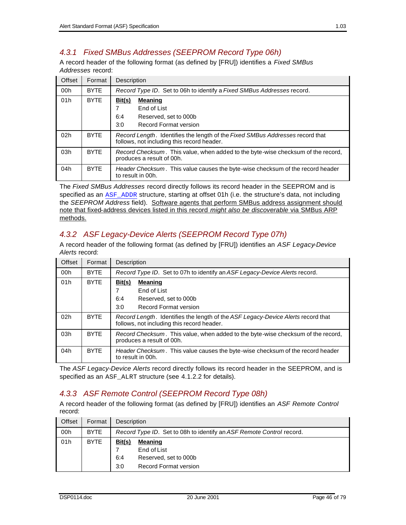# *4.3.1 Fixed SMBus Addresses (SEEPROM Record Type 06h)*

A record header of the following format (as defined by [FRU]) identifies a *Fixed SMBus Addresses* record:

| Offset | Format      | Description                                                                                                                 |  |  |
|--------|-------------|-----------------------------------------------------------------------------------------------------------------------------|--|--|
| 00h    | <b>BYTE</b> | Record Type ID. Set to 06h to identify a Fixed SMBus Addresses record.                                                      |  |  |
| 01h    | <b>BYTE</b> | <u>Bit(s)</u><br><b>Meaning</b><br>End of List<br>6:4<br>Reserved, set to 000b<br>3:0<br>Record Format version              |  |  |
| 02h    | <b>BYTE</b> | Record Length. Identifies the length of the Fixed SMBus Addresses record that<br>follows, not including this record header. |  |  |
| 03h    | <b>BYTE</b> | Record Checksum. This value, when added to the byte-wise checksum of the record,<br>produces a result of 00h.               |  |  |
| 04h    | <b>BYTE</b> | <i>Header Checksum.</i> This value causes the byte-wise checksum of the record header<br>to result in 00h.                  |  |  |

The *Fixed SMBus Addresses* record directly follows its record header in the SEEPROM and is specified as an ASF\_ADDR structure, starting at offset 01h (i.e. the structure's data, not including the *SEEPROM Address* field). Software agents that perform SMBus address assignment should note that fixed-address devices listed in this record *might also be discoverable* via SMBus ARP methods.

# *4.3.2 ASF Legacy-Device Alerts (SEEPROM Record Type 07h)*

A record header of the following format (as defined by [FRU]) identifies an *ASF Legacy-Device Alerts* record:

| Offset | Format      | Description                                                                                                                    |  |  |
|--------|-------------|--------------------------------------------------------------------------------------------------------------------------------|--|--|
| 00h    | <b>BYTE</b> | Record Type ID. Set to 07h to identify an ASF Legacy-Device Alerts record.                                                     |  |  |
| 01h    | <b>BYTE</b> | Bit(s)<br><b>Meaning</b><br>End of List                                                                                        |  |  |
|        |             | 6:4<br>Reserved, set to 000b<br><b>Record Format version</b><br>3:0                                                            |  |  |
| 02h    | <b>BYTE</b> | Record Length. Identifies the length of the ASF Legacy-Device Alerts record that<br>follows, not including this record header. |  |  |
| 03h    | <b>BYTE</b> | Record Checksum. This value, when added to the byte-wise checksum of the record,<br>produces a result of 00h.                  |  |  |
| 04h    | <b>BYTE</b> | Header Checksum. This value causes the byte-wise checksum of the record header<br>to result in 00h.                            |  |  |

The *ASF Legacy-Device Alerts* record directly follows its record header in the SEEPROM, and is specified as an ASF\_ALRT structure (see 4.1.2.2 for details).

# *4.3.3 ASF Remote Control (SEEPROM Record Type 08h)*

A record header of the following format (as defined by [FRU]) identifies an *ASF Remote Control* record:

| Offset | Format      |                      | Description                                                              |  |  |
|--------|-------------|----------------------|--------------------------------------------------------------------------|--|--|
| 00h    | <b>BYTE</b> |                      | Record Type ID. Set to 08h to identify an ASF Remote Control record.     |  |  |
| 01h    | <b>BYTE</b> | Bit(s)<br>6:4<br>3:0 | Meaning<br>End of List<br>Reserved, set to 000b<br>Record Format version |  |  |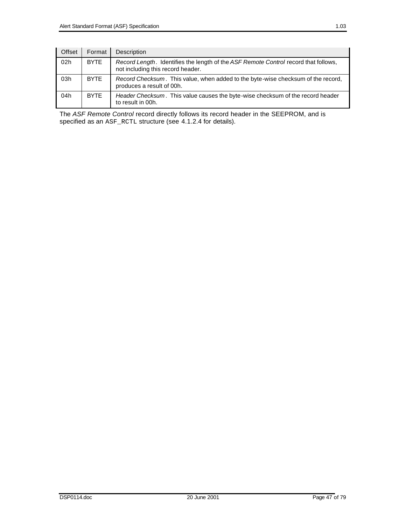| Offset | Format      | Description                                                                                                              |
|--------|-------------|--------------------------------------------------------------------------------------------------------------------------|
| 02h    | <b>BYTE</b> | Record Length. Identifies the length of the ASF Remote Control record that follows,<br>not including this record header. |
| 03h    | <b>BYTE</b> | Record Checksum. This value, when added to the byte-wise checksum of the record,<br>produces a result of 00h.            |
| 04h    | <b>BYTE</b> | Header Checksum. This value causes the byte-wise checksum of the record header<br>to result in 00h.                      |

The *ASF Remote Control* record directly follows its record header in the SEEPROM, and is specified as an ASF\_RCTL structure (see 4.1.2.4 for details).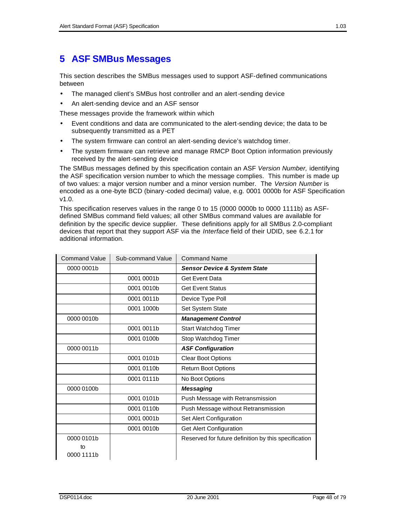# **5 ASF SMBus Messages**

This section describes the SMBus messages used to support ASF-defined communications between

- The managed client's SMBus host controller and an alert-sending device
- An alert-sending device and an ASF sensor

These messages provide the framework within which

- Event conditions and data are communicated to the alert-sending device; the data to be subsequently transmitted as a PET
- The system firmware can control an alert-sending device's watchdog timer.
- The system firmware can retrieve and manage RMCP Boot Option information previously received by the alert-sending device

The SMBus messages defined by this specification contain an ASF *Version Number,* identifying the ASF specification version number to which the message complies. This number is made up of two values: a major version number and a minor version number. The *Version Number* is encoded as a one-byte BCD (binary -coded decimal) value, e.g. 0001 0000b for ASF Specification v1.0.

This specification reserves values in the range 0 to 15 (0000 0000b to 0000 1111b) as ASFdefined SMBus command field values; all other SMBus command values are available for definition by the specific device supplier. These definitions apply for all SMBus 2.0-compliant devices that report that they support ASF via the *Interface* field of their UDID, see 6.2.1 for additional information.

| <b>Command Value</b> | Sub-command Value | <b>Command Name</b>                                  |
|----------------------|-------------------|------------------------------------------------------|
| 0000 0001b           |                   | <b>Sensor Device &amp; System State</b>              |
|                      | 0001 0001b        | <b>Get Event Data</b>                                |
|                      | 0001 0010b        | <b>Get Event Status</b>                              |
|                      | 0001 0011b        | Device Type Poll                                     |
|                      | 0001 1000b        | <b>Set System State</b>                              |
| 0000 0010b           |                   | <b>Management Control</b>                            |
|                      | 0001 0011b        | Start Watchdog Timer                                 |
|                      | 0001 0100b        | Stop Watchdog Timer                                  |
| 0000 0011b           |                   | <b>ASF Configuration</b>                             |
|                      | 0001 0101b        | <b>Clear Boot Options</b>                            |
|                      | 0001 0110b        | <b>Return Boot Options</b>                           |
|                      | 0001 0111b        | No Boot Options                                      |
| 0000 0100b           |                   | <b>Messaging</b>                                     |
|                      | 0001 0101b        | Push Message with Retransmission                     |
|                      | 0001 0110b        | Push Message without Retransmission                  |
|                      | 0001 0001b        | Set Alert Configuration                              |
|                      | 0001 0010b        | <b>Get Alert Configuration</b>                       |
| 0000 0101b           |                   | Reserved for future definition by this specification |
| to                   |                   |                                                      |
| 0000 1111b           |                   |                                                      |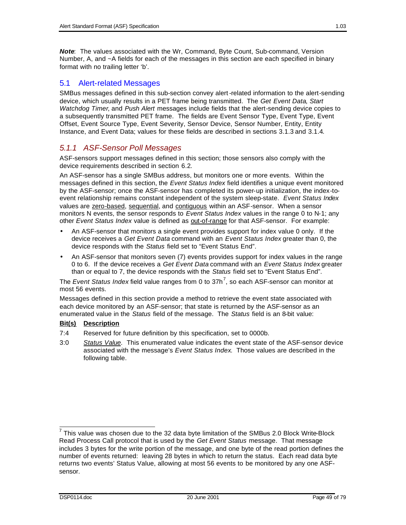*Note*: The values associated with the Wr, Command, Byte Count, Sub-command, Version Number, A, and ~A fields for each of the messages in this section are each specified in binary format with no trailing letter 'b'.

### 5.1 Alert-related Messages

SMBus messages defined in this sub-section convey alert-related information to the alert-sending device, which usually results in a PET frame being transmitted. The *Get Event Data*, *Start Watchdog Timer*, and *Push Alert* messages include fields that the alert-sending device copies to a subsequently transmitted PET frame. The fields are Event Sensor Type, Event Type, Event Offset, Event Source Type, Event Severity, Sensor Device, Sensor Number, Entity, Entity Instance, and Event Data; values for these fields are described in sections 3.1.3 and 3.1.4.

### *5.1.1 ASF-Sensor Poll Messages*

ASF-sensors support messages defined in this section; those sensors also comply with the device requirements described in section 6.2.

An ASF-sensor has a single SMBus address, but monitors one or more events. Within the messages defined in this section, the *Event Status Index* field identifies a unique event monitored by the ASF-sensor; once the ASF-sensor has completed its power-up initialization, the index-toevent relationship remains constant independent of the system sleep-state. *Event Status Index* values are zero-based, sequential, and contiguous within an ASF-sensor. When a sensor monitors N events, the sensor responds to *Event Status Index* values in the range 0 to N-1; any other *Event Status Index* value is defined as **out-of-range** for that ASF-sensor. For example:

- An ASF-sensor that monitors a single event provides support for index value 0 only. If the device receives a *Get Event Data* command with an *Event Status Index* greater than 0, the device responds with the *Status* field set to "Event Status End".
- An ASF-sensor that monitors seven (7) events provides support for index values in the range 0 to 6. If the device receives a *Get Event Data* command with an *Event Status Index* greater than or equal to 7, the device responds with the *Status* field set to "Event Status End".

The *Event Status Index* field value ranges from 0 to 37h<sup>7</sup>, so each ASF-sensor can monitor at most 56 events.

Messages defined in this section provide a method to retrieve the event state associated with each device monitored by an ASF-sensor; that state is returned by the ASF-sensor as an enumerated value in the *Status* field of the message. The *Status* field is an 8-bit value:

#### **Bit(s) Description**

- 7:4 Reserved for future definition by this specification, set to 0000b.
- 3:0 *Status Value*. This enumerated value indicates the event state of the ASF-sensor device associated with the message's *Event Status Index*. Those values are described in the following table.

 7 This value was chosen due to the 32 data byte limitation of the SMBus 2.0 Block Write-Block Read Process Call protocol that is used by the *Get Event Status* message. That message includes 3 bytes for the write portion of the message, and one byte of the read portion defines the number of events returned: leaving 28 bytes in which to return the status. Each read data byte returns two events' Status Value, allowing at most 56 events to be monitored by any one ASFsensor.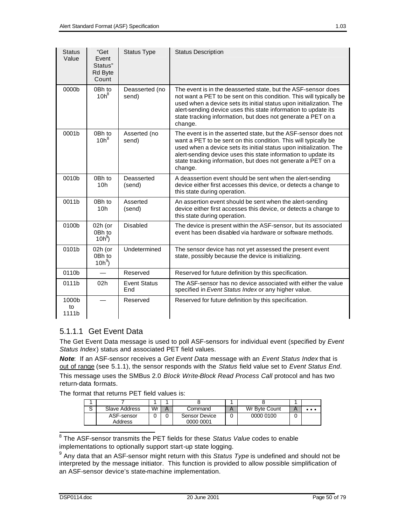| <b>Status</b><br>Value | "Get<br>Event<br>Status"<br>Rd Byte<br>Count | <b>Status Type</b>         | <b>Status Description</b>                                                                                                                                                                                                                                                                                                                                |
|------------------------|----------------------------------------------|----------------------------|----------------------------------------------------------------------------------------------------------------------------------------------------------------------------------------------------------------------------------------------------------------------------------------------------------------------------------------------------------|
| 0000b                  | 0Bh to<br>$10h^8$                            | Deasserted (no<br>send)    | The event is in the deasserted state, but the ASF-sensor does<br>not want a PET to be sent on this condition. This will typically be<br>used when a device sets its initial status upon initialization. The<br>alert-sending device uses this state information to update its<br>state tracking information, but does not generate a PET on a<br>change. |
| 0001b                  | 0Bh to<br>$10h^8$                            | Asserted (no<br>send)      | The event is in the asserted state, but the ASF-sensor does not<br>want a PET to be sent on this condition. This will typically be<br>used when a device sets its initial status upon initialization. The<br>alert-sending device uses this state information to update its<br>state tracking information, but does not generate a PET on a<br>change.   |
| 0010b                  | 0Bh to<br>10 <sub>h</sub>                    | Deasserted<br>(send)       | A deassertion event should be sent when the alert-sending<br>device either first accesses this device, or detects a change to<br>this state during operation.                                                                                                                                                                                            |
| 0011b                  | 0Bh to<br>10 <sub>h</sub>                    | Asserted<br>(send)         | An assertion event should be sent when the alert-sending<br>device either first accesses this device, or detects a change to<br>this state during operation.                                                                                                                                                                                             |
| 0100b                  | 02h (or<br>0Bh to<br>$10h^9$                 | <b>Disabled</b>            | The device is present within the ASF-sensor, but its associated<br>event has been disabled via hardware or software methods.                                                                                                                                                                                                                             |
| 0101b                  | 02h (or<br>0Bh to<br>$10h^9$                 | Undetermined               | The sensor device has not yet assessed the present event<br>state, possibly because the device is initializing.                                                                                                                                                                                                                                          |
| 0110b                  |                                              | Reserved                   | Reserved for future definition by this specification.                                                                                                                                                                                                                                                                                                    |
| 0111b                  | 02 <sub>h</sub>                              | <b>Event Status</b><br>End | The ASF-sensor has no device associated with either the value<br>specified in Event Status Index or any higher value.                                                                                                                                                                                                                                    |
| 1000b<br>to<br>1111b   |                                              | Reserved                   | Reserved for future definition by this specification.                                                                                                                                                                                                                                                                                                    |

## 5.1.1.1 Get Event Data

The Get Event Data message is used to poll ASF-sensors for individual event (specified by *Event Status Index*) status and associated PET field values.

*Note*: If an ASF-sensor receives a *Get Event Data* message with an *Event Status Index* that is out of range (see 5.1.1), the sensor responds with the *Status* field value set to *Event Status End*. This message uses the SMBus 2.0 *Block Write-Block Read Process Call* protocol and has two return-data formats.

The format that returns PET field values is:

| ⌒<br>w | Slave Address         | Wr | Command                           | Wr Byte Count | $\cdots$ |
|--------|-----------------------|----|-----------------------------------|---------------|----------|
|        | ASF-sensor<br>Address |    | <b>Sensor Device</b><br>0000 0001 | 0000 0100     |          |

 8 The ASF-sensor transmits the PET fields for these *Status Value* codes to enable implementations to optionally support start-up state logging.

<sup>&</sup>lt;sup>9</sup> Any data that an ASF-sensor might return with this *Status Type* is undefined and should not be interpreted by the message initiator. This function is provided to allow possible simplification of an ASF-sensor device's state-machine implementation.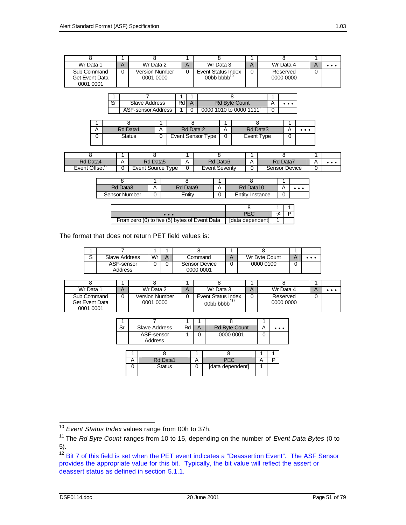| Wr Data 1                                  | Wr Data 2                   | Wr Data 3                                                                                                | A | Wr Data 4             | $\bullet\bullet\bullet$ |
|--------------------------------------------|-----------------------------|----------------------------------------------------------------------------------------------------------|---|-----------------------|-------------------------|
| Sub Command<br>Get Event Data<br>0001 0001 | Version Number<br>0001 0000 | Event Status Index<br>$00$ <sub>b</sub> $b$ <sub>b</sub> $b$ <sub>b</sub> $b$ <sup><math>10</math></sup> |   | Reserved<br>0000 0000 |                         |

| Slave Address      | Rd | <b>Rd Byte Count</b>                 |  |
|--------------------|----|--------------------------------------|--|
| ASF-sensor Address |    | 0000 1010 to 0000 1111 <sup>11</sup> |  |

| Rd Data1      | Rd Data 2         | Rd Data3   | $\bullet\bullet\bullet$ |
|---------------|-------------------|------------|-------------------------|
| <b>Status</b> | Event Sensor Type | Event Type |                         |

| Rd Data4                   | Rd Data5            | Rd Data6       | Rd Data7      |   |  |
|----------------------------|---------------------|----------------|---------------|---|--|
| Event Offset <sup>12</sup> | Event Source<br>vpe | Event Severity | Sensor Device | ີ |  |

| Rd Data8      | Rd Data9 | Rd Data10       | $\cdots$ |
|---------------|----------|-----------------|----------|
| Sensor Number | Entit∿   | Entity Instance |          |

| .                                             |                  |  |
|-----------------------------------------------|------------------|--|
| From zero (0) to five (5) bytes of Event Data | [data dependent] |  |

The format that does not return PET field values is:

| $\sim$ | Slave Address         | Wr | A | Command                           | Wr Byte Count | $\bullet\bullet\bullet$ |
|--------|-----------------------|----|---|-----------------------------------|---------------|-------------------------|
|        | ASF-sensor<br>Address |    |   | <b>Sensor Device</b><br>0000 0001 | 0000 0100     |                         |

| Wr Data 1                                  | Wr Data 2                   | Wr Data 3                                  | Wr Data 4             | . |
|--------------------------------------------|-----------------------------|--------------------------------------------|-----------------------|---|
| Sub Command<br>Get Event Data<br>0001 0001 | Version Number<br>0001 0000 | Event Status Index<br>00 <sub>b</sub> bbbb | Reserved<br>0000 0000 |   |

| Slave Address         | Rd | <b>Rd Byte Count</b> | $\cdots$ |
|-----------------------|----|----------------------|----------|
| ASF-sensor<br>Address |    | 0000 0001            |          |

| Rd Data1      |                  |  |
|---------------|------------------|--|
| <b>Status</b> | [data dependent] |  |

 $\overline{a}$ <sup>10</sup> *Event Status Index* values range from 00h to 37h.

<sup>11</sup> The *Rd Byte Count* ranges from 10 to 15, depending on the number of *Event Data Bytes* (0 to 5).

<sup>&</sup>lt;sup>12</sup> Bit 7 of this field is set when the PET event indicates a "Deassertion Event". The ASF Sensor provides the appropriate value for this bit. Typically, the bit value will reflect the assert or deassert status as defined in section 5.1.1.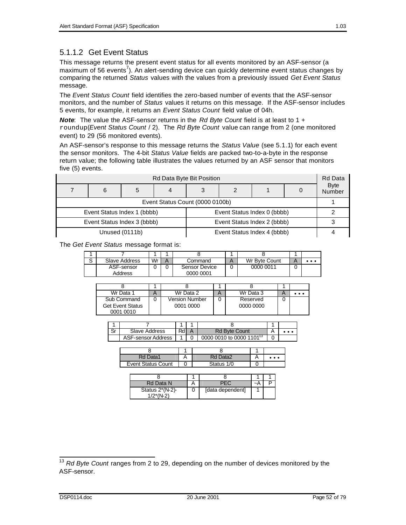### 5.1.1.2 Get Event Status

This message returns the present event status for all events monitored by an ASF-sensor (a maximum of 56 events<sup>7</sup>). An alert-sending device can quickly determine event status changes by comparing the returned *Status* values with the values from a previously issued *Get Event Status* message.

The *Event Status Count* field identifies the zero-based number of events that the ASF-sensor monitors, and the number of *Status* values it returns on this message. If the ASF-sensor includes 5 events, for example, it returns an *Event Status Count* field value of 04h.

*Note*: The value the ASF-sensor returns in the *Rd Byte Count* field is at least to 1 + roundup(*Event Status Count* / 2). The *Rd Byte Count* value can range from 2 (one monitored event) to 29 (56 monitored events).

An ASF-sensor's response to this message returns the *Status Value* (see 5.1.1) for each event the sensor monitors. The 4-bit *Status Value* fields are packed two-to-a-byte in the response return value; the following table illustrates the values returned by an ASF sensor that monitors five (5) events.

| Rd Data Byte Bit Position       |   |                             |  |  |                             |  |  |                       |  |  |  |  |  |
|---------------------------------|---|-----------------------------|--|--|-----------------------------|--|--|-----------------------|--|--|--|--|--|
|                                 | 6 | 5                           |  |  |                             |  |  | <b>Byte</b><br>Number |  |  |  |  |  |
| Event Status Count (0000 0100b) |   |                             |  |  |                             |  |  |                       |  |  |  |  |  |
|                                 |   | Event Status Index 1 (bbbb) |  |  | Event Status Index 0 (bbbb) |  |  |                       |  |  |  |  |  |
|                                 |   | Event Status Index 3 (bbbb) |  |  | Event Status Index 2 (bbbb) |  |  |                       |  |  |  |  |  |
|                                 |   | Unused (0111b)              |  |  | Event Status Index 4 (bbbb) |  |  |                       |  |  |  |  |  |

The *Get Event Status* message format is:

| $\sim$ | Slave Address | Wr | Command       | Wr Byte Count |  |
|--------|---------------|----|---------------|---------------|--|
|        | ASF-sensor    |    | Sensor Device | 0000 0011     |  |
|        | Address       |    | 0000 0001     |               |  |

| Wr Data 1               | Wr Data 2      | Wr Data 3 | $\bullet\bullet\bullet$ |
|-------------------------|----------------|-----------|-------------------------|
| Sub Command             | Version Number | Reserved  |                         |
| <b>Get Event Status</b> | 0001 0000      | 0000 0000 |                         |
| 0001 0010               |                |           |                         |

| Slave Address      | Rdl | <b>Rd Byte Count</b>                 |  |
|--------------------|-----|--------------------------------------|--|
| ASF-sensor Address |     | 0000 0010 to 0000 1101 <sup>13</sup> |  |

| Rd Data1                  | Rd Data2   | $\cdots$ |
|---------------------------|------------|----------|
| <b>Event Status Count</b> | Status 1/0 |          |

| Rd Data N                         |                  | $\sim$ r |  |
|-----------------------------------|------------------|----------|--|
| Status $2*(N-2)$ -<br>$1/2*(N-2)$ | [data dependent] |          |  |

 $\overline{a}$ 

<sup>&</sup>lt;sup>13</sup> Rd Byte Count ranges from 2 to 29, depending on the number of devices monitored by the ASF-sensor.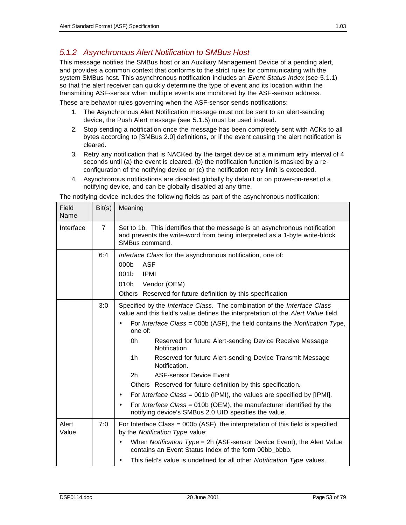## *5.1.2 Asynchronous Alert Notification to SMBus Host*

This message notifies the SMBus host or an Auxiliary Management Device of a pending alert, and provides a common context that conforms to the strict rules for communicating with the system SMBus host. This asynchronous notification includes an *Event Status Index* (see 5.1.1) so that the alert receiver can quickly determine the type of event and its location within the transmitting ASF-sensor when multiple events are monitored by the ASF-sensor address.

These are behavior rules governing when the ASF-sensor sends notifications:

- 1. The Asynchronous Alert Notification message must not be sent to an alert-sending device, the Push Alert message (see 5.1.5) must be used instead.
- 2. Stop sending a notification once the message has been completely sent with ACKs to all bytes according to [SMBus 2.0] definitions, or if the event causing the alert notification is cleared.
- 3. Retry any notification that is NACKed by the target device at a minimum retry interval of 4 seconds until (a) the event is cleared, (b) the notification function is masked by a reconfiguration of the notifying device or (c) the notification retry limit is exceeded.
- 4. Asynchronous notifications are disabled globally by default or on power-on-reset of a notifying device, and can be globally disabled at any time.

The notifying device includes the following fields as part of the asynchronous notification:

| Field<br>Name  | Bit(s)         | Meaning                                                                                                                                                                                                                                                                                                                                                                                                                                                                                                                                                                                                                                                                                                                                                                                                    |
|----------------|----------------|------------------------------------------------------------------------------------------------------------------------------------------------------------------------------------------------------------------------------------------------------------------------------------------------------------------------------------------------------------------------------------------------------------------------------------------------------------------------------------------------------------------------------------------------------------------------------------------------------------------------------------------------------------------------------------------------------------------------------------------------------------------------------------------------------------|
| Interface      | $\overline{7}$ | Set to 1b. This identifies that the message is an asynchronous notification<br>and prevents the write-word from being interpreted as a 1-byte write-block<br>SMBus command.                                                                                                                                                                                                                                                                                                                                                                                                                                                                                                                                                                                                                                |
|                | 6:4            | Interface Class for the asynchronous notification, one of:<br><b>ASF</b><br>000 <sub>b</sub><br>001 <sub>b</sub><br><b>IPMI</b><br>010b<br>Vendor (OEM)<br>Others Reserved for future definition by this specification                                                                                                                                                                                                                                                                                                                                                                                                                                                                                                                                                                                     |
|                | 3:0            | Specified by the Interface Class. The combination of the Interface Class<br>value and this field's value defines the interpretation of the Alert Value field.<br>For Interface Class = 000b (ASF), the field contains the Notification Type,<br>$\bullet$<br>one of:<br>0h<br>Reserved for future Alert-sending Device Receive Message<br>Notification<br>1h<br>Reserved for future Alert-sending Device Transmit Message<br>Notification.<br>2 <sub>h</sub><br><b>ASF-sensor Device Event</b><br>Others Reserved for future definition by this specification.<br>For <i>Interface Class</i> = 001b (IPMI), the values are specified by [IPMI].<br>$\bullet$<br>For Interface Class = 010b (OEM), the manufacturer identified by the<br>$\bullet$<br>notifying device's SMBus 2.0 UID specifies the value. |
| Alert<br>Value | 7:0            | For Interface Class = $000b$ (ASF), the interpretation of this field is specified<br>by the Notification Type value:<br>When Notification Type = 2h (ASF-sensor Device Event), the Alert Value<br>$\bullet$<br>contains an Event Status Index of the form 00bb bbbb.<br>This field's value is undefined for all other Notification Type values.<br>٠                                                                                                                                                                                                                                                                                                                                                                                                                                                       |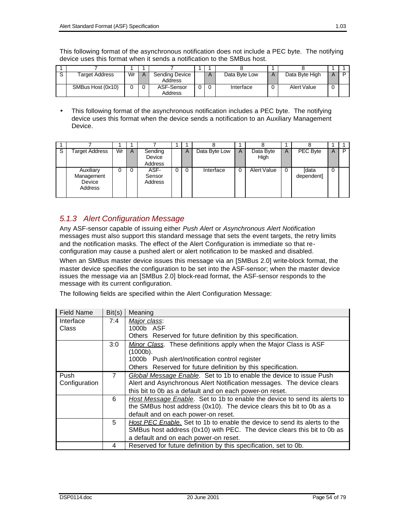This following format of the asynchronous notification does not include a PEC byte. The notifying device uses this format when it sends a notification to the SMBus host.

| Target Address    | Wr | Sending Device<br>Address |   | Data Byte Low | Data Byte High     |  |
|-------------------|----|---------------------------|---|---------------|--------------------|--|
| SMBus Host (0x10) |    | ASF-Sensor<br>Address     | 0 | Interface     | <b>Alert Value</b> |  |

• This following format of the asynchronous notification includes a PEC byte. The notifying device uses this format when the device sends a notification to an Auxiliary Management Device.

| -S | Target Address                                      | Wr | A | Sending<br>Device<br>Address |                | A        | Data Byte Low | A | Data Byte<br>High | A | PEC Byte                   | A        | Þ |
|----|-----------------------------------------------------|----|---|------------------------------|----------------|----------|---------------|---|-------------------|---|----------------------------|----------|---|
|    | Auxiliary<br>Management<br>Device<br><b>Address</b> |    |   | ASF-<br>Sensor<br>Address    | $\overline{0}$ | $\Omega$ | Interface     | 0 | Alert Value       | 0 | <b>Idata</b><br>dependent] | $\Omega$ |   |

### *5.1.3 Alert Configuration Message*

Any ASF-sensor capable of issuing either *Push Alert* or *Asynchronous Alert Notification* messages must also support this standard message that sets the event targets, the retry limits and the notification masks. The effect of the Alert Configuration is immediate so that reconfiguration may cause a pushed alert or alert notification to be masked and disabled.

When an SMBus master device issues this message via an [SMBus 2.0] write-block format, the master device specifies the configuration to be set into the ASF-sensor; when the master device issues the message via an [SMBus 2.0] block-read format, the ASF-sensor responds to the message with its current configuration.

The following fields are specified within the Alert Configuration Message:

| <b>Field Name</b> | Bit(s)      | Meaning                                                                   |
|-------------------|-------------|---------------------------------------------------------------------------|
| Interface         | 7:4         | Major class:                                                              |
| Class             |             | 1000b ASF                                                                 |
|                   |             | Others Reserved for future definition by this specification.              |
|                   | 3:0         | Minor Class. These definitions apply when the Major Class is ASF          |
|                   |             | (1000b).                                                                  |
|                   |             | 1000b Push alert/notification control register                            |
|                   |             | Others Reserved for future definition by this specification.              |
| Push              | $7^{\circ}$ | Global Message Enable. Set to 1b to enable the device to issue Push       |
| Configuration     |             | Alert and Asynchronous Alert Notification messages. The device clears     |
|                   |             | this bit to 0b as a default and on each power-on reset.                   |
|                   | 6           | Host Message Enable. Set to 1b to enable the device to send its alerts to |
|                   |             | the SMBus host address (0x10). The device clears this bit to 0b as a      |
|                   |             | default and on each power-on reset.                                       |
|                   | 5           | Host PEC Enable. Set to 1b to enable the device to send its alerts to the |
|                   |             | SMBus host address (0x10) with PEC. The device clears this bit to 0b as   |
|                   |             | a default and on each power-on reset.                                     |
|                   | 4           | Reserved for future definition by this specification, set to 0b.          |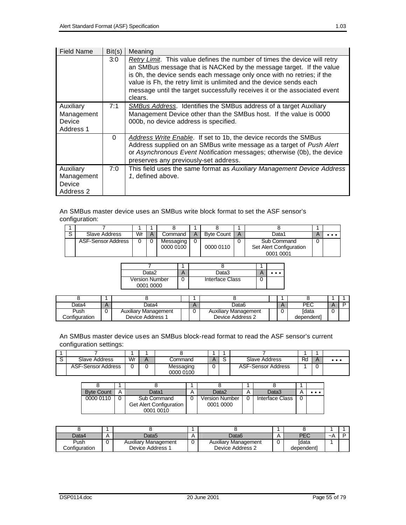| <b>Field Name</b>                              | Bit(s)   | Meaning                                                                                                                                                                                                                                                                                                                                                                                   |
|------------------------------------------------|----------|-------------------------------------------------------------------------------------------------------------------------------------------------------------------------------------------------------------------------------------------------------------------------------------------------------------------------------------------------------------------------------------------|
|                                                | 3:0      | Retry Limit. This value defines the number of times the device will retry<br>an SMBus message that is NACKed by the message target. If the value<br>is 0h, the device sends each message only once with no retries; if the<br>value is Fh, the retry limit is unlimited and the device sends each<br>message until the target successfully receives it or the associated event<br>clears. |
| Auxiliary<br>Management<br>Device<br>Address 1 | 7:1      | <b>SMBus Address.</b> Identifies the SMBus address of a target Auxiliary<br>Management Device other than the SMBus host. If the value is 0000<br>000b, no device address is specified.                                                                                                                                                                                                    |
|                                                | $\Omega$ | <b>Address Write Enable.</b> If set to 1b, the device records the SMBus<br>Address supplied on an SMBus write message as a target of Push Alert<br>or Asynchronous Event Notification messages; otherwise (0b), the device<br>preserves any previously-set address.                                                                                                                       |
| Auxiliary<br>Management<br>Device<br>Address 2 | 7:0      | This field uses the same format as Auxiliary Management Device Address<br>1, defined above.                                                                                                                                                                                                                                                                                               |

An SMBus master device uses an SMBus write block format to set the ASF sensor's configuration:

| $\sim$ | Slave Address      | Wr |           | Command   | А | <b>Byte Count</b> | A | Data1                   |  | $\bullet\bullet\bullet$ |
|--------|--------------------|----|-----------|-----------|---|-------------------|---|-------------------------|--|-------------------------|
|        | ASF-Sensor Address |    |           | Messaging |   |                   |   | Sub Command             |  |                         |
|        |                    |    | 0000 0100 |           |   | 0000 0110         |   | Set Alert Configuration |  |                         |
|        |                    |    |           |           |   |                   |   | 0001 0001               |  |                         |

| Data2                              | Data3           | . |
|------------------------------------|-----------------|---|
| <b>Version Number</b><br>0001 0000 | Interface Class |   |

| Data4         | Jata4                |  | Jata6                       | PEC        |  |
|---------------|----------------------|--|-----------------------------|------------|--|
| Push          | Auxiliary Management |  | <b>Auxiliary Management</b> | ſdata      |  |
| Configuration | Device Address 1     |  | Device Address 2            | dependentl |  |

An SMBus master device uses an SMBus block-read format to read the ASF sensor's current configuration settings:

| Slave Address      | Wr | Command                |   | Slave Address      | Rd | Д | $\bullet\bullet\bullet$ |
|--------------------|----|------------------------|---|--------------------|----|---|-------------------------|
| ASF-Sensor Address |    | Messaging<br>0000 0100 | u | ASF-Sensor Address |    |   |                         |

| <b>Byte Count</b> | Data1                          | Data2                 | Data3           |  |
|-------------------|--------------------------------|-----------------------|-----------------|--|
| 0000 0110         | Sub Command                    | <b>Version Number</b> | Interface Class |  |
|                   | <b>Get Alert Configuration</b> | 0001 0000             |                 |  |
|                   | 0001 0010                      |                       |                 |  |

| Data4                 | Data5                       | Data6                | DE C       | $\sim$ $\overline{a}$ |  |
|-----------------------|-----------------------------|----------------------|------------|-----------------------|--|
| Push                  | <b>Auxiliary Management</b> | Auxiliary Management | ſdata      |                       |  |
| <i>C</i> onfiɑuration | Device Address 1            | Device Address 2     | dependent] |                       |  |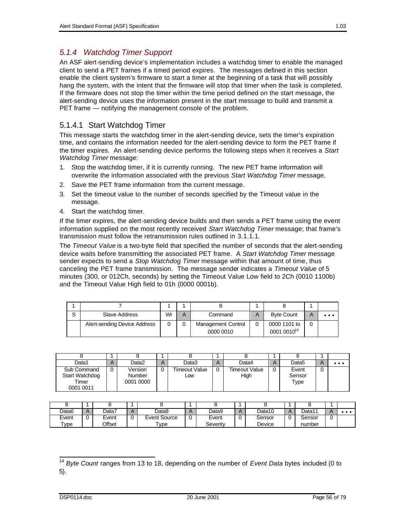### *5.1.4 Watchdog Timer Support*

An ASF alert-sending device's implementation includes a watchdog timer to enable the managed client to send a PET frames if a timed period expires. The messages defined in this section enable the client system's firmware to start a timer at the beginning of a task that will possibly hang the system, with the intent that the firmware will stop that timer when the task is completed. If the firmware does not stop the timer within the time period defined on the start message, the alert-sending device uses the information present in the start message to build and transmit a PET frame — notifying the management console of the problem.

### 5.1.4.1 Start Watchdog Timer

This message starts the watchdog timer in the alert-sending device, sets the timer's expiration time, and contains the information needed for the alert-sending device to form the PET frame if the timer expires. An alert-sending device performs the following steps when it receives a *Start Watchdog Timer* message:

- 1. Stop the watchdog timer, if it is currently running. The new PET frame information will overwrite the information associated with the previous *Start Watchdog Timer* message.
- 2. Save the PET frame information from the current message.
- 3. Set the timeout value to the number of seconds specified by the Timeout value in the message.
- 4. Start the watchdog timer.

If the timer expires, the alert-sending device builds and then sends a PET frame using the event information supplied on the most recently received *Start Watchdog Timer* message; that frame's transmission must follow the retransmission rules outlined in 3.1.1.1.

The *Timeout Value* is a two-byte field that specified the number of seconds that the alert-sending device waits before transmitting the associated PET frame. A *Start Watchdog Timer* message sender expects to send a *Stop Watchdog Timer* message within that amount of time, thus canceling the PET frame transmission. The message sender indicates a *Timeout Value* of 5 minutes (300, or 012Ch, seconds) by setting the Timeout Value Low field to 2Ch (0010 1100b) and the Timeout Value High field to 01h (0000 0001b).

| $\mathbf{\hat{c}}$ | Slave Address                | Wr | А | Command                                |   | <b>Byte Count</b>                       | $\bullet\bullet\bullet$ |
|--------------------|------------------------------|----|---|----------------------------------------|---|-----------------------------------------|-------------------------|
|                    | Alert-sending Device Address |    |   | <b>Management Control</b><br>0000 0010 | 0 | 0000 1101 to<br>0001 0010 <sup>14</sup> |                         |

| Data1                                               | А | Data2                          | Η | Data3                | A | Data4                 | A | Data <sub>5</sub>       |   | $\bullet\bullet\bullet$ |
|-----------------------------------------------------|---|--------------------------------|---|----------------------|---|-----------------------|---|-------------------------|---|-------------------------|
| Sub Command<br>Start Watchdog<br>Timer<br>0001 0011 | 0 | Version<br>Number<br>0001 0000 |   | Timeout Value<br>Low |   | Timeout Value<br>High | 0 | Event<br>Sensor<br>туре | υ |                         |

| Data6               | Data7  | Data8        |   | Data9    | Data10 | Data11 |  |
|---------------------|--------|--------------|---|----------|--------|--------|--|
| Event               | Event  | Event Source | 0 | Event    | Sensor | Sensor |  |
| $\tau_{\text{ype}}$ | Offset | $T$ vpe      |   | Severity | Device | number |  |

 $\overline{a}$ <sup>14</sup> *Byte Count* ranges from 13 to 18, depending on the number of *Event Data* bytes included (0 to 5).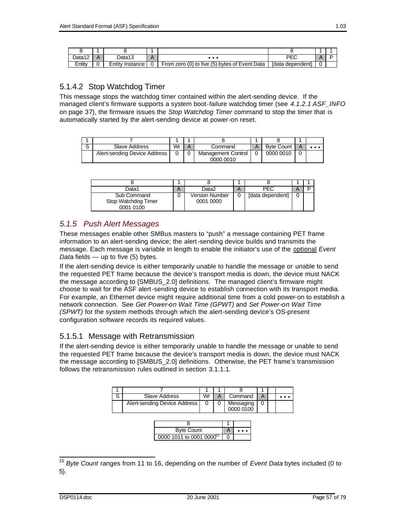| Data12 | Data13             | $\bullet\bullet\bullet$                             | ∼                   |   |  |
|--------|--------------------|-----------------------------------------------------|---------------------|---|--|
| Entitv | ≡ntitv<br>Instance | (0) to five (5) bytes of Event Data<br>From<br>zero | Idata<br>dependentl | 0 |  |

### 5.1.4.2 Stop Watchdog Timer

This message stops the watchdog timer contained within the alert-sending device. If the managed client's firmware supports a system boot-failure watchdog timer (see *4.1.2.1 ASF\_INFO* on page 37), the firmware issues the *Stop Watchdog Timer* command to stop the timer that is automatically started by the alert-sending device at power-on reset.

| Slave Address                | Wr | Command                   | А | <b>Byte Count</b> |  |
|------------------------------|----|---------------------------|---|-------------------|--|
| Alert-sending Device Address |    | <b>Management Control</b> |   | 0000 0010         |  |
|                              |    | 0000 0010                 |   |                   |  |

| Data1                                           | n | Data2                              | n | PFC              | D |
|-------------------------------------------------|---|------------------------------------|---|------------------|---|
| Sub Command<br>Stop Watchdog Timer<br>0001 0100 |   | <b>Version Number</b><br>0001 0000 |   | [data dependent] |   |

## *5.1.5 Push Alert Messages*

These messages enable other SMBus masters to "push" a message containing PET frame information to an alert-sending device; the alert-sending device builds and transmits the message. Each message is variable in length to enable the initiator's use of the optional *Event Data* fields — up to five (5) bytes.

If the alert-sending device is either temporarily unable to handle the message or unable to send the requested PET frame because the device's transport media is down, the device must NACK the message according to [SMBUS\_2.0] definitions. The managed client's firmware might choose to wait for the ASF alert-sending device to establish connection with its transport media. For example, an Ethernet device might require additional time from a cold power-on to establish a network connection. See *Get Power-on Wait Time (GPWT)* and *Set Power-on Wait Time (SPWT)* for the system methods through which the alert-sending device's OS-present configuration software records its required values.

## 5.1.5.1 Message with Retransmission

If the alert-sending device is either temporarily unable to handle the message or unable to send the requested PET frame because the device's transport media is down, the device must NACK the message according to [SMBUS\_2.0] definitions. Otherwise, the PET frame's transmission follows the retransmission rules outlined in section 3.1.1.1.

| S | Slave Address                        | Wr | A |              | Command                | A |  |
|---|--------------------------------------|----|---|--------------|------------------------|---|--|
|   | Alert-sending Device Address         | 0  |   |              | Messaging<br>0000 0100 |   |  |
|   |                                      |    |   |              |                        |   |  |
|   | <b>Byte Count</b>                    |    |   | $\mathsf{A}$ | . .                    |   |  |
|   | 0000 1011 to 0001 0000 <sup>15</sup> |    |   |              |                        |   |  |

 $\overline{a}$ <sup>15</sup> *Byte Count* ranges from 11 to 16, depending on the number of *Event Data* bytes included (0 to 5).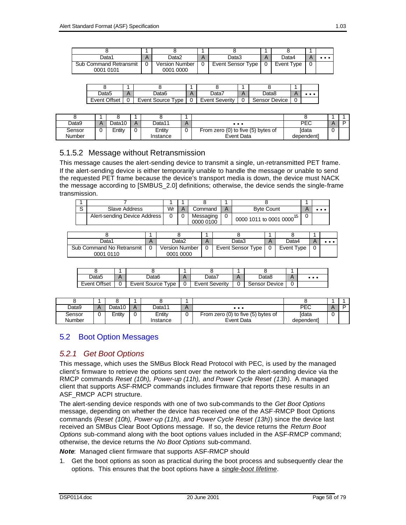| Data1                                      | A | Data2                              | Data3             | Data4      |  |
|--------------------------------------------|---|------------------------------------|-------------------|------------|--|
| <b>Sub Command Retransmit</b><br>0001 0101 |   | <b>Version Number</b><br>0001 0000 | Event Sensor Type | Event Type |  |

| Data5        | Jata6                       | Δ | Data7          |   | Data8         |  |
|--------------|-----------------------------|---|----------------|---|---------------|--|
| Event Offset | Event Source<br><b>Type</b> |   | Event Severity | 0 | Sensor Device |  |

| Data9            | Jata10 | A | Data11             | $\cdots$                                         | PEC                        |  |
|------------------|--------|---|--------------------|--------------------------------------------------|----------------------------|--|
| Sensor<br>Number | Entity | 0 | Entitv<br>Instance | From zero (0) to five (5) bytes of<br>Event Data | <b>Idata</b><br>dependentl |  |

### 5.1.5.2 Message without Retransmission

This message causes the alert-sending device to transmit a single, un-retransmitted PET frame. If the alert-sending device is either temporarily unable to handle the message or unable to send the requested PET frame because the device's transport media is down, the device must NACK the message according to [SMBUS\_2.0] definitions; otherwise, the device sends the single-frame transmission.

| Slave Address                | Wr | Command                |   | <b>Byte Count</b>      |  |
|------------------------------|----|------------------------|---|------------------------|--|
| Alert-sending Device Address |    | Messaging<br>0000 0100 | υ | 0000 1011 to 0001 0000 |  |

| Data1                     | Data2                 | Data3             |          | Data4      |  |
|---------------------------|-----------------------|-------------------|----------|------------|--|
| Sub Command No Retransmit | <b>Version Number</b> | Event Sensor Type | $\Omega$ | Event Type |  |
| 0001 0110                 | 0001 0000             |                   |          |            |  |

| Data5               | Data6             | Ā | Data7                 | Δ<br>$\sqrt{ }$ | Data8         | $\bf{A}$ | $\bullet\bullet\bullet$ |
|---------------------|-------------------|---|-----------------------|-----------------|---------------|----------|-------------------------|
| <b>Event Offset</b> | Event Source Type |   | <b>Event Severity</b> |                 | Sensor Device | 0        |                         |

| Data9            | Data10 | $\mathsf{A}$ | Data11             | $\bullet\bullet\bullet$                          | PEC                        |  |
|------------------|--------|--------------|--------------------|--------------------------------------------------|----------------------------|--|
| Sensor<br>Number | Entitv |              | Entity<br>Instance | From zero (0) to five (5) bytes of<br>Event Data | <b>Idata</b><br>dependentl |  |

### 5.2 Boot Option Messages

#### *5.2.1 Get Boot Options*

This message, which uses the SMBus Block Read Protocol with PEC, is used by the managed client's firmware to retrieve the options sent over the network to the alert-sending device via the RMCP commands *Reset (10h), Power-up (11h), and Power Cycle Reset (13h)*. A managed client that supports ASF-RMCP commands includes firmware that reports these results in an ASF\_RMCP\_ACPI structure.

The alert-sending device responds with one of two sub-commands to the *Get Boot Options* message, depending on whether the device has received one of the ASF-RMCP Boot Options commands (*Reset (10h), Power-up (11h), and Power Cycle Reset (13h)*) since the device last received an SMBus Clear Boot Options message. If so, the device returns the *Return Boot Options* sub-command along with the boot options values included in the ASF-RMCP command; otherwise, the device returns the *No Boot Options* sub-command.

*Note*: Managed client firmware that supports ASF-RMCP should

1. Get the boot options as soon as practical during the boot process and subsequently clear the options. This ensures that the boot options have a *single-boot lifetime*.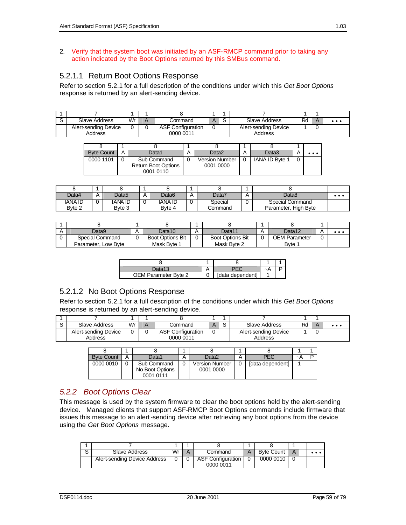#### 2. Verify that the system boot was initiated by an ASF-RMCP command prior to taking any action indicated by the Boot Options returned by this SMBus command.

### 5.2.1.1 Return Boot Options Response

Refer to section 5.2.1 for a full description of the conditions under which this *Get Boot Options* response is returned by an alert-sending device.

| Slave Address        | Wr | Command                  |  | Slave Address        | Rd | $\cdots$ |
|----------------------|----|--------------------------|--|----------------------|----|----------|
| Alert-sending Device |    | <b>ASF Configuration</b> |  | Alert-sending Device |    |          |
| Address              |    | 0000 0011                |  | Address              |    |          |

| <b>Byte Count</b> | A | Data1                                                  | Data2                              | Data3          | $\bullet\bullet\bullet$ |
|-------------------|---|--------------------------------------------------------|------------------------------------|----------------|-------------------------|
| 0000 1101         |   | Sub Command<br><b>Return Boot Options</b><br>0001 0110 | <b>Version Number</b><br>0001 0000 | IANA ID Byte 1 |                         |

| Data4          | А      | Data5  | $\boldsymbol{\mu}$ | Data6   | н | Data7   | A | Data8                | $\bullet\bullet\bullet$ |
|----------------|--------|--------|--------------------|---------|---|---------|---|----------------------|-------------------------|
| <b>IANA ID</b> | r<br>u | ANA ID |                    | IANA ID | U | Special |   | Special Command      |                         |
| Byte 2         |        | Byte 3 |                    | Byte 4  |   | Command |   | Parameter, High Byte |                         |

| Data9               | <b>n</b> | Data10                  | Data11                  | Data12        |   | $\cdots$ |
|---------------------|----------|-------------------------|-------------------------|---------------|---|----------|
| Special Command     |          | <b>Boot Options Bit</b> | <b>Boot Options Bit</b> | OEM Parameter | u |          |
| Parameter, Low Byte |          | Mask Byte 1             | Mask Byte 2             | Byte 1        |   |          |

| )ata13               |                  |  |
|----------------------|------------------|--|
| OEM Parameter Byte 2 | [data dependent] |  |

## 5.2.1.2 No Boot Options Response

Refer to section 5.2.1 for a full description of the conditions under which this *Get Boot Options* response is returned by an alert-sending device.

| Slave Address        | Wr | Command                  |  | Slave Address        | Rd | . |
|----------------------|----|--------------------------|--|----------------------|----|---|
| Alert-sending Device |    | <b>ASF Configuration</b> |  | Alert-sending Device |    |   |
| Address              |    | 0000 0011                |  | Address              |    |   |

| <b>Byte Count</b> | А | Data1                                       | Data2                              | PFC              | ~⊦ |  |
|-------------------|---|---------------------------------------------|------------------------------------|------------------|----|--|
| 0000 0010         |   | Sub Command<br>No Boot Options<br>0001 0111 | <b>Version Number</b><br>0001 0000 | [data dependent] |    |  |

### *5.2.2 Boot Options Clear*

This message is used by the system firmware to clear the boot options held by the alert-sending device. Managed clients that support ASF-RMCP Boot Options commands include firmware that issues this message to an alert-sending device after retrieving any boot options from the device using the *Get Boot Options* message.

| Slave Address                | Wr | Command                               | <b>Byte Count</b> | A | . |
|------------------------------|----|---------------------------------------|-------------------|---|---|
| Alert-sending Device Address |    | <b>ASF Configuration</b><br>0000 0011 | 0000 0010         |   |   |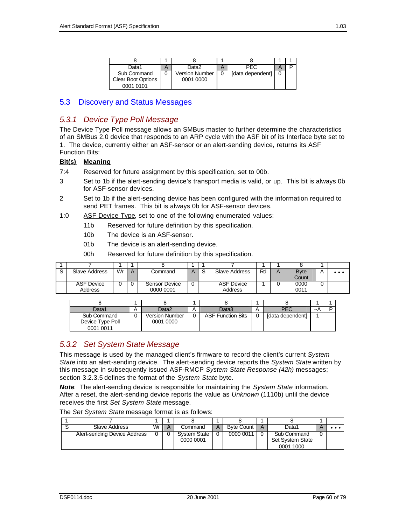| Data1                     | A | Data2          | PFC              |  |
|---------------------------|---|----------------|------------------|--|
| Sub Command               |   | Version Number | [data dependent] |  |
| <b>Clear Boot Options</b> |   | 0001 0000      |                  |  |
| 0001 0101                 |   |                |                  |  |

### 5.3 Discovery and Status Messages

### *5.3.1 Device Type Poll Message*

The Device Type Poll message allows an SMBus master to further determine the characteristics of an SMBus 2.0 device that responds to an ARP cycle with the ASF bit of its Interface byte set to 1. The device, currently either an ASF-sensor or an alert-sending device, returns its ASF Function Bits:

#### **Bit(s) Meaning**

- 7:4 Reserved for future assignment by this specification, set to 00b.
- 3 Set to 1b if the alert-sending device's transport media is valid, or up. This bit is always 0b for ASF-sensor devices.
- 2 Set to 1b if the alert-sending device has been configured with the information required to send PET frames. This bit is always 0b for ASF-sensor devices.
- 1:0 ASF Device Type, set to one of the following enumerated values:
	- 11b Reserved for future definition by this specification.
	- 10b The device is an ASF-sensor.
	- 01b The device is an alert-sending device.
	- 00h Reserved for future definition by this specification.

| Slave Address                | Wr | Α | Command                    | ◡ | Slave Address                | Ro | $\boldsymbol{\mathsf{A}}$ | <b>B</b> vte<br>Count |   | $\bullet\bullet\bullet$ |
|------------------------------|----|---|----------------------------|---|------------------------------|----|---------------------------|-----------------------|---|-------------------------|
| <b>ASF Device</b><br>Address |    |   | Sensor Device<br>0000 0001 |   | <b>ASF Device</b><br>Address |    |                           | 0000<br>0011          | υ |                         |

| Data1            | Η | Data2          | Data3                    | A | PEC              | ∼⊬ |  |
|------------------|---|----------------|--------------------------|---|------------------|----|--|
| Sub Command      |   | Version Number | <b>ASF Function Bits</b> |   | [data dependent] |    |  |
| Device Type Poll |   | 0001 0000      |                          |   |                  |    |  |
| 0001 0011        |   |                |                          |   |                  |    |  |

### *5.3.2 Set System State Message*

This message is used by the managed client's firmware to record the client's current *System State* into an alert-sending device. The alert-sending device reports the *System State* written by this message in subsequently issued ASF-RMCP *System State Response (42h)* messages; section 3.2.3.5 defines the format of the *System State* byte.

*Note*: The alert-sending device is responsible for maintaining the *System State* information. After a reset, the alert-sending device reports the value as *Unknown* (1110b) until the device receives the first *Set System State* message.

The *Set System State* message format is as follows:

| Slave Address                | Wr | Command                          | <b>Byte Count</b> | A | Data1                           |  |
|------------------------------|----|----------------------------------|-------------------|---|---------------------------------|--|
| Alert-sending Device Address |    | <b>System State</b><br>0000 0001 | 0000 0011         |   | Sub Command<br>Set System State |  |
|                              |    |                                  |                   |   | 0001 1000                       |  |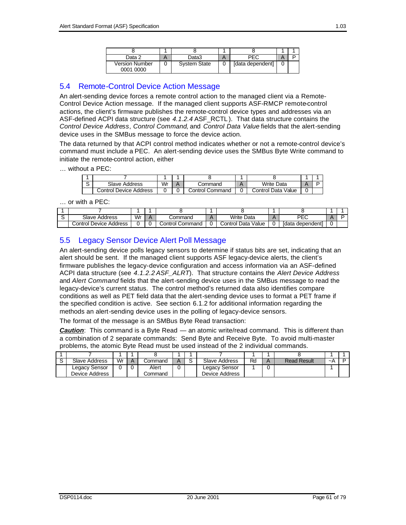| Data 2                             | Data3               | PEC              |  |
|------------------------------------|---------------------|------------------|--|
| <b>Version Number</b><br>0001 0000 | <b>System State</b> | [data dependent] |  |

### 5.4 Remote-Control Device Action Message

An alert-sending device forces a remote control action to the managed client via a Remote-Control Device Action message. If the managed client supports ASF-RMCP remote-control actions, the client's firmware publishes the remote-control device types and addresses via an ASF-defined ACPI data structure (see *4.1.2.4* ASF\_RCTL ). That data structure contains the *Control Device Address*, *Control Command*, and *Control Data Value* fields that the alert-sending device uses in the SMBus message to force the device action.

The data returned by that ACPI control method indicates whether or not a remote-control device's command must include a PEC. An alert-sending device uses the SMBus Byte Write command to initiate the remote-control action, either

… without a PEC:

| ີ | Slave Address          | Wr | :ommand         | <b>Write Data</b>  |  |
|---|------------------------|----|-----------------|--------------------|--|
|   | Control Device Address |    | Control Command | Control Data Value |  |

… or with a PEC:

| Slave Address          | Wr | .command        | Write Data            | DE7                 |  |
|------------------------|----|-----------------|-----------------------|---------------------|--|
| Control Device Address |    | ∴ontrol Command | Value<br>Control Data | fdata<br>dependentl |  |

### 5.5 Legacy Sensor Device Alert Poll Message

An alert-sending device polls legacy sensors to determine if status bits are set, indicating that an alert should be sent. If the managed client supports ASF legacy-device alerts, the client's firmware publishes the legacy-device configuration and access information via an ASF-defined ACPI data structure (see *4.1.2.2 ASF\_ALRT*). That structure contains the *Alert Device Address* and *Alert Command* fields that the alert-sending device uses in the SMBus message to read the legacy-device's current status. The control method's returned data also identifies compare conditions as well as PET field data that the alert-sending device uses to format a PET frame if the specified condition is active. See section 6.1.2 for additional information regarding the methods an alert-sending device uses in the polling of legacy-device sensors.

The format of the message is an SMBus Byte Read transaction:

*Caution*: This command is a Byte Read — an atomic write/read command. This is different than a combination of 2 separate commands: Send Byte and Receive Byte. To avoid multi-master problems, the atomic Byte Read must be used instead of the 2 individual commands.

| Slave Address  | Wr | .command |  | Slave Address  | Rc | <b>Read Result</b> | $\sim$ A |  |
|----------------|----|----------|--|----------------|----|--------------------|----------|--|
| Legacy Sensor  |    | Alert    |  | Legacy Sensor  |    |                    |          |  |
| Device Address |    | Command  |  | Device Address |    |                    |          |  |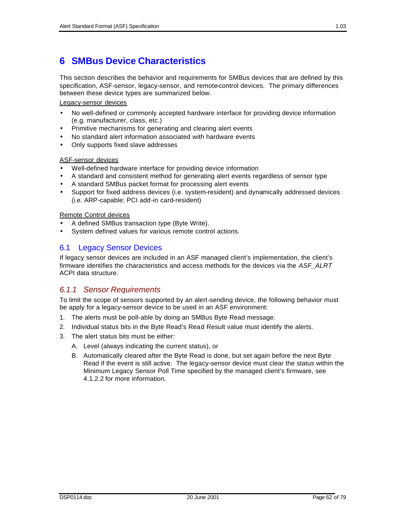# **6 SMBus Device Characteristics**

This section describes the behavior and requirements for SMBus devices that are defined by this specification, ASF-sensor, legacy-sensor, and remote-control devices. The primary differences between these device types are summarized below.

Legacy-sensor devices

- No well-defined or commonly accepted hardware interface for providing device information (e.g. manufacturer, class, etc.)
- Primitive mechanisms for generating and clearing alert events
- No standard alert information associated with hardware events
- Only supports fixed slave addresses

#### ASF-sensor devices

- Well-defined hardware interface for providing device information
- A standard and consistent method for generating alert events regardless of sensor type
- A standard SMBus packet format for processing alert events
- Support for fixed address devices (i.e. system-resident) and dynamically addressed devices (i.e. ARP-capable; PCI add-in card-resident)

Remote Control devices

- A defined SMBus transaction type (Byte Write).
- System defined values for various remote control actions.

### 6.1 Legacy Sensor Devices

If legacy sensor devices are included in an ASF managed client's implementation, the client's firmware identifies the characteristics and access methods for the devices via the *ASF\_ALRT* ACPI data structure.

### *6.1.1 Sensor Requirements*

To limit the scope of sensors supported by an alert-sending device, the following behavior must be apply for a legacy-sensor device to be used in an ASF environment:

- 1. The alerts must be poll-able by doing an SMBus Byte Read message.
- 2. Individual status bits in the Byte Read's Read Result value must identify the alerts.
- 3. The alert status bits must be either:
	- A. Level (always indicating the current status), or
	- B. Automatically cleared after the Byte Read is done, but set again before the next Byte Read if the event is still active. The legacy-sensor device must clear the status within the Minimum Legacy Sensor Poll Time specified by the managed client's firmware, see 4.1.2.2 for more information.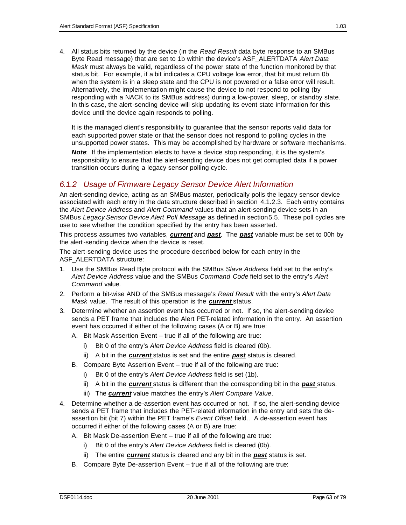4. All status bits returned by the device (in the *Read Result* data byte response to an SMBus Byte Read message) that are set to 1b within the device's ASF\_ALERTDATA *Alert Data Mask* must always be valid, regardless of the power state of the function monitored by that status bit. For example, if a bit indicates a CPU voltage low error, that bit must return 0b when the system is in a sleep state and the CPU is not powered or a false error will result. Alternatively, the implementation might cause the device to not respond to polling (by responding with a NACK to its SMBus address) during a low-power, sleep, or standby state. In this case, the alert-sending device will skip updating its event state information for this device until the device again responds to polling.

It is the managed client's responsibility to guarantee that the sensor reports valid data for each supported power state or that the sensor does not respond to polling cycles in the unsupported power states. This may be accomplished by hardware or software mechanisms.

*Note*: If the implementation elects to have a device stop responding, it is the system's responsibility to ensure that the alert-sending device does not get corrupted data if a power transition occurs during a legacy sensor polling cycle.

### *6.1.2 Usage of Firmware Legacy Sensor Device Alert Information*

An alert-sending device, acting as an SMBus master, periodically polls the legacy sensor device associated with each entry in the data structure described in section 4.1.2.3. Each entry contains the *Alert Device Address* and *Alert Command* values that an alert-sending device sets in an SMBus *Legacy Sensor Device Alert Poll Message* as defined in section5.5. These poll cycles are use to see whether the condition specified by the entry has been asserted.

This process assumes two variables, *current* and *past*. The *past* variable must be set to 00h by the alert-sending device when the device is reset.

The alert-sending device uses the procedure described below for each entry in the ASF\_ALERTDATA structure:

- 1. Use the SMBus Read Byte protocol with the SMBus *Slave Address* field set to the entry's *Alert Device Address* value and the SMBus *Command Code* field set to the entry's *Alert Command* value.
- 2. Perform a bit-wise AND of the SMBus message's *Read Result* with the entry's *Alert Data Mask* value. The result of this operation is the *current* status.
- 3. Determine whether an assertion event has occurred or not. If so, the alert-sending device sends a PET frame that includes the Alert PET-related information in the entry. An assertion event has occurred if either of the following cases (A or B) are true:
	- A. Bit Mask Assertion Event true if all of the following are true:
		- i) Bit 0 of the entry's *Alert Device Address* field is cleared (0b).
		- ii) A bit in the *current* status is set and the entire *past* status is cleared.
	- B. Compare Byte Assertion Event true if all of the following are true:
		- i) Bit 0 of the entry's *Alert Device Address* field is set (1b).
		- ii) A bit in the *current* status is different than the corresponding bit in the *past* status.
		- iii) The *current* value matches the entry's *Alert Compare Value*.
- 4. Determine whether a de-assertion event has occurred or not. If so, the alert-sending device sends a PET frame that includes the PET-related information in the entry and sets the deassertion bit (bit 7) within the PET frame's *Event Offset* field.. A de-assertion event has occurred if either of the following cases (A or B) are true:
	- A. Bit Mask De-assertion Event true if all of the following are true:
		- i) Bit 0 of the entry's *Alert Device Address* field is cleared (0b).
		- ii) The entire *current* status is cleared and any bit in the *past* status is set.
	- B. Compare Byte De-assertion Event true if all of the following are true: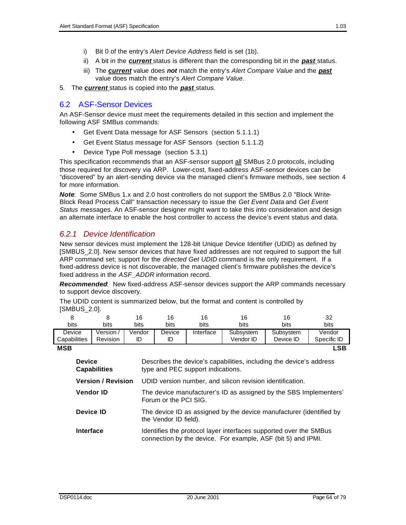- i) Bit 0 of the entry's *Alert Device Address* field is set (1b).
- ii) A bit in the *current* status is different than the corresponding bit in the *past* status.
- iii) The *current* value does *not* match the entry's *Alert Compare Value* and the *past* value does match the entry's *Alert Compare Value*.
- 5. The *current* status is copied into the *past* status.

### 6.2 ASF-Sensor Devices

An ASF-Sensor device must meet the requirements detailed in this section and implement the following ASF SMBus commands:

- Get Event Data message for ASF Sensors (section 5.1.1.1)
- Get Event Status message for ASF Sensors (section 5.1.1.2)
- Device Type Poll message (section 5.3.1)

This specification recommends that an ASF-sensor support all SMBus 2.0 protocols, including those required for discovery via ARP. Lower-cost, fixed-address ASF-sensor devices can be "discovered" by an alert-sending device via the managed client's firmware methods, see section 4 for more information.

*Note*: Some SMBus 1.x and 2.0 host controllers do not support the SMBus 2.0 "Block Write-Block Read Process Call" transaction necessary to issue the *Get Event Data* and *Get Event Status* messages. An ASF-sensor designer might want to take this into consideration and design an alternate interface to enable the host controller to access the device's event status and data.

### *6.2.1 Device Identification*

New sensor devices must implement the 128-bit Unique Device Identifier (UDID) as defined by [SMBUS 2.0]. New sensor devices that have fixed addresses are not required to support the full ARP command set; support for the *directed Get UDID* command is the only requirement. If a fixed-address device is not discoverable, the managed client's firmware publishes the device's fixed address in the *ASF\_ADDR* information record.

*Recommended*: New fixed-address ASF-sensor devices support the ARP commands necessary to support device discovery.

The UDID content is summarized below, but the format and content is controlled by [SMBUS\_2.0].

| <del>"</del> "" <del>"</del> " " |                           |        |                                                                                              |                                                                   |           |                                                                                                                                   |             |  |  |  |  |  |
|----------------------------------|---------------------------|--------|----------------------------------------------------------------------------------------------|-------------------------------------------------------------------|-----------|-----------------------------------------------------------------------------------------------------------------------------------|-------------|--|--|--|--|--|
| 8                                | 8                         | 16     | 16                                                                                           | 16                                                                | 16        | 16                                                                                                                                | 32          |  |  |  |  |  |
| <b>bits</b>                      | bits                      | bits   | bits                                                                                         | bits                                                              | bits      | bits.                                                                                                                             | bits        |  |  |  |  |  |
| Device                           | Version /                 | Vendor | Device                                                                                       | Interface                                                         | Subsystem | Subsystem                                                                                                                         | Vendor      |  |  |  |  |  |
| Capabilities                     | <b>Revision</b>           | ID     | ID                                                                                           |                                                                   | Vendor ID | Device ID                                                                                                                         | Specific ID |  |  |  |  |  |
| <b>MSB</b>                       |                           |        |                                                                                              |                                                                   |           |                                                                                                                                   | <b>LSB</b>  |  |  |  |  |  |
| <b>Device</b>                    | <b>Capabilities</b>       |        |                                                                                              | type and PEC support indications.                                 |           | Describes the device's capabilities, including the device's address                                                               |             |  |  |  |  |  |
|                                  | <b>Version / Revision</b> |        | UDID version number, and silicon revision identification.                                    |                                                                   |           |                                                                                                                                   |             |  |  |  |  |  |
| <b>Vendor ID</b>                 |                           |        | Forum or the PCI SIG.                                                                        | The device manufacturer's ID as assigned by the SBS Implementers' |           |                                                                                                                                   |             |  |  |  |  |  |
| Device ID                        |                           |        | The device ID as assigned by the device manufacturer (identified by<br>the Vendor ID field). |                                                                   |           |                                                                                                                                   |             |  |  |  |  |  |
| <b>Interface</b>                 |                           |        |                                                                                              |                                                                   |           | Identifies the protocol layer interfaces supported over the SMBus<br>connection by the device. For example, ASF (bit 5) and IPMI. |             |  |  |  |  |  |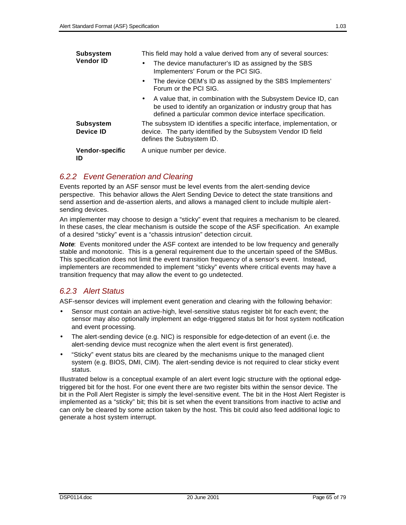| <b>Subsystem</b>                     | This field may hold a value derived from any of several sources:                                                                                                                                  |  |  |  |  |
|--------------------------------------|---------------------------------------------------------------------------------------------------------------------------------------------------------------------------------------------------|--|--|--|--|
| <b>Vendor ID</b>                     | The device manufacturer's ID as assigned by the SBS<br>$\bullet$<br>Implementers' Forum or the PCI SIG.                                                                                           |  |  |  |  |
|                                      | The device OEM's ID as assigned by the SBS Implementers'<br>$\bullet$<br>Forum or the PCI SIG.                                                                                                    |  |  |  |  |
|                                      | • A value that, in combination with the Subsystem Device ID, can<br>be used to identify an organization or industry group that has<br>defined a particular common device interface specification. |  |  |  |  |
| <b>Subsystem</b><br><b>Device ID</b> | The subsystem ID identifies a specific interface, implementation, or<br>device. The party identified by the Subsystem Vendor ID field<br>defines the Subsystem ID.                                |  |  |  |  |
| <b>Vendor-specific</b><br>ID         | A unique number per device.                                                                                                                                                                       |  |  |  |  |

### *6.2.2 Event Generation and Clearing*

Events reported by an ASF sensor must be level events from the alert-sending device perspective. This behavior allows the Alert Sending Device to detect the state transitions and send assertion and de-assertion alerts, and allows a managed client to include multiple alertsending devices.

An implementer may choose to design a "sticky" event that requires a mechanism to be cleared. In these cases, the clear mechanism is outside the scope of the ASF specification. An example of a desired "sticky" event is a "chassis intrusion" detection circuit.

*Note*: Events monitored under the ASF context are intended to be low frequency and generally stable and monotonic. This is a general requirement due to the uncertain speed of the SMBus. This specification does not limit the event transition frequency of a sensor's event. Instead, implementers are recommended to implement "sticky" events where critical events may have a transition frequency that may allow the event to go undetected.

### *6.2.3 Alert Status*

ASF-sensor devices will implement event generation and clearing with the following behavior:

- Sensor must contain an active-high, level-sensitive status register bit for each event; the sensor may also optionally implement an edge-triggered status bit for host system notification and event processing.
- The alert-sending device (e.g. NIC) is responsible for edge-detection of an event (i.e. the alert-sending device must recognize when the alert event is first generated).
- "Sticky" event status bits are cleared by the mechanisms unique to the managed client system (e.g. BIOS, DMI, CIM). The alert-sending device is not required to clear sticky event status.

Illustrated below is a conceptual example of an alert event logic structure with the optional edgetriggered bit for the host. For one event there are two register bits within the sensor device. The bit in the Poll Alert Register is simply the level-sensitive event. The bit in the Host Alert Register is implemented as a "sticky" bit; this bit is set when the event transitions from inactive to active and can only be cleared by some action taken by the host. This bit could also feed additional logic to generate a host system interrupt.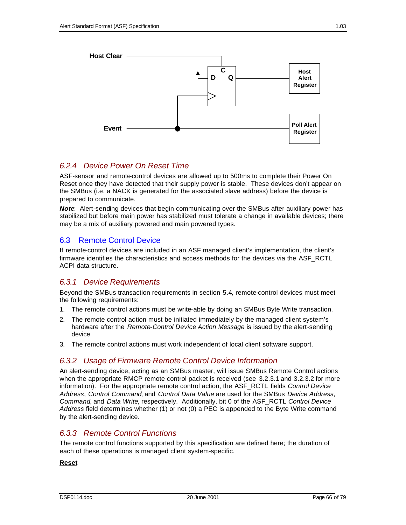

## *6.2.4 Device Power On Reset Time*

ASF-sensor and remote-control devices are allowed up to 500ms to complete their Power On Reset once they have detected that their supply power is stable. These devices don't appear on the SMBus (i.e. a NACK is generated for the associated slave address) before the device is prepared to communicate.

*Note*: Alert-sending devices that begin communicating over the SMBus after auxiliary power has stabilized but before main power has stabilized must tolerate a change in available devices; there may be a mix of auxiliary powered and main powered types.

## 6.3 Remote Control Device

If remote-control devices are included in an ASF managed client's implementation, the client's firmware identifies the characteristics and access methods for the devices via the ASF\_RCTL ACPI data structure.

## *6.3.1 Device Requirements*

Beyond the SMBus transaction requirements in section 5.4, remote-control devices must meet the following requirements:

- 1. The remote control actions must be write-able by doing an SMBus Byte Write transaction.
- 2. The remote control action must be initiated immediately by the managed client system's hardware after the *Remote-Control Device Action Message* is issued by the alert-sending device.
- 3. The remote control actions must work independent of local client software support.

### *6.3.2 Usage of Firmware Remote Control Device Information*

An alert-sending device, acting as an SMBus master, will issue SMBus Remote Control actions when the appropriate RMCP remote control packet is received (see 3.2.3.1 and 3.2.3.2 for more information). For the appropriate remote control action, the ASF\_RCTL fields *Control Device Address*, *Control Command*, and *Control Data Value* are used for the SMBus *Device Address*, *Command*, and *Data Write*, respectively. Additionally, bit 0 of the ASF\_RCTL *Control Device Address* field determines whether (1) or not (0) a PEC is appended to the Byte Write command by the alert-sending device.

### *6.3.3 Remote Control Functions*

The remote control functions supported by this specification are defined here; the duration of each of these operations is managed client system-specific.

#### **Reset**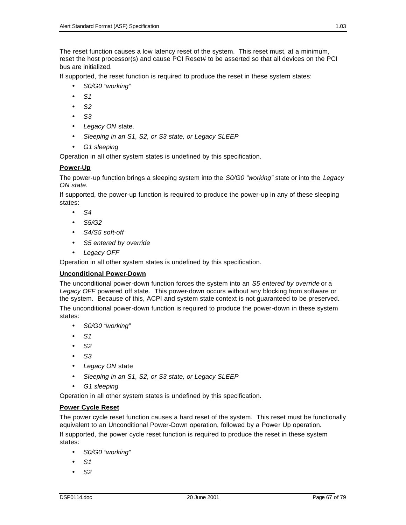The reset function causes a low latency reset of the system. This reset must, at a minimum, reset the host processor(s) and cause PCI Reset# to be asserted so that all devices on the PCI bus are initialized.

If supported, the reset function is required to produce the reset in these system states:

- *S0/G0 "working"*
- *S1*
- *S2*
- *S3*
- *Legacy ON* state.
- *Sleeping in an S1, S2, or S3 state, or Legacy SLEEP*
- *G1 sleeping*

Operation in all other system states is undefined by this specification.

#### **Power-Up**

The power-up function brings a sleeping system into the *S0/G0 "working"* state or into the *Legacy ON state*.

If supported, the power-up function is required to produce the power-up in any of these sleeping states:

- *S4*
- *S5/G2*
- *S4/S5 soft-off*
- *S5 entered by override*
- *Legacy OFF*

Operation in all other system states is undefined by this specification.

#### **Unconditional Power-Down**

The unconditional power-down function forces the system into an *S5 entered by override* or a *Legacy OFF* powered off state. This power-down occurs without any blocking from software or the system. Because of this, ACPI and system state context is not guaranteed to be preserved.

The unconditional power-down function is required to produce the power-down in these system states:

- *S0/G0 "working"*
- *S1*
- *S2*
- *S3*
- *Legacy ON* state
- *Sleeping in an S1, S2, or S3 state, or Legacy SLEEP*
- *G1 sleeping*

Operation in all other system states is undefined by this specification.

#### **Power Cycle Reset**

The power cycle reset function causes a hard reset of the system. This reset must be functionally equivalent to an Unconditional Power-Down operation, followed by a Power Up operation.

If supported, the power cycle reset function is required to produce the reset in these system states:

- *S0/G0 "working"*
- *S1*
- *S2*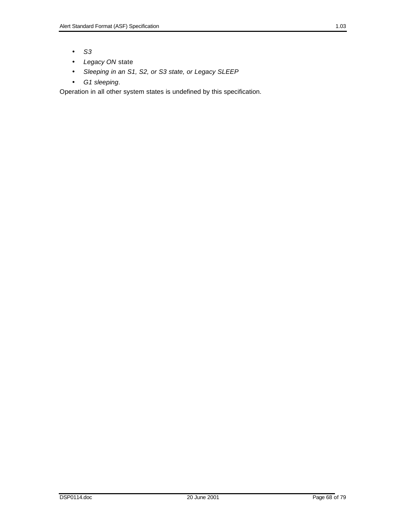- *S3*
- *Legacy ON* state
- *Sleeping in an S1, S2, or S3 state, or Legacy SLEEP*
- *G1 sleeping*.

Operation in all other system states is undefined by this specification.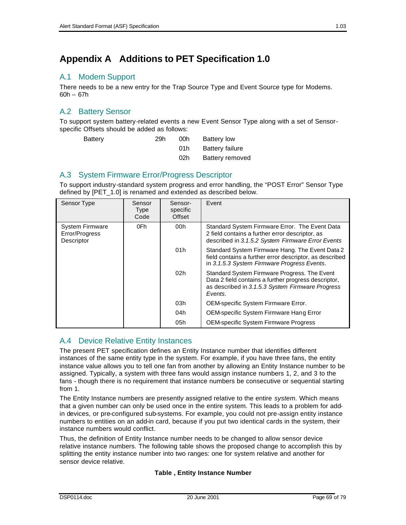# A.1 Modem Support

There needs to be a new entry for the Trap Source Type and Event Source type for Modems. 60h – 67h

# A.2 Battery Sensor

To support system battery-related events a new Event Sensor Type along with a set of Sensorspecific Offsets should be added as follows:

| Battery | 29h | 00h | Battery low     |
|---------|-----|-----|-----------------|
|         |     | 01h | Battery failure |
|         |     | 02h | Battery removed |

## A.3 System Firmware Error/Progress Descriptor

To support industry-standard system progress and error handling, the "POST Error" Sensor Type defined by [PET\_1.0] is renamed and extended as described below.

| Sensor Type                                            | Sensor<br><b>Type</b><br>Code | Sensor-<br>specific<br>Offset | Event                                                                                                                                                               |
|--------------------------------------------------------|-------------------------------|-------------------------------|---------------------------------------------------------------------------------------------------------------------------------------------------------------------|
| <b>System Firmware</b><br>Error/Progress<br>Descriptor | 0Fh                           | 00h                           | Standard System Firmware Error. The Event Data<br>2 field contains a further error descriptor, as<br>described in 3.1.5.2 System Firmware Error Events              |
|                                                        |                               | 01h                           | Standard System Firmware Hang. The Event Data 2<br>field contains a further error descriptor, as described<br>in 3.1.5.3 System Firmware Progress Events.           |
|                                                        |                               | 02h                           | Standard System Firmware Progress. The Event<br>Data 2 field contains a further progress descriptor,<br>as described in 3.1.5.3 System Firmware Progress<br>Events. |
|                                                        |                               | 03h                           | OEM-specific System Firmware Error.                                                                                                                                 |
|                                                        |                               | 04h                           | OEM-specific System Firmware Hang Error                                                                                                                             |
|                                                        |                               | 05h                           | <b>OEM-specific System Firmware Progress</b>                                                                                                                        |

# A.4 Device Relative Entity Instances

The present PET specification defines an Entity Instance number that identifies different instances of the same entity type in the system. For example, if you have three fans, the entity instance value allows you to tell one fan from another by allowing an Entity Instance number to be assigned. Typically, a system with three fans would assign instance numbers 1, 2, and 3 to the fans - though there is no requirement that instance numbers be consecutive or sequential starting from 1.

The Entity Instance numbers are presently assigned relative to the entire *system.* Which means that a given number can only be used once in the entire system. This leads to a problem for addin devices, or pre-configured sub-systems. For example, you could not pre-assign entity instance numbers to entities on an add-in card, because if you put two identical cards in the system, their instance numbers would conflict.

Thus, the definition of Entity Instance number needs to be changed to allow sensor device relative instance numbers. The following table shows the proposed change to accomplish this by splitting the entity instance number into two ranges: one for system relative and another for sensor device relative.

#### **Table , Entity Instance Number**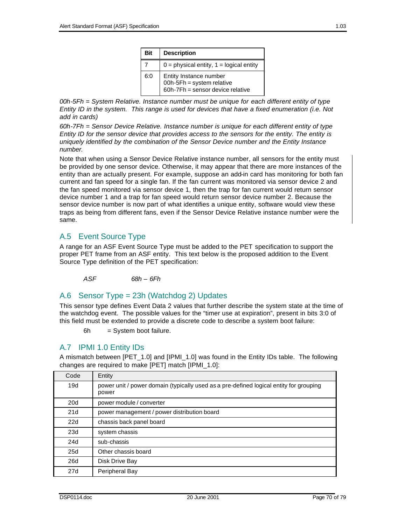| Bit | <b>Description</b>                                                                      |
|-----|-----------------------------------------------------------------------------------------|
|     | $0 =$ physical entity, $1 =$ logical entity                                             |
| 6:0 | Entity Instance number<br>00h-5Fh = system relative<br>60h-7Fh = sensor device relative |

*00h-5Fh = System Relative. Instance number must be unique for each different entity of type Entity ID in the system. This range is used for devices that have a fixed enumeration (i.e. Not add in cards)*

*60h-7Fh = Sensor Device Relative. Instance number is unique for each different entity of type Entity ID for the sensor device that provides access to the sensors for the entity. The entity is uniquely identified by the combination of the Sensor Device number and the Entity Instance number.*

Note that when using a Sensor Device Relative instance number, all sensors for the entity must be provided by one sensor device. Otherwise, it may appear that there are more instances of the entity than are actually present. For example, suppose an add-in card has monitoring for both fan current and fan speed for a single fan. If the fan current was monitored via sensor device 2 and the fan speed monitored via sensor device 1, then the trap for fan current would return sensor device number 1 and a trap for fan speed would return sensor device number 2. Because the sensor device number is now part of what identifies a unique entity, software would view these traps as being from different fans, even if the Sensor Device Relative instance number were the same.

# A.5 Event Source Type

A range for an ASF Event Source Type must be added to the PET specification to support the proper PET frame from an ASF entity. This text below is the proposed addition to the Event Source Type definition of the PET specification:

*ASF 68h – 6Fh*

## A.6 Sensor Type = 23h (Watchdog 2) Updates

This sensor type defines Event Data 2 values that further describe the system state at the time of the watchdog event. The possible values for the "timer use at expiration", present in bits 3:0 of this field must be extended to provide a discrete code to describe a system boot failure:

 $6h =$  System boot failure.

# A.7 IPMI 1.0 Entity IDs

A mismatch between [PET\_1.0] and [IPMI\_1.0] was found in the Entity IDs table. The following changes are required to make [PET] match [IPMI\_1.0]:

| Code            | Entity                                                                                          |
|-----------------|-------------------------------------------------------------------------------------------------|
| 19d             | power unit / power domain (typically used as a pre-defined logical entity for grouping<br>power |
| 20 <sub>d</sub> | power module / converter                                                                        |
| 21d             | power management / power distribution board                                                     |
| 22d             | chassis back panel board                                                                        |
| 23d             | system chassis                                                                                  |
| 24d             | sub-chassis                                                                                     |
| 25d             | Other chassis board                                                                             |
| 26d             | Disk Drive Bay                                                                                  |
| 27d             | Peripheral Bay                                                                                  |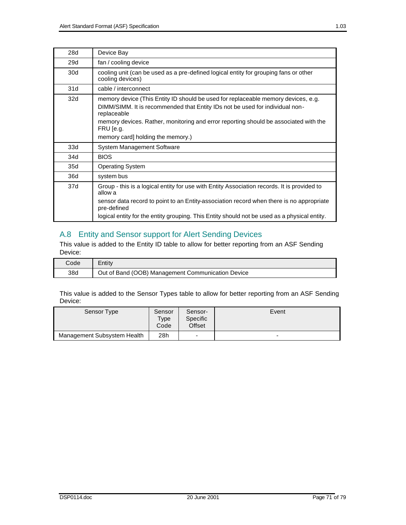| 28d             | Device Bay                                                                                                                                                                                                                                                                                                                 |
|-----------------|----------------------------------------------------------------------------------------------------------------------------------------------------------------------------------------------------------------------------------------------------------------------------------------------------------------------------|
| 29d             | fan / cooling device                                                                                                                                                                                                                                                                                                       |
| 30 <sub>d</sub> | cooling unit (can be used as a pre-defined logical entity for grouping fans or other<br>cooling devices)                                                                                                                                                                                                                   |
| 31d             | cable / interconnect                                                                                                                                                                                                                                                                                                       |
| 32d             | memory device (This Entity ID should be used for replaceable memory devices, e.g.<br>DIMM/SIMM. It is recommended that Entity IDs not be used for individual non-<br>replaceable<br>memory devices. Rather, monitoring and error reporting should be associated with the<br>FRU [e.g.<br>memory card] holding the memory.) |
| 33d             | System Management Software                                                                                                                                                                                                                                                                                                 |
| 34d             | <b>BIOS</b>                                                                                                                                                                                                                                                                                                                |
| 35d             | <b>Operating System</b>                                                                                                                                                                                                                                                                                                    |
| 36d             | system bus                                                                                                                                                                                                                                                                                                                 |
| 37d             | Group - this is a logical entity for use with Entity Association records. It is provided to<br>allow a<br>sensor data record to point to an Entity-association record when there is no appropriate<br>pre-defined<br>logical entity for the entity grouping. This Entity should not be used as a physical entity.          |

# A.8 Entity and Sensor support for Alert Sending Devices

This value is added to the Entity ID table to allow for better reporting from an ASF Sending Device:

| Code | Entitv                                            |
|------|---------------------------------------------------|
| 38d  | Out of Band (OOB) Management Communication Device |

This value is added to the Sensor Types table to allow for better reporting from an ASF Sending Device:

| Sensor Type                 | Sensor<br>Type<br>Code | Sensor-<br>Specific<br>Offset | Event |
|-----------------------------|------------------------|-------------------------------|-------|
| Management Subsystem Health | 28h                    | $\overline{\phantom{0}}$      | -     |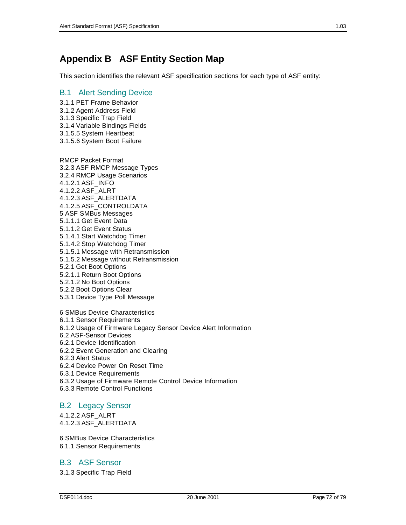# **Appendix B ASF Entity Section Map**

This section identifies the relevant ASF specification sections for each type of ASF entity:

#### B.1 Alert Sending Device

- 3.1.1 PET Frame Behavior
- 3.1.2 Agent Address Field
- 3.1.3 Specific Trap Field
- 3.1.4 Variable Bindings Fields
- 3.1.5.5 System Heartbeat
- 3.1.5.6 System Boot Failure

RMCP Packet Format 3.2.3 ASF RMCP Message Types 3.2.4 RMCP Usage Scenarios 4.1.2.1 ASF\_INFO 4.1.2.2 ASF\_ALRT 4.1.2.3 ASF\_ALERTDATA 4.1.2.5 ASF\_CONTROLDATA 5 ASF SMBus Messages 5.1.1.1 Get Event Data 5.1.1.2 Get Event Status 5.1.4.1 Start Watchdog Timer 5.1.4.2 Stop Watchdog Timer 5.1.5.1 Message with Retransmission 5.1.5.2 Message without Retransmission

- 5.2.1 Get Boot Options
- 5.2.1.1 Return Boot Options
- 5.2.1.2 No Boot Options
- 5.2.2 Boot Options Clear
- 5.3.1 Device Type Poll Message
- 6 SMBus Device Characteristics
- 6.1.1 Sensor Requirements
- 6.1.2 Usage of Firmware Legacy Sensor Device Alert Information
- 6.2 ASF-Sensor Devices
- 6.2.1 Device Identification
- 6.2.2 Event Generation and Clearing
- 6.2.3 Alert Status
- 6.2.4 Device Power On Reset Time
- 6.3.1 Device Requirements
- 6.3.2 Usage of Firmware Remote Control Device Information
- 6.3.3 Remote Control Functions

#### B.2 Legacy Sensor

- 4.1.2.2 ASF\_ALRT
- 4.1.2.3 ASF\_ALERTDATA
- 6 SMBus Device Characteristics
- 6.1.1 Sensor Requirements

## B.3 ASF Sensor

3.1.3 Specific Trap Field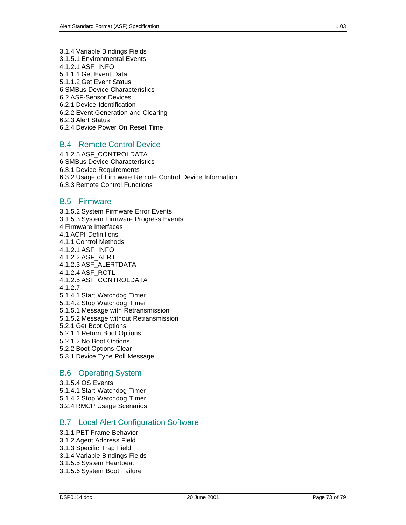- 3.1.4 Variable Bindings Fields
- 3.1.5.1 Environmental Events
- 4.1.2.1 ASF\_INFO
- 5.1.1.1 Get Event Data
- 5.1.1.2 Get Event Status
- 6 SMBus Device Characteristics
- 6.2 ASF-Sensor Devices
- 6.2.1 Device Identification
- 6.2.2 Event Generation and Clearing
- 6.2.3 Alert Status
- 6.2.4 Device Power On Reset Time

#### B.4 Remote Control Device

4.1.2.5 ASF\_CONTROLDATA 6 SMBus Device Characteristics 6.3.1 Device Requirements 6.3.2 Usage of Firmware Remote Control Device Information 6.3.3 Remote Control Functions

#### B.5 Firmware

3.1.5.2 System Firmware Error Events 3.1.5.3 System Firmware Progress Events 4 Firmware Interfaces 4.1 ACPI Definitions 4.1.1 Control Methods 4.1.2.1 ASF\_INFO 4.1.2.2 ASF\_ALRT 4.1.2.3 ASF\_ALERTDATA 4.1.2.4 ASF\_RCTL 4.1.2.5 ASF\_CONTROLDATA 4.1.2.7 5.1.4.1 Start Watchdog Timer 5.1.4.2 Stop Watchdog Timer 5.1.5.1 Message with Retransmission 5.1.5.2 Message without Retransmission 5.2.1 Get Boot Options 5.2.1.1 Return Boot Options 5.2.1.2 No Boot Options 5.2.2 Boot Options Clear 5.3.1 Device Type Poll Message

#### B.6 Operating System

- 3.1.5.4 OS Events
- 5.1.4.1 Start Watchdog Timer
- 5.1.4.2 Stop Watchdog Timer
- 3.2.4 RMCP Usage Scenarios

#### B.7 Local Alert Configuration Software

- 3.1.1 PET Frame Behavior
- 3.1.2 Agent Address Field
- 3.1.3 Specific Trap Field
- 3.1.4 Variable Bindings Fields
- 3.1.5.5 System Heartbeat
- 3.1.5.6 System Boot Failure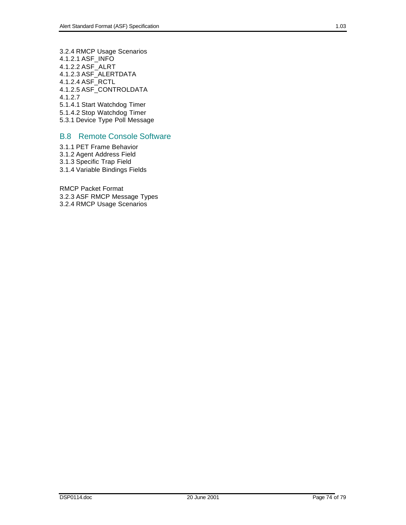3.2.4 RMCP Usage Scenarios 4.1.2.1 ASF\_INFO 4.1.2.2 ASF\_ALRT 4.1.2.3 ASF\_ALERTDATA 4.1.2.4 ASF\_RCTL 4.1.2.5 ASF\_CONTROLDATA 4.1.2.7 5.1.4.1 Start Watchdog Timer 5.1.4.2 Stop Watchdog Timer 5.3.1 Device Type Poll Message

## B.8 Remote Console Software

3.1.1 PET Frame Behavior 3.1.2 Agent Address Field 3.1.3 Specific Trap Field 3.1.4 Variable Bindings Fields

RMCP Packet Format 3.2.3 ASF RMCP Message Types 3.2.4 RMCP Usage Scenarios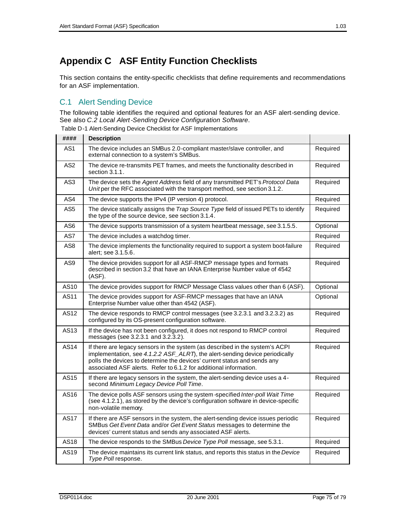# **Appendix C ASF Entity Function Checklists**

This section contains the entity-specific checklists that define requirements and recommendations for an ASF implementation.

# C.1 Alert Sending Device

The following table identifies the required and optional features for an ASF alert-sending device. See also *C.2 Local Alert-Sending Device Configuration Software*.

Table D-1 Alert-Sending Device Checklist for ASF Implementations

| ####             | <b>Description</b>                                                                                                                                                                                                                                                                                            |          |
|------------------|---------------------------------------------------------------------------------------------------------------------------------------------------------------------------------------------------------------------------------------------------------------------------------------------------------------|----------|
| AS <sub>1</sub>  | The device includes an SMBus 2.0-compliant master/slave controller, and<br>external connection to a system's SMBus.                                                                                                                                                                                           | Required |
| AS <sub>2</sub>  | The device re-transmits PET frames, and meets the functionality described in<br>section 3.1.1.                                                                                                                                                                                                                | Required |
| AS <sub>3</sub>  | The device sets the Agent Address field of any transmitted PET's Protocol Data<br>Unitper the RFC associated with the transport method, see section 3.1.2.                                                                                                                                                    | Required |
| AS4              | The device supports the IPv4 (IP version 4) protocol.                                                                                                                                                                                                                                                         | Required |
| AS <sub>5</sub>  | The device statically assigns the Trap Source Type field of issued PETs to identify<br>the type of the source device, see section 3.1.4.                                                                                                                                                                      | Required |
| AS <sub>6</sub>  | The device supports transmission of a system heartbeat message, see 3.1.5.5.                                                                                                                                                                                                                                  | Optional |
| AS7              | The device includes a watchdog timer.                                                                                                                                                                                                                                                                         | Required |
| AS8              | The device implements the functionality required to support a system boot-failure<br>alert: see 3.1.5.6.                                                                                                                                                                                                      | Required |
| AS9              | The device provides support for all ASF-RMCP message types and formats<br>described in section 3.2 that have an IANA Enterprise Number value of 4542<br>(ASF).                                                                                                                                                | Required |
| AS10             | The device provides support for RMCP Message Class values other than 6 (ASF).                                                                                                                                                                                                                                 | Optional |
| AS11             | The device provides support for ASF-RMCP messages that have an IANA<br>Enterprise Number value other than 4542 (ASF).                                                                                                                                                                                         | Optional |
| AS12             | The device responds to RMCP control messages (see 3.2.3.1 and 3.2.3.2) as<br>configured by its OS-present configuration software.                                                                                                                                                                             | Required |
| AS <sub>13</sub> | If the device has not been configured, it does not respond to RMCP control<br>messages (see 3.2.3.1 and 3.2.3.2).                                                                                                                                                                                             | Required |
| <b>AS14</b>      | If there are legacy sensors in the system (as described in the system's ACPI<br>implementation, see 4.1.2.2 ASF_ALRT), the alert-sending device periodically<br>polls the devices to determine the devices' current status and sends any<br>associated ASF alerts. Refer to 6.1.2 for additional information. | Required |
| AS15             | If there are legacy sensors in the system, the alert-sending device uses a 4-<br>second Minimum Legacy Device Poll Time.                                                                                                                                                                                      | Required |
| AS16             | The device polls ASF sensors using the system-specified Inter-poll Wait Time<br>(see 4.1.2.1), as stored by the device's configuration software in device-specific<br>non-volatile memory.                                                                                                                    | Required |
| <b>AS17</b>      | If there are ASF sensors in the system, the alert-sending device issues periodic<br>SMBus Get Event Data and/or Get Event Status messages to determine the<br>devices' current status and sends any associated ASF alerts.                                                                                    | Required |
| AS18             | The device responds to the SMBus Device Type Poll message, see 5.3.1.                                                                                                                                                                                                                                         | Required |
| AS <sub>19</sub> | The device maintains its current link status, and reports this status in the Device<br>Type Poll response.                                                                                                                                                                                                    | Required |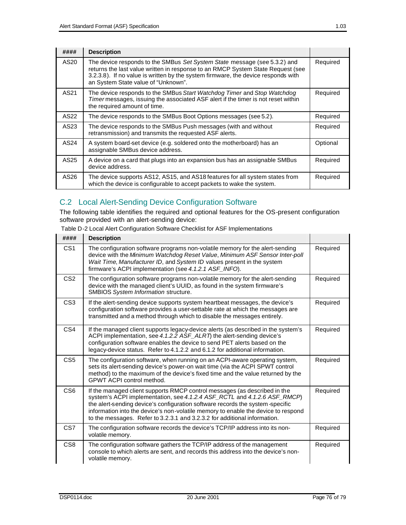| ####             | <b>Description</b>                                                                                                                                                                                                                                                                       |          |
|------------------|------------------------------------------------------------------------------------------------------------------------------------------------------------------------------------------------------------------------------------------------------------------------------------------|----------|
| AS20             | The device responds to the SMBus Set System State message (see 5.3.2) and<br>returns the last value written in response to an RMCP System State Request (see<br>3.2.3.8). If no value is written by the system firmware, the device responds with<br>an System State value of "Unknown". | Required |
| AS <sub>21</sub> | The device responds to the SMBus Start Watchdog Timer and Stop Watchdog<br>Timer messages, issuing the associated ASF alert if the timer is not reset within<br>the required amount of time.                                                                                             | Required |
| AS22             | The device responds to the SMBus Boot Options messages (see 5.2).                                                                                                                                                                                                                        | Required |
| AS23             | The device responds to the SMBus Push messages (with and without<br>retransmission) and transmits the requested ASF alerts.                                                                                                                                                              | Required |
| AS24             | A system board-set device (e.g. soldered onto the motherboard) has an<br>assignable SMBus device address.                                                                                                                                                                                | Optional |
| AS <sub>25</sub> | A device on a card that plugs into an expansion bus has an assignable SMBus<br>device address.                                                                                                                                                                                           | Required |
| AS26             | The device supports AS12, AS15, and AS18 features for all system states from<br>which the device is configurable to accept packets to wake the system.                                                                                                                                   | Required |

# C.2 Local Alert-Sending Device Configuration Software

The following table identifies the required and optional features for the OS-present configuration software provided with an alert-sending device:

| Table D-2 Local Alert Configuration Software Checklist for ASF Implementations |  |  |
|--------------------------------------------------------------------------------|--|--|
|                                                                                |  |  |

| ####            | <b>Description</b>                                                                                                                                                                                                                                                                                                                                                                                       |          |
|-----------------|----------------------------------------------------------------------------------------------------------------------------------------------------------------------------------------------------------------------------------------------------------------------------------------------------------------------------------------------------------------------------------------------------------|----------|
| CS <sub>1</sub> | The configuration software programs non-volatile memory for the alert-sending<br>device with the Minimum Watchdog Reset Value, Minimum ASF Sensor Inter-poll<br>Wait Time, Manufacturer ID, and System ID values present in the system<br>firmware's ACPI implementation (see 4.1.2.1 ASF_INFO).                                                                                                         | Required |
| CS <sub>2</sub> | The configuration software programs non-volatile memory for the alert-sending<br>device with the managed client's UUID, as found in the system firmware's<br>SMBIOS System Information structure.                                                                                                                                                                                                        | Required |
| CS <sub>3</sub> | If the alert-sending device supports system heartbeat messages, the device's<br>configuration software provides a user-settable rate at which the messages are<br>transmitted and a method through which to disable the messages entirely.                                                                                                                                                               | Required |
| CS <sub>4</sub> | If the managed client supports legacy-device alerts (as described in the system's<br>ACPI implementation, see 4.1.2.2 ASF_ALRT) the alert-sending device's<br>configuration software enables the device to send PET alerts based on the<br>legacy-device status. Refer to 4.1.2.2 and 6.1.2 for additional information.                                                                                  | Required |
| CS <sub>5</sub> | The configuration software, when running on an ACPI-aware operating system,<br>sets its alert-sending device's power-on wait time (via the ACPI SPWT control<br>method) to the maximum of the device's fixed time and the value returned by the<br>GPWT ACPI control method.                                                                                                                             | Required |
| CS <sub>6</sub> | If the managed client supports RMCP control messages (as described in the<br>system's ACPI implementation, see 4.1.2.4 ASF_RCTL and 4.1.2.6 ASF_RMCP)<br>the alert-sending device's configuration software records the system-specific<br>information into the device's non-volatile memory to enable the device to respond<br>to the messages. Refer to 3.2.3.1 and 3.2.3.2 for additional information. | Required |
| CS <sub>7</sub> | The configuration software records the device's TCP/IP address into its non-<br>volatile memory.                                                                                                                                                                                                                                                                                                         | Required |
| CS <sub>8</sub> | The configuration software gathers the TCP/IP address of the management<br>console to which alerts are sent, and records this address into the device's non-<br>volatile memory.                                                                                                                                                                                                                         | Required |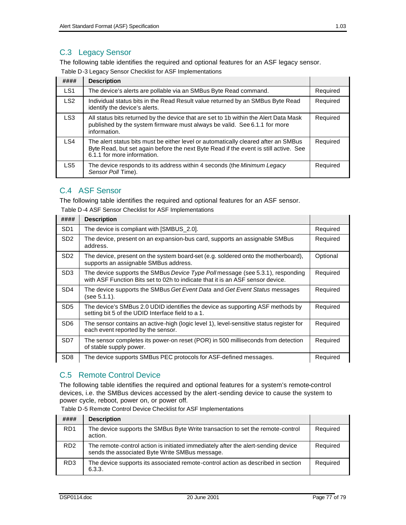## C.3 Legacy Sensor

The following table identifies the required and optional features for an ASF legacy sensor. Table D-3 Legacy Sensor Checklist for ASF Implementations

| Table D & Logacy Ochool Oncentration Aor Implementations |                                                                                                                                                                                                           |          |  |
|----------------------------------------------------------|-----------------------------------------------------------------------------------------------------------------------------------------------------------------------------------------------------------|----------|--|
| ####                                                     | <b>Description</b>                                                                                                                                                                                        |          |  |
| LS1                                                      | The device's alerts are pollable via an SMBus Byte Read command.                                                                                                                                          | Required |  |
| LS <sub>2</sub>                                          | Individual status bits in the Read Result value returned by an SMBus Byte Read<br>identify the device's alerts.                                                                                           | Required |  |
| LS <sub>3</sub>                                          | All status bits returned by the device that are set to 1b within the Alert Data Mask<br>published by the system firmware must always be valid. See 6.1.1 for more<br>information.                         | Required |  |
| LS4                                                      | The alert status bits must be either level or automatically cleared after an SMBus<br>Byte Read, but set again before the next Byte Read if the event is still active. See<br>6.1.1 for more information. | Required |  |
| LS5                                                      | The device responds to its address within 4 seconds (the <i>Minimum Legacy</i><br>Sensor Poll Time).                                                                                                      | Required |  |

## C.4 ASF Sensor

The following table identifies the required and optional features for an ASF sensor.

Table D-4 ASF Sensor Checklist for ASF Implementations

| ####            | <b>Description</b>                                                                                                                                              |          |
|-----------------|-----------------------------------------------------------------------------------------------------------------------------------------------------------------|----------|
| SD <sub>1</sub> | The device is compliant with [SMBUS_2.0].                                                                                                                       | Required |
| SD <sub>2</sub> | The device, present on an expansion-bus card, supports an assignable SMBus<br>address.                                                                          | Required |
| SD <sub>2</sub> | The device, present on the system board-set (e.g. soldered onto the motherboard),<br>supports an assignable SMBus address.                                      | Optional |
| SD <sub>3</sub> | The device supports the SMBus Device Type Pollmessage (see 5.3.1), responding<br>with ASF Function Bits set to 02h to indicate that it is an ASF sensor device. | Required |
| SD <sub>4</sub> | The device supports the SMBus Get Event Data and Get Event Status messages<br>(see 5.1.1).                                                                      | Required |
| SD <sub>5</sub> | The device's SMBus 2.0 UDID identifies the device as supporting ASF methods by<br>setting bit 5 of the UDID Interface field to a 1.                             | Required |
| SD <sub>6</sub> | The sensor contains an active-high (logic level 1), level-sensitive status register for<br>each event reported by the sensor.                                   | Required |
| SD <sub>7</sub> | The sensor completes its power-on reset (POR) in 500 milliseconds from detection<br>of stable supply power.                                                     | Required |
| SD <sub>8</sub> | The device supports SMBus PEC protocols for ASF-defined messages.                                                                                               | Required |

# C.5 Remote Control Device

The following table identifies the required and optional features for a system's remote-control devices, i.e. the SMBus devices accessed by the alert-sending device to cause the system to power cycle, reboot, power on, or power off.

Table D-5 Remote Control Device Checklist for ASF Implementations

| ####            | <b>Description</b>                                                                                                                  |          |
|-----------------|-------------------------------------------------------------------------------------------------------------------------------------|----------|
| RD <sub>1</sub> | The device supports the SMBus Byte Write transaction to set the remote-control<br>action.                                           | Required |
| RD <sub>2</sub> | The remote-control action is initiated immediately after the alert-sending device<br>sends the associated Byte Write SMBus message. | Required |
| RD <sub>3</sub> | The device supports its associated remote-control action as described in section<br>6.3.3.                                          | Required |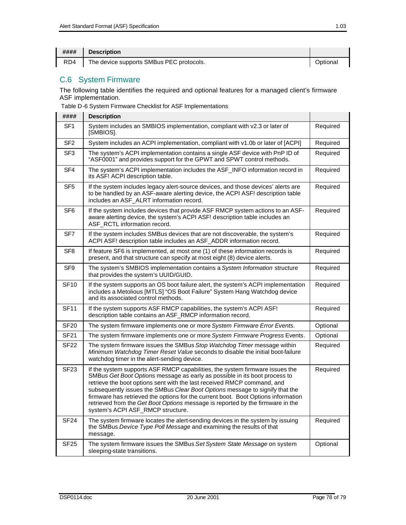| #### | <b>Description</b>                       |          |
|------|------------------------------------------|----------|
| RD4  | The device supports SMBus PEC protocols. | Optional |

## C.6 System Firmware

The following table identifies the required and optional features for a managed client's firmware ASF implementation.

Table D-6 System Firmware Checklist for ASF Implementations

| ####            | <b>Description</b>                                                                                                                                                                                                                                                                                                                                                                                                                                                                                                                |          |
|-----------------|-----------------------------------------------------------------------------------------------------------------------------------------------------------------------------------------------------------------------------------------------------------------------------------------------------------------------------------------------------------------------------------------------------------------------------------------------------------------------------------------------------------------------------------|----------|
| SF <sub>1</sub> | System includes an SMBIOS implementation, compliant with v2.3 or later of<br>[SMBIOS].                                                                                                                                                                                                                                                                                                                                                                                                                                            | Required |
| SF <sub>2</sub> | System includes an ACPI implementation, compliant with v1.0b or later of [ACPI]                                                                                                                                                                                                                                                                                                                                                                                                                                                   | Required |
| SF <sub>3</sub> | The system's ACPI implementation contains a single ASF device with PnP ID of<br>"ASF0001" and provides support for the GPWT and SPWT control methods.                                                                                                                                                                                                                                                                                                                                                                             | Required |
| SF <sub>4</sub> | The system's ACPI implementation includes the ASF_INFO information record in<br>its ASF! ACPI description table.                                                                                                                                                                                                                                                                                                                                                                                                                  | Required |
| SF <sub>5</sub> | If the system includes legacy alert-source devices, and those devices' alerts are<br>to be handled by an ASF-aware alerting device, the ACPI ASF! description table<br>includes an ASF_ALRT information record.                                                                                                                                                                                                                                                                                                                   | Required |
| SF <sub>6</sub> | If the system includes devices that provide ASF RMCP system actions to an ASF-<br>aware alerting device, the system's ACPI ASF! description table includes an<br>ASF_RCTL information record.                                                                                                                                                                                                                                                                                                                                     | Required |
| SF <sub>7</sub> | If the system includes SMBus devices that are not discoverable, the system's<br>ACPI ASF! description table includes an ASF_ADDR information record.                                                                                                                                                                                                                                                                                                                                                                              | Required |
| SF <sub>8</sub> | If feature SF6 is implemented, at most one (1) of these information records is<br>present, and that structure can specify at most eight (8) device alerts.                                                                                                                                                                                                                                                                                                                                                                        | Required |
| SF <sub>9</sub> | The system's SMBIOS implementation contains a System Information structure<br>that provides the system's UUID/GUID.                                                                                                                                                                                                                                                                                                                                                                                                               | Required |
| <b>SF10</b>     | If the system supports an OS boot failure alert, the system's ACPI implementation<br>includes a Metolious [MTLS] "OS Boot Failure" System Hang Watchdog device<br>and its associated control methods.                                                                                                                                                                                                                                                                                                                             | Required |
| <b>SF11</b>     | If the system supports ASF RMCP capabilities, the system's ACPI ASF!<br>description table contains an ASF_RMCP information record.                                                                                                                                                                                                                                                                                                                                                                                                | Required |
| <b>SF20</b>     | The system firmware implements one or more System Firmware Error Events.                                                                                                                                                                                                                                                                                                                                                                                                                                                          | Optional |
| <b>SF21</b>     | The system firmware implements one or more System Firmware Progress Events.                                                                                                                                                                                                                                                                                                                                                                                                                                                       | Optional |
| <b>SF22</b>     | The system firmware issues the SMBus Stop Watchdog Timer message within<br>Minimum Watchdog Timer Reset Value seconds to disable the initial boot-failure<br>watchdog timer in the alert-sending device.                                                                                                                                                                                                                                                                                                                          | Required |
| <b>SF23</b>     | If the system supports ASF RMCP capabilities, the system firmware issues the<br>SMBus Get Boot Options message as early as possible in its boot process to<br>retrieve the boot options sent with the last received RMCP command, and<br>subsequently issues the SMBus Clear Boot Options message to signify that the<br>firmware has retrieved the options for the current boot. Boot Options information<br>retrieved from the Get Boot Options message is reported by the firmware in the<br>system's ACPI ASF_RMCP structure. | Required |
| <b>SF24</b>     | The system firmware locates the alert-sending devices in the system by issuing<br>the SMBus Device Type Poll Message and examining the results of that<br>message.                                                                                                                                                                                                                                                                                                                                                                | Required |
| <b>SF25</b>     | The system firmware issues the SMBus Set System State Message on system<br>sleeping-state transitions.                                                                                                                                                                                                                                                                                                                                                                                                                            | Optional |